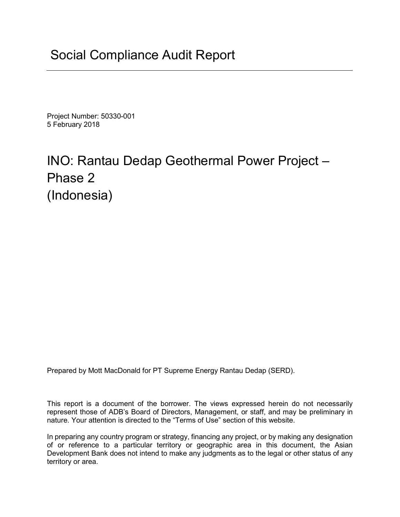### Social Compliance Audit Report

Project Number: 50330-001 5 February 2018

## INO: Rantau Dedap Geothermal Power Project – Phase 2 (Indonesia)

Prepared by Mott MacDonald for PT Supreme Energy Rantau Dedap (SERD).

This report is a document of the borrower. The views expressed herein do not necessarily represent those of ADB's Board of Directors, Management, or staff, and may be preliminary in nature. Your attention is directed to the "Terms of Use" section of this website.

In preparing any country program or strategy, financing any project, or by making any designation of or reference to a particular territory or geographic area in this document, the Asian Development Bank does not intend to make any judgments as to the legal or other status of any territory or area.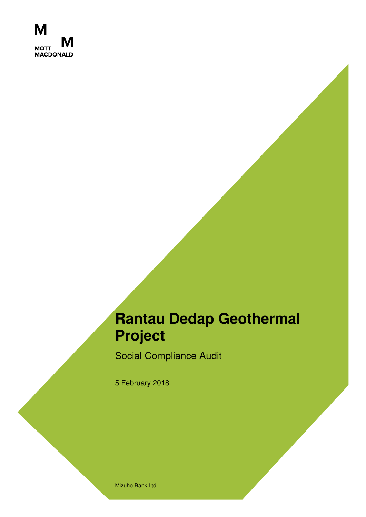

# **Rantau Dedap Geothermal Project**

Social Compliance Audit

5 February 2018

Mizuho Bank Ltd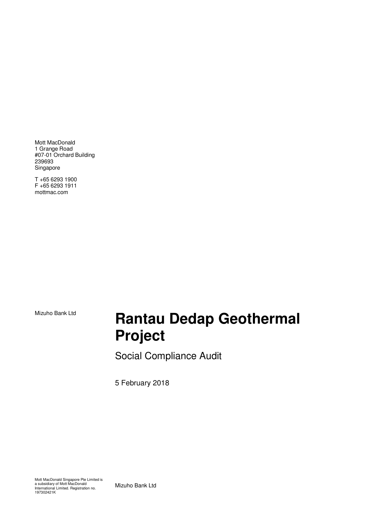Mott MacDonald 1 Grange Road #07-01 Orchard Building 239693 Singapore

T +65 6293 1900 F +65 6293 1911 mottmac.com

### iect behaalde oorlog van die koning van die koning van die koning van die koning van die koning van die koning **Project Mizuho Bank Ltd <b>Rantau Dedap Geothermal**

Social Compliance Audit

5 February 2018

Mott MacDonald Singapore Pte Limited is a subsidiary of Mott MacDonald International Limited. Registration no. 197302421K

Mizuho Bank Ltd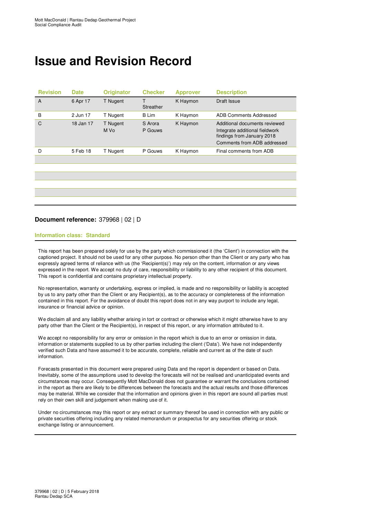### **Issue and Revision Record**

| <b>Revision</b> | <b>Date</b> | <b>Originator</b> | <b>Checker</b>     | <b>Approver</b> | <b>Description</b>                                                                                                           |
|-----------------|-------------|-------------------|--------------------|-----------------|------------------------------------------------------------------------------------------------------------------------------|
| A               | 6 Apr 17    | T Nugent          | т<br>Streather     | K Haymon        | Draft Issue                                                                                                                  |
| В               | 2 Jun 17    | T Nugent          | B Lim              | K Haymon        | ADB Comments Addressed                                                                                                       |
| C               | 18 Jan 17   | T Nugent<br>M Vo  | S Arora<br>P Gouws | K Haymon        | Additional documents reviewed<br>Integrate additional fieldwork<br>findings from January 2018<br>Comments from ADB addressed |
| D               | 5 Feb 18    | T Nugent          | P Gouws            | K Haymon        | Final comments from ADB                                                                                                      |
|                 |             |                   |                    |                 |                                                                                                                              |
|                 |             |                   |                    |                 |                                                                                                                              |
|                 |             |                   |                    |                 |                                                                                                                              |

#### **Document reference:** 379968 | 02 | D

#### **Information class: Standard**

This report has been prepared solely for use by the party which commissioned it (the 'Client') in connection with the captioned project. It should not be used for any other purpose. No person other than the Client or any party who has expressly agreed terms of reliance with us (the 'Recipient(s)') may rely on the content, information or any views expressed in the report. We accept no duty of care, responsibility or liability to any other recipient of this document. This report is confidential and contains proprietary intellectual property.

No representation, warranty or undertaking, express or implied, is made and no responsibility or liability is accepted by us to any party other than the Client or any Recipient(s), as to the accuracy or completeness of the information contained in this report. For the avoidance of doubt this report does not in any way purport to include any legal, insurance or financial advice or opinion.

We disclaim all and any liability whether arising in tort or contract or otherwise which it might otherwise have to any party other than the Client or the Recipient(s), in respect of this report, or any information attributed to it.

We accept no responsibility for any error or omission in the report which is due to an error or omission in data, information or statements supplied to us by other parties including the client ('Data'). We have not independently verified such Data and have assumed it to be accurate, complete, reliable and current as of the date of such information.

Forecasts presented in this document were prepared using Data and the report is dependent or based on Data. Inevitably, some of the assumptions used to develop the forecasts will not be realised and unanticipated events and circumstances may occur. Consequently Mott MacDonald does not guarantee or warrant the conclusions contained in the report as there are likely to be differences between the forecasts and the actual results and those differences may be material. While we consider that the information and opinions given in this report are sound all parties must rely on their own skill and judgement when making use of it.

Under no circumstances may this report or any extract or summary thereof be used in connection with any public or private securities offering including any related memorandum or prospectus for any securities offering or stock exchange listing or announcement.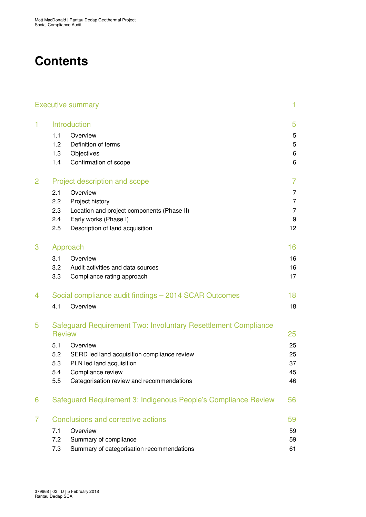## **Contents**

|   |                  | <b>Executive summary</b>                                       | 1              |
|---|------------------|----------------------------------------------------------------|----------------|
| 1 |                  | Introduction                                                   | 5              |
|   | 1.1              | Overview                                                       | 5              |
|   | 1.2 <sub>2</sub> | Definition of terms                                            | 5              |
|   | 1.3              | Objectives                                                     | 6              |
|   | 1.4              | Confirmation of scope                                          | 6              |
| 2 |                  | Project description and scope                                  | $\overline{7}$ |
|   | 2.1              | Overview                                                       | 7              |
|   | 2.2              | Project history                                                | $\overline{7}$ |
|   | 2.3              | Location and project components (Phase II)                     | $\overline{7}$ |
|   | 2.4              | Early works (Phase I)                                          | 9              |
|   | 2.5              | Description of land acquisition                                | 12             |
| 3 |                  | Approach                                                       | 16             |
|   | 3.1              | Overview                                                       | 16             |
|   | 3.2              | Audit activities and data sources                              | 16             |
|   | 3.3              | Compliance rating approach                                     | 17             |
| 4 |                  | Social compliance audit findings - 2014 SCAR Outcomes          | 18             |
|   | 4.1              | Overview                                                       | 18             |
| 5 |                  | Safeguard Requirement Two: Involuntary Resettlement Compliance |                |
|   | <b>Review</b>    |                                                                | 25             |
|   | 5.1              | Overview                                                       | 25             |
|   | 5.2              | SERD led land acquisition compliance review                    | 25             |
|   | 5.3              | PLN led land acquisition                                       | 37             |
|   | 5.4              | Compliance review                                              | 45             |
|   | 5.5              | Categorisation review and recommendations                      | 46             |
| 6 |                  | Safeguard Requirement 3: Indigenous People's Compliance Review | 56             |
| 7 |                  | Conclusions and corrective actions                             | 59             |
|   | 7.1              | Overview                                                       | 59             |
|   | 7.2              | Summary of compliance                                          | 59             |
|   | 7.3              | Summary of categorisation recommendations                      | 61             |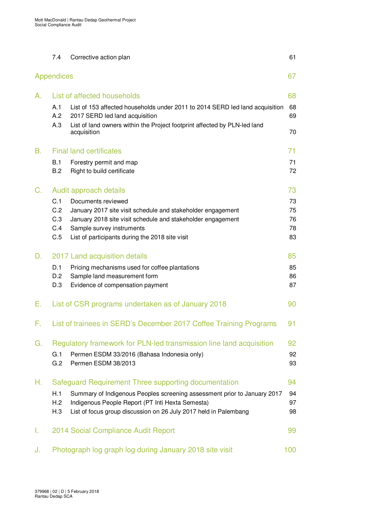|    | 7.4                             | Corrective action plan                                                                                                                                                                                                                                     | 61                               |
|----|---------------------------------|------------------------------------------------------------------------------------------------------------------------------------------------------------------------------------------------------------------------------------------------------------|----------------------------------|
|    | <b>Appendices</b>               |                                                                                                                                                                                                                                                            | 67                               |
| Α. | A.1<br>A.2<br>A.3               | List of affected households<br>List of 153 affected households under 2011 to 2014 SERD led land acquisition<br>2017 SERD led land acquisition<br>List of land owners within the Project footprint affected by PLN-led land<br>acquisition                  | 68<br>68<br>69<br>70             |
| B. | B.1<br>B.2                      | <b>Final land certificates</b><br>Forestry permit and map<br>Right to build certificate                                                                                                                                                                    | 71<br>71<br>72                   |
| C. | C.1<br>C.2<br>C.3<br>C.4<br>C.5 | Audit approach details<br>Documents reviewed<br>January 2017 site visit schedule and stakeholder engagement<br>January 2018 site visit schedule and stakeholder engagement<br>Sample survey instruments<br>List of participants during the 2018 site visit | 73<br>73<br>75<br>76<br>78<br>83 |
| D. | D.1<br>D.2<br>D.3               | 2017 Land acquisition details<br>Pricing mechanisms used for coffee plantations<br>Sample land measurement form<br>Evidence of compensation payment                                                                                                        | 85<br>85<br>86<br>87             |
| Е. |                                 | List of CSR programs undertaken as of January 2018                                                                                                                                                                                                         | 90                               |
|    |                                 | F. List of trainees in SERD's December 2017 Coffee Training Programs                                                                                                                                                                                       | 91                               |
| G. | G.1<br>G.2                      | Regulatory framework for PLN-led transmission line land acquisition<br>Permen ESDM 33/2016 (Bahasa Indonesia only)<br>Permen ESDM 38/2013                                                                                                                  | 92<br>92<br>93                   |
| Η. | H.1<br>H.2<br>H.3               | Safeguard Requirement Three supporting documentation<br>Summary of Indigenous Peoples screening assessment prior to January 2017<br>Indigenous People Report (PT Inti Hexta Semesta)<br>List of focus group discussion on 26 July 2017 held in Palembang   | 94<br>94<br>97<br>98             |
| T. |                                 | 2014 Social Compliance Audit Report                                                                                                                                                                                                                        | 99                               |
| J. |                                 | Photograph log graph log during January 2018 site visit                                                                                                                                                                                                    | 100                              |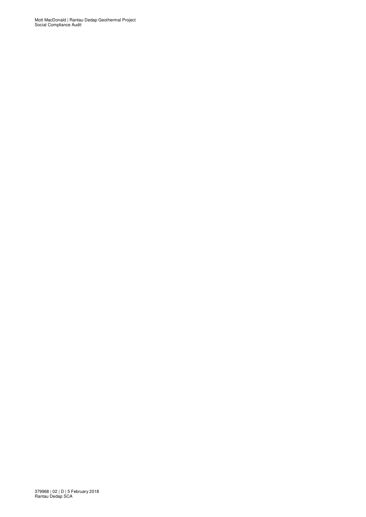Mott MacDonald | Rantau Dedap Geothermal Project Social Compliance Audit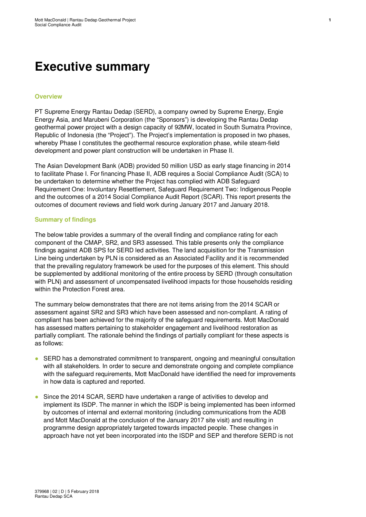### <span id="page-9-1"></span><span id="page-9-0"></span>**Executive summary**

#### **Overview**

PT Supreme Energy Rantau Dedap (SERD), a company owned by Supreme Energy, Engie Energy Asia, and Marubeni Corporation (the "Sponsors") is developing the Rantau Dedap geothermal power project with a design capacity of 92MW, located in South Sumatra Province, Republic of Indonesia (the "Project"). The Project's implementation is proposed in two phases, whereby Phase I constitutes the geothermal resource exploration phase, while steam-field development and power plant construction will be undertaken in Phase II.

The Asian Development Bank (ADB) provided 50 million USD as early stage financing in 2014 to facilitate Phase I. For financing Phase II, ADB requires a Social Compliance Audit (SCA) to be undertaken to determine whether the Project has complied with ADB Safeguard Requirement One: Involuntary Resettlement, Safeguard Requirement Two: Indigenous People and the outcomes of a 2014 Social Compliance Audit Report (SCAR). This report presents the outcomes of document reviews and field work during January 2017 and January 2018.

#### **Summary of findings**

The below table provides a summary of the overall finding and compliance rating for each component of the CMAP, SR2, and SR3 assessed. This table presents only the compliance findings against ADB SPS for SERD led activities. The land acquisition for the Transmission Line being undertaken by PLN is considered as an Associated Facility and it is recommended that the prevailing regulatory framework be used for the purposes of this element. This should be supplemented by additional monitoring of the entire process by SERD (through consultation with PLN) and assessment of uncompensated livelihood impacts for those households residing within the Protection Forest area.

The summary below demonstrates that there are not items arising from the 2014 SCAR or assessment against SR2 and SR3 which have been assessed and non-compliant. A rating of compliant has been achieved for the majority of the safeguard requirements. Mott MacDonald has assessed matters pertaining to stakeholder engagement and livelihood restoration as partially compliant. The rationale behind the findings of partially compliant for these aspects is as follows:

- SERD has a demonstrated commitment to transparent, ongoing and meaningful consultation with all stakeholders. In order to secure and demonstrate ongoing and complete compliance with the safeguard requirements, Mott MacDonald have identified the need for improvements in how data is captured and reported.
- Since the 2014 SCAR, SERD have undertaken a range of activities to develop and implement its ISDP. The manner in which the ISDP is being implemented has been informed by outcomes of internal and external monitoring (including communications from the ADB and Mott MacDonald at the conclusion of the January 2017 site visit) and resulting in programme design appropriately targeted towards impacted people. These changes in approach have not yet been incorporated into the ISDP and SEP and therefore SERD is not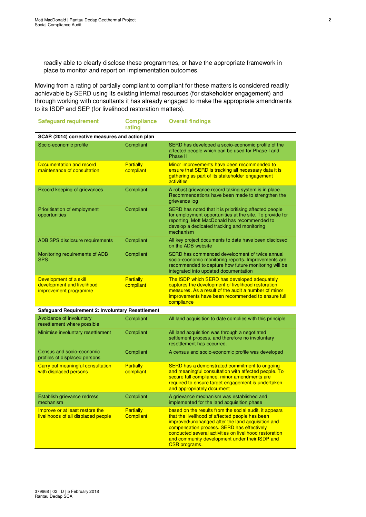readily able to clearly disclose these programmes, or have the appropriate framework in place to monitor and report on implementation outcomes.

Moving from a rating of partially compliant to compliant for these matters is considered readily achievable by SERD using its existing internal resources (for stakeholder engagement) and through working with consultants it has already engaged to make the appropriate amendments to its ISDP and SEP (for livelihood restoration matters).

| <b>Safeguard requirement</b>                                                  | <b>Compliance</b><br>rating          | <b>Overall findings</b>                                                                                                                                                                                                                                                                                                                          |  |  |  |
|-------------------------------------------------------------------------------|--------------------------------------|--------------------------------------------------------------------------------------------------------------------------------------------------------------------------------------------------------------------------------------------------------------------------------------------------------------------------------------------------|--|--|--|
| SCAR (2014) corrective measures and action plan                               |                                      |                                                                                                                                                                                                                                                                                                                                                  |  |  |  |
| Socio-economic profile                                                        | Compliant                            | SERD has developed a socio-economic profile of the<br>affected people which can be used for Phase I and<br>Phase II                                                                                                                                                                                                                              |  |  |  |
| Documentation and record<br>maintenance of consultation                       | <b>Partially</b><br>compliant        | Minor improvements have been recommended to<br>ensure that SERD is tracking all necessary data it is<br>gathering as part of its stakeholder engagement<br>activities                                                                                                                                                                            |  |  |  |
| Record keeping of grievances                                                  | Compliant                            | A robust grievance record taking system is in place.<br>Recommendations have been made to strengthen the<br>grievance log                                                                                                                                                                                                                        |  |  |  |
| Prioritisation of employment<br>opportunities                                 | Compliant                            | SERD has noted that it is prioritising affected people<br>for employment opportunities at the site. To provide for<br>reporting, Mott MacDonald has recommended to<br>develop a dedicated tracking and monitoring<br>mechanism                                                                                                                   |  |  |  |
| ADB SPS disclosure requirements                                               | Compliant                            | All key project documents to date have been disclosed<br>on the ADB website                                                                                                                                                                                                                                                                      |  |  |  |
| Monitoring requirements of ADB<br><b>SPS</b>                                  | Compliant                            | SERD has commenced development of twice annual<br>socio-economic monitoring reports. Improvements are<br>recommended to capture how future monitoring will be<br>integrated into updated documentation                                                                                                                                           |  |  |  |
| Development of a skill<br>development and livelihood<br>improvement programme | <b>Partially</b><br>compliant        | The ISDP which SERD has developed adequately<br>captures the development of livelihood restoration<br>measures. As a result of the audit a number of minor<br>improvements have been recommended to ensure full<br>compliance                                                                                                                    |  |  |  |
| Safeguard Requirement 2: Involuntary Resettlement                             |                                      |                                                                                                                                                                                                                                                                                                                                                  |  |  |  |
| Avoidance of involuntary<br>resettlement where possible                       | Compliant                            | All land acquisition to date complies with this principle                                                                                                                                                                                                                                                                                        |  |  |  |
| Minimise involuntary resettlement                                             | Compliant                            | All land acquisition was through a negotiated<br>settlement process, and therefore no involuntary<br>resettlement has occurred.                                                                                                                                                                                                                  |  |  |  |
| Census and socio-economic<br>profiles of displaced persons                    | Compliant                            | A census and socio-economic profile was developed                                                                                                                                                                                                                                                                                                |  |  |  |
| Carry out meaningful consultation<br>with displaced persons                   | <b>Partially</b><br>compliant        | SERD has a demonstrated commitment to ongoing<br>and meaningful consultation with affected people. To<br>secure full compliance, minor amendments are<br>required to ensure target engagement is undertaken<br>and appropriately document                                                                                                        |  |  |  |
| Establish grievance redress<br>mechanism                                      | Compliant                            | A grievance mechanism was established and<br>implemented for the land acquisition phase                                                                                                                                                                                                                                                          |  |  |  |
| Improve or at least restore the<br>livelihoods of all displaced people        | <b>Partially</b><br><b>Compliant</b> | based on the results from the social audit, it appears<br>that the livelihood of affected people has been<br>improved/unchanged after the land acquisition and<br>compensation process. SERD has effectively<br>conducted several activities on livelihood restoration<br>and community development under their ISDP and<br><b>CSR</b> programs. |  |  |  |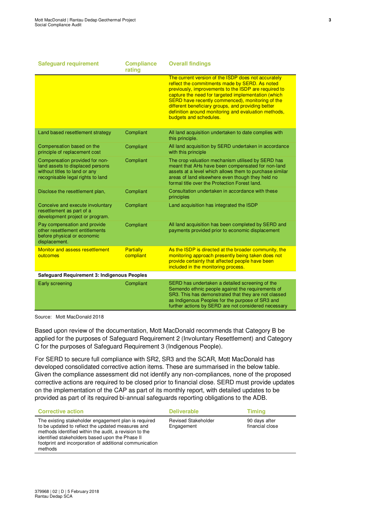| <b>Safeguard requirement</b>                                                                                                             | <b>Compliance</b><br>rating   | <b>Overall findings</b>                                                                                                                                                                                                                                                                                                                                                                                          |
|------------------------------------------------------------------------------------------------------------------------------------------|-------------------------------|------------------------------------------------------------------------------------------------------------------------------------------------------------------------------------------------------------------------------------------------------------------------------------------------------------------------------------------------------------------------------------------------------------------|
|                                                                                                                                          |                               | The current version of the ISDP does not accurately<br>reflect the commitments made by SERD. As noted<br>previously, improvements to the ISDP are required to<br>capture the need for targeted implementation (which<br>SERD have recently commenced), monitoring of the<br>different beneficiary groups, and providing better<br>definition around monitoring and evaluation methods,<br>budgets and schedules. |
| Land based resettlement strategy                                                                                                         | Compliant                     | All land acquisition undertaken to date complies with<br>this principle.                                                                                                                                                                                                                                                                                                                                         |
| Compensation based on the<br>principle of replacement cost                                                                               | Compliant                     | All land acquisition by SERD undertaken in accordance<br>with this principle                                                                                                                                                                                                                                                                                                                                     |
| Compensation provided for non-<br>land assets to displaced persons<br>without titles to land or any<br>recognisable legal rights to land | Compliant                     | The crop valuation mechanism utilised by SERD has<br>meant that AHs have been compensated for non-land<br>assets at a level which allows them to purchase similar<br>areas of land elsewhere even though they held no<br>formal title over the Protection Forest land.                                                                                                                                           |
| Disclose the resettlement plan,                                                                                                          | Compliant                     | Consultation undertaken in accordance with these<br>principles                                                                                                                                                                                                                                                                                                                                                   |
| Conceive and execute involuntary<br>resettlement as part of a<br>development project or program.                                         | Compliant                     | Land acquisition has integrated the ISDP                                                                                                                                                                                                                                                                                                                                                                         |
| Pay compensation and provide<br>other resettlement entitlements<br>before physical or economic<br>displacement.                          | Compliant                     | All land acquisition has been completed by SERD and<br>payments provided prior to economic displacement                                                                                                                                                                                                                                                                                                          |
| <b>Monitor and assess resettlement</b><br>outcomes                                                                                       | <b>Partially</b><br>compliant | As the ISDP is directed at the broader community, the<br>monitoring approach presently being taken does not<br>provide certainty that affected people have been<br>included in the monitoring process.                                                                                                                                                                                                           |
| Safeguard Requirement 3: Indigenous Peoples                                                                                              |                               |                                                                                                                                                                                                                                                                                                                                                                                                                  |
| Early screening                                                                                                                          | Compliant                     | SERD has undertaken a detailed screening of the<br>Semendo ethnic people against the requirements of<br>SR3. This has demonstrated that they are not classed<br>as Indigenous Peoples for the purpose of SR3 and<br>further actions by SERD are not considered necessary                                                                                                                                         |

Source: Mott MacDonald 2018

Based upon review of the documentation, Mott MacDonald recommends that Category B be applied for the purposes of Safeguard Requirement 2 (Involuntary Resettlement) and Category C for the purposes of Safeguard Requirement 3 (Indigenous People).

For SERD to secure full compliance with SR2, SR3 and the SCAR, Mott MacDonald has developed consolidated corrective action items. These are summarised in the below table. Given the compliance assessment did not identify any non-compliances, none of the proposed corrective actions are required to be closed prior to financial close. SERD must provide updates on the implementation of the CAP as part of its monthly report, with detailed updates to be provided as part of its required bi-annual safeguards reporting obligations to the ADB.

| <b>Corrective action</b>                                                                                                                                                                                                                                                                     | <b>Deliverable</b>                       | Timina                           |
|----------------------------------------------------------------------------------------------------------------------------------------------------------------------------------------------------------------------------------------------------------------------------------------------|------------------------------------------|----------------------------------|
| The existing stakeholder engagement plan is required<br>to be updated to reflect the updated measures and<br>methods identified within the audit, a revision to the<br>identified stakeholders based upon the Phase II<br>footprint and incorporation of additional communication<br>methods | <b>Revised Stakeholder</b><br>Engagement | 90 days after<br>financial close |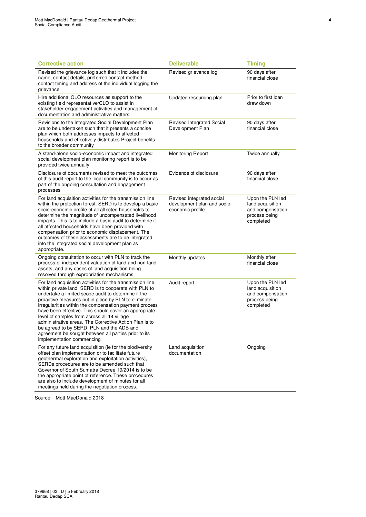| <b>Corrective action</b>                                                                                                                                                                                                                                                                                                                                                                                                                                                                                                                                                                       | <b>Deliverable</b>                                                           | <b>Timing</b>                                                                          |
|------------------------------------------------------------------------------------------------------------------------------------------------------------------------------------------------------------------------------------------------------------------------------------------------------------------------------------------------------------------------------------------------------------------------------------------------------------------------------------------------------------------------------------------------------------------------------------------------|------------------------------------------------------------------------------|----------------------------------------------------------------------------------------|
| Revised the grievance log such that it includes the<br>name, contact details, preferred contact method,<br>contact timing and address of the individual logging the<br>grievance                                                                                                                                                                                                                                                                                                                                                                                                               | Revised grievance log                                                        | 90 days after<br>financial close                                                       |
| Hire additional CLO resources as support to the<br>existing field representative/CLO to assist in<br>stakeholder engagement activities and management of<br>documentation and administrative matters                                                                                                                                                                                                                                                                                                                                                                                           | Updated resourcing plan                                                      | Prior to first loan<br>draw down                                                       |
| Revisions to the Integrated Social Development Plan<br>are to be undertaken such that it presents a concise<br>plan which both addresses impacts to affected<br>households and effectively distributes Project benefits<br>to the broader community                                                                                                                                                                                                                                                                                                                                            | Revised Integrated Social<br>Development Plan                                | 90 days after<br>financial close                                                       |
| A stand-alone socio-economic impact and integrated<br>social development plan monitoring report is to be<br>provided twice annually                                                                                                                                                                                                                                                                                                                                                                                                                                                            | <b>Monitoring Report</b>                                                     | Twice annually                                                                         |
| Disclosure of documents revised to meet the outcomes<br>of this audit report to the local community is to occur as<br>part of the ongoing consultation and engagement<br>processes                                                                                                                                                                                                                                                                                                                                                                                                             | Evidence of disclosure                                                       | 90 days after<br>financial close                                                       |
| For land acquisition activities for the transmission line<br>within the protection forest, SERD is to develop a basic<br>socio-economic profile of all affected households to<br>determine the magnitude of uncompensated livelihood<br>impacts. This is to include a basic audit to determine if<br>all affected households have been provided with<br>compensation prior to economic displacement. The<br>outcomes of these assessments are to be integrated<br>into the integrated social development plan as<br>appropriate.                                                               | Revised integrated social<br>development plan and socio-<br>economic profile | Upon the PLN led<br>land acquisition<br>and compensation<br>process being<br>completed |
| Ongoing consultation to occur with PLN to track the<br>process of independent valuation of land and non-land<br>assets, and any cases of land acquisition being<br>resolved through expropriation mechanisms                                                                                                                                                                                                                                                                                                                                                                                   | Monthly updates                                                              | Monthly after<br>financial close                                                       |
| For land acquisition activities for the transmission line<br>within private land, SERD is to cooperate with PLN to<br>undertake a limited scope audit to determine if the<br>proactive measures put in place by PLN to eliminate<br>irregularities within the compensation payment process<br>have been effective. This should cover an appropriate<br>level of samples from across all 14 village<br>administrative areas. The Corrective Action Plan is to<br>be agreed to by SERD, PLN and the ADB and<br>agreement be sought between all parties prior to its<br>implementation commencing | Audit report                                                                 | Upon the PLN led<br>land acquisition<br>and compensation<br>process being<br>completed |
| For any future land acquisition (ie for the biodiversity<br>offset plan implementation or to facilitate future<br>geothermal exploration and exploitation activities),<br>SERDs procedures are to be amended such that<br>Governor of South Sumatra Decree 19/2014 is to be<br>the appropriate point of reference. These procedures<br>are also to include development of minutes for all<br>meetings held during the negotiation process.                                                                                                                                                     | Land acquisition<br>documentation                                            | Ongoing                                                                                |

Source: Mott MacDonald 2018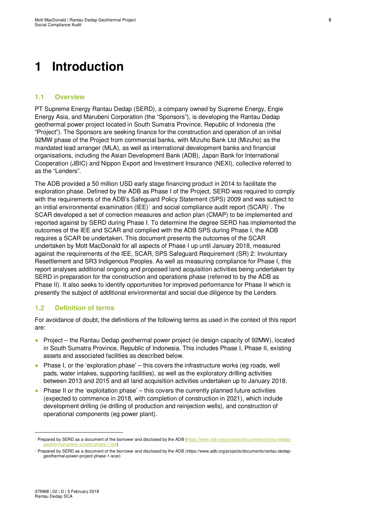### <span id="page-13-0"></span>**1 Introduction**

#### <span id="page-13-1"></span>**1.1 Overview**

PT Supreme Energy Rantau Dedap (SERD), a company owned by Supreme Energy, Engie Energy Asia, and Marubeni Corporation (the "Sponsors"), is developing the Rantau Dedap geothermal power project located in South Sumatra Province, Republic of Indonesia (the "Project"). The Sponsors are seeking finance for the construction and operation of an initial 92MW phase of the Project from commercial banks, with Mizuho Bank Ltd (Mizuho) as the mandated lead arranger (MLA), as well as international development banks and financial organisations, including the Asian Development Bank (ADB), Japan Bank for International Cooperation (JBIC) and Nippon Export and Investment Insurance (NEXI), collective referred to as the "Lenders".

The ADB provided a 50 million USD early stage financing product in 2014 to facilitate the exploration phase. Defined by the ADB as Phase I of the Project, SERD was required to comply with the requirements of the ADB's Safeguard Policy Statement (SPS) 2009 and was [su](#page-13-4)bject to an initial environmental examination (IEE)<sup>[1](#page-13-3)</sup> and social compliance audit report (SCAR)<sup>2</sup>. The SCAR developed a set of correction measures and action plan (CMAP) to be implemented and reported against by SERD during Phase I. To determine the degree SERD has implemented the outcomes of the IEE and SCAR and complied with the ADB SPS during Phase I, the ADB requires a SCAR be undertaken. This document presents the outcomes of the SCAR undertaken by Mott MacDonald for all aspects of Phase I up until January 2018, measured against the requirements of the IEE, SCAR, SPS Safeguard Requirement (SR) 2: Involuntary Resettlement and SR3 Indigenous Peoples. As well as measuring compliance for Phase I, this report analyses additional ongoing and proposed land acquisition activities being undertaken by SERD in preparation for the construction and operations phase (referred to by the ADB as Phase II). It also seeks to identify opportunities for improved performance for Phase II which is presently the subject of additional environmental and social due diligence by the Lenders.

#### <span id="page-13-2"></span>**1.2 Definition of terms**

For avoidance of doubt, the definitions of the following terms as used in the context of this report are:

- Project the Rantau Dedap geothermal power project (ie design capacity of 92MW), located in South Sumatra Province, Republic of Indonesia. This includes Phase I, Phase II, existing assets and associated facilities as described below.
- Phase I, or the 'exploration phase' this covers the infrastructure works (eg roads, well pads, water intakes, supporting facilities), as well as the exploratory drilling activities between 2013 and 2015 and all land acquisition activities undertaken up to January 2018.
- Phase II or the 'exploitation phase' this covers the currently planned future activities (expected to commence in 2018, with completion of construction in 2021), which include development drilling (ie drilling of production and reinjection wells), and construction of operational components (eg power plant).

<span id="page-13-3"></span>Prepared by SERD as a document of the borrower and disclosed by the ADB (https://www.adb.org/projects/documents/rantau-dedapgeothermal-power-project-phase-1-iee)

<span id="page-13-4"></span><sup>2</sup> Prepared by SERD as a document of the borrower and disclosed by the ADB (https://www.adb.org/projects/documents/rantau-dedapgeothermal-power-project-phase-1-scar)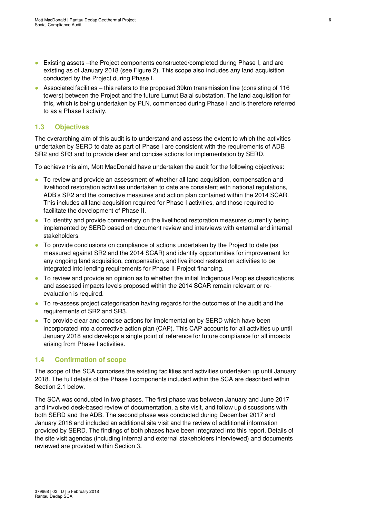- Existing assets –the Project components constructed/completed during Phase I, and are existing as of January 2018 (see [Figure 2\)](#page-18-0). This scope also includes any land acquisition conducted by the Project during Phase I.
- Associated facilities this refers to the proposed 39km transmission line (consisting of 116 towers) between the Project and the future Lumut Balai substation. The land acquisition for this, which is being undertaken by PLN, commenced during Phase I and is therefore referred to as a Phase I activity.

#### <span id="page-14-0"></span>**1.3 Objectives**

The overarching aim of this audit is to understand and assess the extent to which the activities undertaken by SERD to date as part of Phase I are consistent with the requirements of ADB SR2 and SR3 and to provide clear and concise actions for implementation by SERD.

To achieve this aim, Mott MacDonald have undertaken the audit for the following objectives:

- To review and provide an assessment of whether all land acquisition, compensation and livelihood restoration activities undertaken to date are consistent with national regulations, ADB's SR2 and the corrective measures and action plan contained within the 2014 SCAR. This includes all land acquisition required for Phase I activities, and those required to facilitate the development of Phase II.
- To identify and provide commentary on the livelihood restoration measures currently being implemented by SERD based on document review and interviews with external and internal stakeholders.
- To provide conclusions on compliance of actions undertaken by the Project to date (as measured against SR2 and the 2014 SCAR) and identify opportunities for improvement for any ongoing land acquisition, compensation, and livelihood restoration activities to be integrated into lending requirements for Phase II Project financing.
- To review and provide an opinion as to whether the initial Indigenous Peoples classifications and assessed impacts levels proposed within the 2014 SCAR remain relevant or reevaluation is required.
- To re-assess project categorisation having regards for the outcomes of the audit and the requirements of SR2 and SR3.
- To provide clear and concise actions for implementation by SERD which have been incorporated into a corrective action plan (CAP). This CAP accounts for all activities up until January 2018 and develops a single point of reference for future compliance for all impacts arising from Phase I activities.

#### <span id="page-14-1"></span>**1.4 Confirmation of scope**

The scope of the SCA comprises the existing facilities and activities undertaken up until January 2018. The full details of the Phase I components included within the SCA are described within Section [2.1](#page-15-1) below.

The SCA was conducted in two phases. The first phase was between January and June 2017 and involved desk-based review of documentation, a site visit, and follow up discussions with both SERD and the ADB. The second phase was conducted during December 2017 and January 2018 and included an additional site visit and the review of additional information provided by SERD. The findings of both phases have been integrated into this report. Details of the site visit agendas (including internal and external stakeholders interviewed) and documents reviewed are provided within Section [3.](#page-24-0)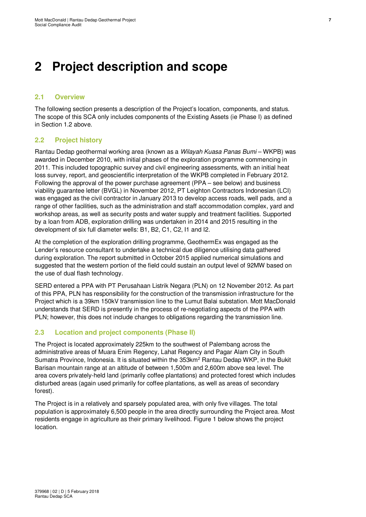### <span id="page-15-0"></span>**2 Project description and scope**

#### <span id="page-15-1"></span>**2.1 Overview**

The following section presents a description of the Project's location, components, and status. The scope of this SCA only includes components of the Existing Assets (ie Phase I) as defined in Section [1.2](#page-13-2) above.

#### <span id="page-15-2"></span>**2.2 Project history**

Rantau Dedap geothermal working area (known as a *Wilayah Kuasa Panas Bumi* – WKPB) was awarded in December 2010, with initial phases of the exploration programme commencing in 2011. This included topographic survey and civil engineering assessments, with an initial heat loss survey, report, and geoscientific interpretation of the WKPB completed in February 2012. Following the approval of the power purchase agreement (PPA – see below) and business viability guarantee letter (BVGL) in November 2012, PT Leighton Contractors Indonesian (LCI) was engaged as the civil contractor in January 2013 to develop access roads, well pads, and a range of other facilities, such as the administration and staff accommodation complex, yard and workshop areas, as well as security posts and water supply and treatment facilities. Supported by a loan from ADB, exploration drilling was undertaken in 2014 and 2015 resulting in the development of six full diameter wells: B1, B2, C1, C2, I1 and I2.

At the completion of the exploration drilling programme, GeothermEx was engaged as the Lender's resource consultant to undertake a technical due diligence utilising data gathered during exploration. The report submitted in October 2015 applied numerical simulations and suggested that the western portion of the field could sustain an output level of 92MW based on the use of dual flash technology.

SERD entered a PPA with PT Perusahaan Listrik Negara (PLN) on 12 November 2012. As part of this PPA, PLN has responsibility for the construction of the transmission infrastructure for the Project which is a 39km 150kV transmission line to the Lumut Balai substation. Mott MacDonald understands that SERD is presently in the process of re-negotiating aspects of the PPA with PLN; however, this does not include changes to obligations regarding the transmission line.

#### <span id="page-15-3"></span>**2.3 Location and project components (Phase II)**

The Project is located approximately 225km to the southwest of Palembang across the administrative areas of Muara Enim Regency, Lahat Regency and Pagar Alam City in South Sumatra Province, Indonesia. It is situated within the 353km<sup>2</sup> Rantau Dedap WKP, in the Bukit Barisan mountain range at an altitude of between 1,500m and 2,600m above sea level. The area covers privately-held land (primarily coffee plantations) and protected forest which includes disturbed areas (again used primarily for coffee plantations, as well as areas of secondary forest).

The Project is in a relatively and sparsely populated area, with only five villages. The total population is approximately 6,500 people in the area directly surrounding the Project area. Most residents engage in agriculture as their primary livelihood. [Figure 1](#page-16-0) below shows the project location.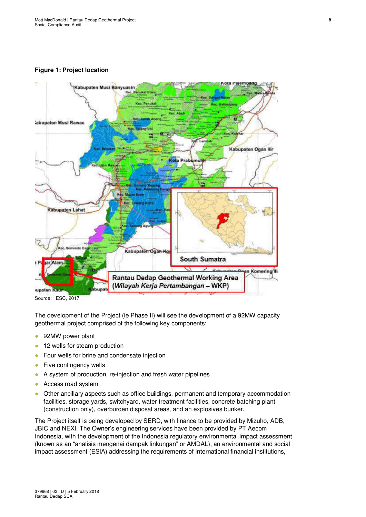#### <span id="page-16-0"></span>**Figure 1: Project location**



Source: ESC, 2017

The development of the Project (ie Phase II) will see the development of a 92MW capacity geothermal project comprised of the following key components:

- 92MW power plant
- 12 wells for steam production
- Four wells for brine and condensate injection
- Five contingency wells
- A system of production, re-injection and fresh water pipelines
- Access road system
- Other ancillary aspects such as office buildings, permanent and temporary accommodation facilities, storage yards, switchyard, water treatment facilities, concrete batching plant (construction only), overburden disposal areas, and an explosives bunker.

The Project itself is being developed by SERD, with finance to be provided by Mizuho, ADB, JBIC and NEXI. The Owner's engineering services have been provided by PT Aecom Indonesia, with the development of the Indonesia regulatory environmental impact assessment (known as an "analisis mengenai dampak linkungan" or AMDAL), an environmental and social impact assessment (ESIA) addressing the requirements of international financial institutions,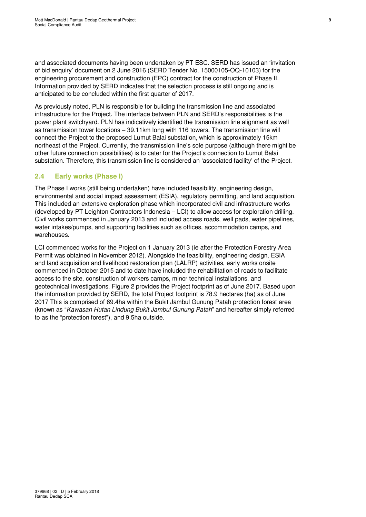and associated documents having been undertaken by PT ESC. SERD has issued an 'invitation of bid enquiry' document on 2 June 2016 (SERD Tender No. 15000105-OQ-10103) for the engineering procurement and construction (EPC) contract for the construction of Phase II. Information provided by SERD indicates that the selection process is still ongoing and is anticipated to be concluded within the first quarter of 2017.

As previously noted, PLN is responsible for building the transmission line and associated infrastructure for the Project. The interface between PLN and SERD's responsibilities is the power plant switchyard. PLN has indicatively identified the transmission line alignment as well as transmission tower locations – 39.11km long with 116 towers. The transmission line will connect the Project to the proposed Lumut Balai substation, which is approximately 15km northeast of the Project. Currently, the transmission line's sole purpose (although there might be other future connection possibilities) is to cater for the Project's connection to Lumut Balai substation. Therefore, this transmission line is considered an 'associated facility' of the Project.

#### <span id="page-17-0"></span>**2.4 Early works (Phase I)**

The Phase I works (still being undertaken) have included feasibility, engineering design, environmental and social impact assessment (ESIA), regulatory permitting, and land acquisition. This included an extensive exploration phase which incorporated civil and infrastructure works (developed by PT Leighton Contractors Indonesia – LCI) to allow access for exploration drilling. Civil works commenced in January 2013 and included access roads, well pads, water pipelines, water intakes/pumps, and supporting facilities such as offices, accommodation camps, and warehouses.

LCI commenced works for the Project on 1 January 2013 (ie after the Protection Forestry Area Permit was obtained in November 2012). Alongside the feasibility, engineering design, ESIA and land acquisition and livelihood restoration plan (LALRP) activities, early works onsite commenced in October 2015 and to date have included the rehabilitation of roads to facilitate access to the site, construct[ion of wo](#page-18-0)rkers camps, minor technical installations, and geotechnical investigations. Figure 2 provides the Project footprint as of June 2017. Based upon the information provided by SERD, the total Project footprint is 78.9 hectares (ha) as of June 2017 This is comprised of 69.4ha within the Bukit Jambul Gunung Patah protection forest area (known as "*Kawasan Hutan Lindung Bukit Jambul Gunung Patah*" and hereafter simply referred to as the "protection forest"), and 9.5ha outside.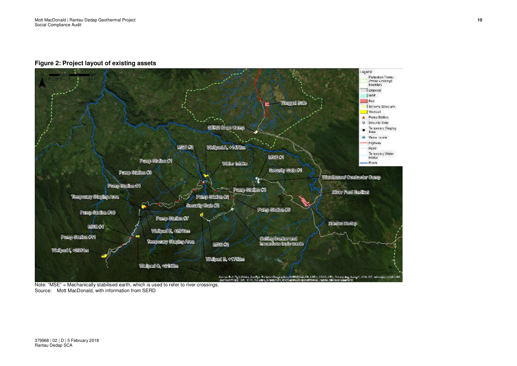<span id="page-18-0"></span>**Figure 2: Project layout of existing assets**



Note: "MSE" = Mechanically stabilised earth, which is used to refer to river crossings. Source: Mott MacDonald, with information from SERD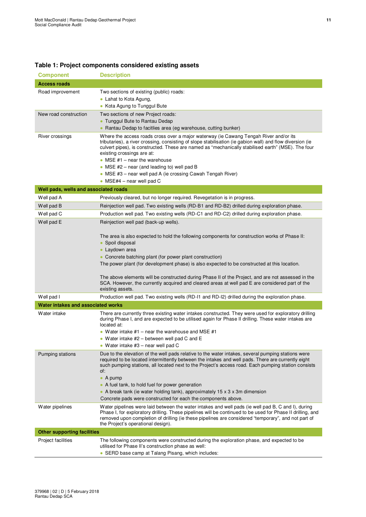### **Table 1: Project components considered existing assets**

| <b>Component</b>                                                               | <b>Description</b>                                                                                                                                                                                                                                                                                                                                                                                                                                                                                                                                                                                                                                                                                                                                                                                                                                                                                                                                                                                                                                                  |
|--------------------------------------------------------------------------------|---------------------------------------------------------------------------------------------------------------------------------------------------------------------------------------------------------------------------------------------------------------------------------------------------------------------------------------------------------------------------------------------------------------------------------------------------------------------------------------------------------------------------------------------------------------------------------------------------------------------------------------------------------------------------------------------------------------------------------------------------------------------------------------------------------------------------------------------------------------------------------------------------------------------------------------------------------------------------------------------------------------------------------------------------------------------|
| <b>Access roads</b>                                                            |                                                                                                                                                                                                                                                                                                                                                                                                                                                                                                                                                                                                                                                                                                                                                                                                                                                                                                                                                                                                                                                                     |
| Road improvement                                                               | Two sections of existing (public) roads:<br>• Lahat to Kota Agung,<br>• Kota Agung to Tunggul Bute                                                                                                                                                                                                                                                                                                                                                                                                                                                                                                                                                                                                                                                                                                                                                                                                                                                                                                                                                                  |
| New road construction                                                          | Two sections of new Project roads:<br>• Tunggul Bute to Rantau Dedap<br>Rantau Dedap to facitlies area (eg warehouse, cutting bunker)<br>$\bullet$                                                                                                                                                                                                                                                                                                                                                                                                                                                                                                                                                                                                                                                                                                                                                                                                                                                                                                                  |
| River crossings                                                                | Where the access roads cross over a major waterway (ie Cawang Tengah River and/or its<br>tributaries), a river crossing, consisting of slope stabilisation (ie gabion wall) and flow diversion (ie<br>culvert pipes), is constructed. These are named as "mechanically stabilised earth" (MSE). The four<br>existing crossings are at:<br>• MSE $#1$ – near the warehouse<br>• MSE $#2$ – near (and leading to) well pad B<br>• MSE #3 – near well pad A (ie crossing Cawah Tengah River)<br>• MSE#4 – near well pad C                                                                                                                                                                                                                                                                                                                                                                                                                                                                                                                                              |
| Well pads, wells and associated roads                                          |                                                                                                                                                                                                                                                                                                                                                                                                                                                                                                                                                                                                                                                                                                                                                                                                                                                                                                                                                                                                                                                                     |
| Well pad A                                                                     | Previously cleared, but no longer required. Revegetation is in progress.                                                                                                                                                                                                                                                                                                                                                                                                                                                                                                                                                                                                                                                                                                                                                                                                                                                                                                                                                                                            |
| Well pad B                                                                     | Reinjection well pad. Two existing wells (RD-B1 and RD-B2) drilled during exploration phase.                                                                                                                                                                                                                                                                                                                                                                                                                                                                                                                                                                                                                                                                                                                                                                                                                                                                                                                                                                        |
| Well pad C                                                                     | Production well pad. Two existing wells (RD-C1 and RD-C2) drilled during exploration phase.                                                                                                                                                                                                                                                                                                                                                                                                                                                                                                                                                                                                                                                                                                                                                                                                                                                                                                                                                                         |
| Well pad E<br>Well pad I<br>Water intakes and associated works<br>Water intake | Reinjection well pad (back-up wells).<br>The area is also expected to hold the following components for construction works of Phase II:<br>• Spoil disposal<br>• Laydown area<br>• Concrete batching plant (for power plant construction)<br>The power plant (for development phase) is also expected to be constructed at this location.<br>The above elements will be constructed during Phase II of the Project, and are not assessed in the<br>SCA. However, the currently acquired and cleared areas at well pad E are considered part of the<br>existing assets.<br>Production well pad. Two existing wells (RD-11 and RD-12) drilled during the exploration phase.<br>There are currently three existing water intakes constructed. They were used for exploratory drilling<br>during Phase I, and are expected to be utilised again for Phase II drilling. These water intakes are<br>located at:<br>• Water intake $#1$ – near the warehouse and MSE $#1$<br>• Water intake $#2$ – between well pad C and E<br>$\bullet$ Water intake #3 - near well pad C |
| Pumping stations                                                               | Due to the elevation of the well pads relative to the water intakes, several pumping stations were<br>required to be located intermittently between the intakes and well pads. There are currently eight<br>such pumping stations, all located next to the Project's access road. Each pumping station consists<br>of:<br>$\bullet$ A pump<br>• A fuel tank, to hold fuel for power generation<br>• A break tank (ie water holding tank), approximately 15 x $3 \times 3$ m dimension<br>Concrete pads were constructed for each the components above.                                                                                                                                                                                                                                                                                                                                                                                                                                                                                                              |
| Water pipelines                                                                | Water pipelines were laid between the water intakes and well pads (ie well pad B, C and I), during<br>Phase I, for exploratory drilling. These pipelines will be continued to be used for Phase II drilling, and<br>removed upon completion of drilling (ie these pipelines are considered "temporary", and not part of<br>the Project's operational design).                                                                                                                                                                                                                                                                                                                                                                                                                                                                                                                                                                                                                                                                                                       |
| <b>Other supporting facilities</b>                                             |                                                                                                                                                                                                                                                                                                                                                                                                                                                                                                                                                                                                                                                                                                                                                                                                                                                                                                                                                                                                                                                                     |
| Project facilities                                                             | The following components were constructed during the exploration phase, and expected to be<br>utilised for Phase II's construction phase as well:<br>• SERD base camp at Talang Pisang, which includes:                                                                                                                                                                                                                                                                                                                                                                                                                                                                                                                                                                                                                                                                                                                                                                                                                                                             |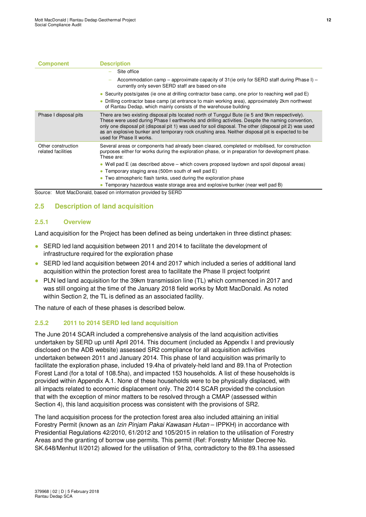| <b>Component</b>                         | <b>Description</b>                                                                                                                                                                                                                                                                                                                                                                                                                            |
|------------------------------------------|-----------------------------------------------------------------------------------------------------------------------------------------------------------------------------------------------------------------------------------------------------------------------------------------------------------------------------------------------------------------------------------------------------------------------------------------------|
|                                          | Site office                                                                                                                                                                                                                                                                                                                                                                                                                                   |
|                                          | Accommodation camp – approximate capacity of $31$ (ie only for SERD staff during Phase I) –<br>currently only seven SERD staff are based on-site                                                                                                                                                                                                                                                                                              |
|                                          | • Security posts/gates (ie one at drilling contractor base camp, one prior to reaching well pad E)<br>• Drilling contractor base camp (at entrance to main working area), approximately 2km northwest<br>of Rantau Dedap, which mainly consists of the warehouse building                                                                                                                                                                     |
| Phase I disposal pits                    | There are two existing disposal pits located north of Tunggul Bute (ie 5 and 9km respectively).<br>These were used during Phase I earthworks and drilling activities. Despite the naming convention,<br>only one disposal pit (disposal pit 1) was used for soil disposal. The other (disposal pit 2) was used<br>as an explosive bunker and temporary rock crushing area. Neither disposal pit is expected to be<br>used for Phase II works. |
| Other construction<br>related facilities | Several areas or components had already been cleared, completed or mobilised, for construction<br>purposes either for works during the exploration phase, or in preparation for development phase.<br>These are:                                                                                                                                                                                                                              |
|                                          | • Well pad E (as described above – which covers proposed laydown and spoil disposal areas)                                                                                                                                                                                                                                                                                                                                                    |
|                                          | • Temporary staging area (500m south of well pad E)                                                                                                                                                                                                                                                                                                                                                                                           |
|                                          | • Two atmospheric flash tanks, used during the exploration phase                                                                                                                                                                                                                                                                                                                                                                              |
|                                          | • Temporary hazardous waste storage area and explosive bunker (near well pad B)                                                                                                                                                                                                                                                                                                                                                               |

Source: Mott MacDonald, based on information provided by SERD

### <span id="page-20-0"></span>**2.5 Description of land acquisition**

#### **2.5.1 Overview**

Land acquisition for the Project has been defined as being undertaken in three distinct phases:

- SERD led land acquisition between 2011 and 2014 to facilitate the development of infrastructure required for the exploration phase
- SERD led land acquisition between 2014 and 2017 which included a series of additional land acquisition within the protection forest area to facilitate the Phase II project footprint
- PLN led land acquisition for the 39km transmission line (TL) which commenced in 2017 and was still ongoing at the time of the January 2018 field works by Mott MacDonald. As noted within Section [2,](#page-15-0) the TL is defined as an associated facility.

The nature of each of these phases is described below.

#### **2.5.2 2011 to 2014 SERD led land acquisition**

The June 2014 SCAR included a comprehensive analysis of the land acquisition activities undertaken by SERD up until April 2014. This document (included as Appendix I and previously disclosed on the ADB website) assessed SR2 compliance for all acquisition activities undertaken between 2011 and January 2014. This phase of land acquisition was primarily to facilitate the exploration phase, included 19.4ha of privately-held land and 89.1ha of Protection Forest Land (for a total of 108.5ha), and impacted 153 households. A list of these households is provided within Appendix A.1. None of these households were to be physically displaced, with all impacts related to economic displacement only. The 2014 SCAR provided the conclusion that with the exception of minor matters to be resolved through a CMAP (assessed within Section [4\)](#page-26-0), this land acquisition process was consistent with the provisions of SR2.

The land acquisition process for the protection forest area also included attaining an initial Forestry Permit (known as an *Izin Pinjam Pakai Kawasan Hutan* – IPPKH) in accordance with Presidential Regulations 42/2010, 61/2012 and 105/2015 in relation to the utilisation of Forestry Areas and the granting of borrow use permits. This permit (Ref: Forestry Minister Decree No. SK.648/Menhut II/2012) allowed for the utilisation of 91ha, contradictory to the 89.1ha assessed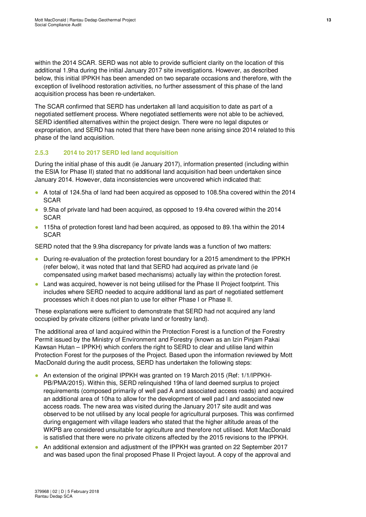within the 2014 SCAR. SERD was not able to provide sufficient clarity on the location of this additional 1.9ha during the initial January 2017 site investigations. However, as described below, this initial IPPKH has been amended on two separate occasions and therefore, with the exception of livelihood restoration activities, no further assessment of this phase of the land acquisition process has been re-undertaken.

The SCAR confirmed that SERD has undertaken all land acquisition to date as part of a negotiated settlement process. Where negotiated settlements were not able to be achieved, SERD identified alternatives within the project design. There were no legal disputes or expropriation, and SERD has noted that there have been none arising since 2014 related to this phase of the land acquisition.

#### **2.5.3 2014 to 2017 SERD led land acquisition**

During the initial phase of this audit (ie January 2017), information presented (including within the ESIA for Phase II) stated that no additional land acquisition had been undertaken since January 2014. However, data inconsistencies were uncovered which indicated that:

- A total of 124.5ha of land had been acquired as opposed to 108.5ha covered within the 2014 **SCAR**
- 9.5ha of private land had been acquired, as opposed to 19.4ha covered within the 2014 SCAR
- 115ha of protection forest land had been acquired, as opposed to 89.1ha within the 2014 **SCAR**

SERD noted that the 9.9ha discrepancy for private lands was a function of two matters:

- During re-evaluation of the protection forest boundary for a 2015 amendment to the IPPKH (refer below), it was noted that land that SERD had acquired as private land (ie compensated using market based mechanisms) actually lay within the protection forest.
- Land was acquired, however is not being utilised for the Phase II Project footprint. This includes where SERD needed to acquire additional land as part of negotiated settlement processes which it does not plan to use for either Phase I or Phase II.

These explanations were sufficient to demonstrate that SERD had not acquired any land occupied by private citizens (either private land or forestry land).

The additional area of land acquired within the Protection Forest is a function of the Forestry Permit issued by the Ministry of Environment and Forestry (known as an Izin Pinjam Pakai Kawsan Hutan – IPPKH) which confers the right to SERD to clear and utilise land within Protection Forest for the purposes of the Project. Based upon the information reviewed by Mott MacDonald during the audit process, SERD has undertaken the following steps:

- An extension of the original IPPKH was granted on 19 March 2015 (Ref: 1/1/IPPKH-PB/PMA/2015). Within this, SERD relinquished 19ha of land deemed surplus to project requirements (composed primarily of well pad A and associated access roads) and acquired an additional area of 10ha to allow for the development of well pad I and associated new access roads. The new area was visited during the January 2017 site audit and was observed to be not utilised by any local people for agricultural purposes. This was confirmed during engagement with village leaders who stated that the higher altitude areas of the WKPB are considered unsuitable for agriculture and therefore not utilised. Mott MacDonald is satisfied that there were no private citizens affected by the 2015 revisions to the IPPKH.
- An additional extension and adjustment of the IPPKH was granted on 22 September 2017 and was based upon the final proposed Phase II Project layout. A copy of the approval and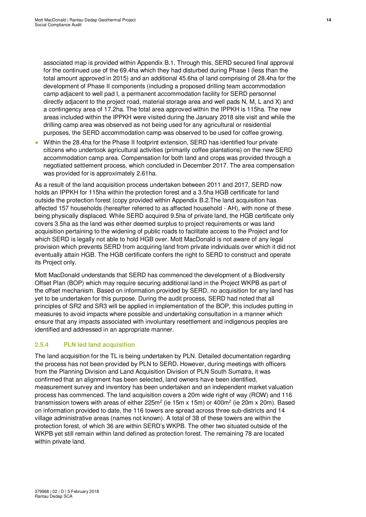associated map is provided within Appendix B.1. Through this, SERD secured final approval for the continued use of the 69.4ha which they had disturbed during Phase I (less than the total amount approved in 2015) and an additional 45.6ha of land comprising of 28.4ha for the development of Phase II components (including a proposed drilling team accommodation camp adjacent to well pad I, a permanent accommodation facility for SERD personnel directly adjacent to the project road, material storage area and well pads N, M, L and X) and a contingency area of 17.2ha. The total area approved within the IPPKH is 115ha. The new areas included within the IPPKH were visited during the January 2018 site visit and while the drilling camp area was observed as not being used for any agricultural or residential purposes, the SERD accommodation camp was observed to be used for coffee growing.

● Within the 28.4ha for the Phase II footprint extension, SERD has identified four private citizens who undertook agricultural activities (primarily coffee plantations) on the new SERD accommodation camp area. Compensation for both land and crops was provided through a negotiated settlement process, which concluded in December 2017. The area compensation was provided for is approximately 2.61ha.

As a result of the land acquisition process undertaken between 2011 and 2017, SERD now holds an IPPKH for 115ha within the protection forest and a 3.5ha HGB certificate for land outside the protection forest (copy provided within Appendix B.2.The land acquisition has affected 157 households (hereafter referred to as affected household - AH), with none of these being physically displaced. While SERD acquired 9.5ha of private land, the HGB certificate only covers 3.5ha as the land was either deemed surplus to project requirements or was land acquisition pertaining to the widening of public roads to facilitate access to the Project and for which SERD is legally not able to hold HGB over. Mott MacDonald is not aware of any legal provision which prevents SERD from acquiring land from private individuals over which it did not eventually attain HGB. The HGB certificate confers the right to SERD to construct and operate its Project only.

Mott MacDonald understands that SERD has commenced the development of a Biodiversity Offset Plan (BOP) which may require securing additional land in the Project WKPB as part of the offset mechanism. Based on information provided by SERD, no acquisition for any land has yet to be undertaken for this purpose. During the audit process, SERD had noted that all principles of SR2 and SR3 will be applied in implementation of the BOP, this includes putting in measures to avoid impacts where possible and undertaking consultation in a manner which ensure that any impacts associated with involuntary resettlement and indigenous peoples are identified and addressed in an appropriate manner.

#### **2.5.4 PLN led land acquisition**

The land acquisition for the TL is being undertaken by PLN. Detailed documentation regarding the process has not been provided by PLN to SERD. However, during meetings with officers from the Planning Division and Land Acquisition Division of PLN South Sumatra, it was confirmed that an alignment has been selected, land owners have been identified, measurement survey and inventory has been undertaken and an independent market valuation process has commenced. The land acquisition covers a 20m wide right of way (ROW) and 116 transmission towers with areas of either 225m<sup>2</sup> (ie 15m x 15m) or 400m<sup>2</sup> (ie 20m x 20m). Based on information provided to date, the 116 towers are spread across three sub-districts and 14 village administrative areas (names not known). A total of 38 of these towers are within the protection forest, of which 36 are within SERD's WKPB. The other two situated outside of the WKPB yet still remain within land defined as protection forest. The remaining 78 are located within private land.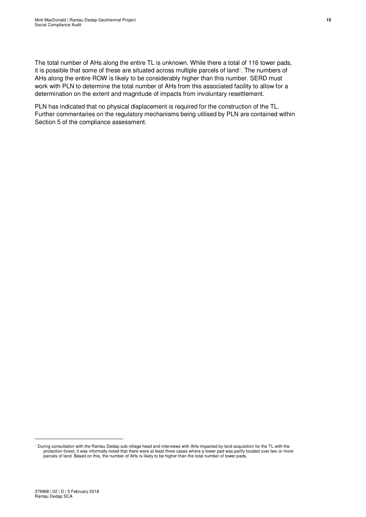The total number of AHs along the entire TL is unknown. While there a total of 116 tower pads, it is possible that some of these are situated across multiple parcels of land<sup>[3](#page-23-0)</sup>. The numbers of AHs along the entire ROW is likely to be considerably higher than this number. SERD must work with PLN to determine the total number of AHs from this associated facility to allow for a determination on the extent and magnitude of impacts from involuntary resettlement.

PLN has indicated that no physical displacement is required for the construction of the TL. Further commentaries on the regulatory mechanisms being utilised by PLN are contained within Section [5](#page-33-0) of the compliance assessment.

<span id="page-23-0"></span><sup>&</sup>lt;sup>3</sup> During consultation with the Rantau Dedap sub-village head and interviews with AHs impacted by land acquisition for the TL with the protection forest, it was informally noted that there were at least three cases where a tower pad was partly located over two or more parcels of land. Based on this, the number of AHs is likely to be higher than the total number of tower pads.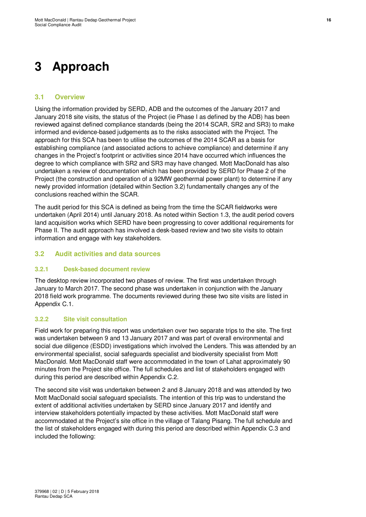## <span id="page-24-0"></span>**3 Approach**

#### <span id="page-24-1"></span>**3.1 Overview**

Using the information provided by SERD, ADB and the outcomes of the January 2017 and January 2018 site visits, the status of the Project (ie Phase I as defined by the ADB) has been reviewed against defined compliance standards (being the 2014 SCAR, SR2 and SR3) to make informed and evidence-based judgements as to the risks associated with the Project. The approach for this SCA has been to utilise the outcomes of the 2014 SCAR as a basis for establishing compliance (and associated actions to achieve compliance) and determine if any changes in the Project's footprint or activities since 2014 have occurred which influences the degree to which compliance with SR2 and SR3 may have changed. Mott MacDonald has also undertaken a review of documentation which has been provided by SERD for Phase 2 of the Project (the construction and operation of a 92MW geothermal power plant) to determine if any newly provided information (detailed within Section [3.2](#page-24-2)) fundamentally changes any of the conclusions reached within the SCAR.

The audit period for this SCA is defined as being from the time the SCAR fieldworks were undertaken (April 2014) until January 2018. As noted within Section [1.3](#page-14-0), the audit period covers land acquisition works which SERD have been progressing to cover additional requirements for Phase II. The audit approach has involved a desk-based review and two site visits to obtain information and engage with key stakeholders.

#### <span id="page-24-2"></span>**3.2 Audit activities and data sources**

#### **3.2.1 Desk-based document review**

The desktop review incorporated two phases of review. The first was undertaken through January to March 2017. The second phase was undertaken in conjunction with the January 2018 field work programme. The documents reviewed during these two site visits are listed in Appendix C.1.

#### **3.2.2 Site visit consultation**

Field work for preparing this report was undertaken over two separate trips to the site. The first was undertaken between 9 and 13 January 2017 and was part of overall environmental and social due diligence (ESDD) investigations which involved the Lenders. This was attended by an environmental specialist, social safeguards specialist and biodiversity specialist from Mott MacDonald. Mott MacDonald staff were accommodated in the town of Lahat approximately 90 minutes from the Project site office. The full schedules and list of stakeholders engaged with during this period are described within Appendix C.2.

The second site visit was undertaken between 2 and 8 January 2018 and was attended by two Mott MacDonald social safeguard specialists. The intention of this trip was to understand the extent of additional activities undertaken by SERD since January 2017 and identify and interview stakeholders potentially impacted by these activities. Mott MacDonald staff were accommodated at the Project's site office in the village of Talang Pisang. The full schedule and the list of stakeholders engaged with during this period are described within Appendix C.3 and included the following: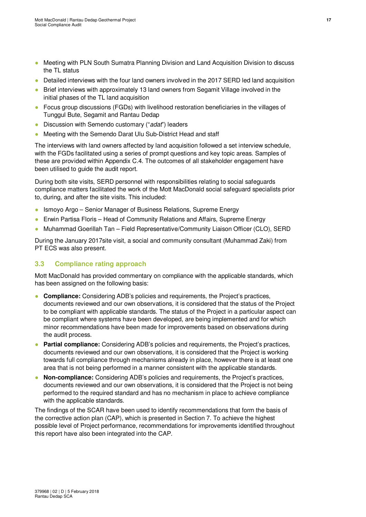- Meeting with PLN South Sumatra Planning Division and Land Acquisition Division to discuss the TL status
- Detailed interviews with the four land owners involved in the 2017 SERD led land acquisition
- Brief interviews with approximately 13 land owners from Segamit Village involved in the initial phases of the TL land acquisition
- Focus group discussions (FGDs) with livelihood restoration beneficiaries in the villages of Tunggul Bute, Segamit and Rantau Dedap
- Discussion with Semendo customary ("*adat*") leaders
- Meeting with the Semendo Darat Ulu Sub-District Head and staff

The interviews with land owners affected by land acquisition followed a set interview schedule, with the FGDs facilitated using a series of prompt questions and key topic areas. Samples of these are provided within Appendix C.4. The outcomes of all stakeholder engagement have been utilised to guide the audit report.

During both site visits, SERD personnel with responsibilities relating to social safeguards compliance matters facilitated the work of the Mott MacDonald social safeguard specialists prior to, during, and after the site visits. This included:

- Ismoyo Argo Senior Manager of Business Relations, Supreme Energy
- Erwin Partisa Floris Head of Community Relations and Affairs, Supreme Energy
- Muhammad Goerillah Tan Field Representative/Community Liaison Officer (CLO), SERD

During the January 2017site visit, a social and community consultant (Muhammad Zaki) from PT ECS was also present.

#### <span id="page-25-0"></span>**3.3 Compliance rating approach**

Mott MacDonald has provided commentary on compliance with the applicable standards, which has been assigned on the following basis:

- **Compliance:** Considering ADB's policies and requirements, the Project's practices, documents reviewed and our own observations, it is considered that the status of the Project to be compliant with applicable standards. The status of the Project in a particular aspect can be compliant where systems have been developed, are being implemented and for which minor recommendations have been made for improvements based on observations during the audit process.
- **Partial compliance:** Considering ADB's policies and requirements, the Project's practices, documents reviewed and our own observations, it is considered that the Project is working towards full compliance through mechanisms already in place, however there is at least one area that is not being performed in a manner consistent with the applicable standards.
- **Non-compliance:** Considering ADB's policies and requirements, the Project's practices, documents reviewed and our own observations, it is considered that the Project is not being performed to the required standard and has no mechanism in place to achieve compliance with the applicable standards.

The findings of the SCAR have been used to identify recommendations that form the basis of the corrective action plan (CAP), which is presented in Section 7. To achieve the highest possible level of Project performance, recommendations for improvements identified throughout this report have also been integrated into the CAP.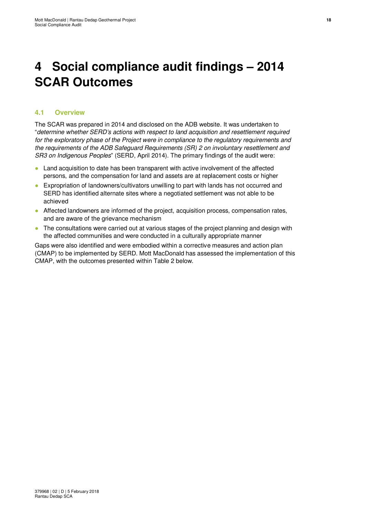## <span id="page-26-0"></span>**4 Social compliance audit findings – 2014 SCAR Outcomes**

### <span id="page-26-1"></span>**4.1 Overview**

The SCAR was prepared in 2014 and disclosed on the ADB website. It was undertaken to "*determine whether SERD's actions with respect to land acquisition and resettlement required for the exploratory phase of the Project were in compliance to the regulatory requirements and the requirements of the ADB Safeguard Requirements (SR) 2 on involuntary resettlement and SR3 on Indigenous Peoples*" (SERD, April 2014). The primary findings of the audit were:

- Land acquisition to date has been transparent with active involvement of the affected persons, and the compensation for land and assets are at replacement costs or higher
- Expropriation of landowners/cultivators unwilling to part with lands has not occurred and SERD has identified alternate sites where a negotiated settlement was not able to be achieved
- Affected landowners are informed of the project, acquisition process, compensation rates, and are aware of the grievance mechanism
- The consultations were carried out at various stages of the project planning and design with the affected communities and were conducted in a culturally appropriate manner

Gaps were also identified and were embodied within a corrective measures and action plan (CMAP) to be implemented by SERD. Mott MacDonald has assessed the implementation of this CMAP, with the outcomes presented within [Table 2](#page-27-0) below.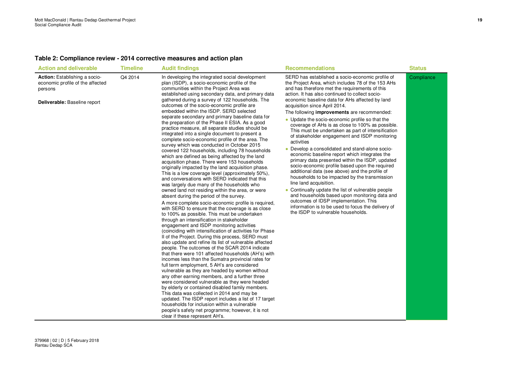| <b>Action and deliverable</b>                                                                                       | <b>Timeline</b> | <b>Audit findings</b>                                                                                                                                                                                                                                                                                                                                                                                                                                                                                                                                                                                                                                                                                                                                                                                                                                                                                                                                                                                                                                                                                                                                                                                                                                                                                                                                                                                                                                                                                                                                                                                                                                                                                                                                                                                                                                                                                                                                                                                                                                                                                                                                                                                                               | <b>Recommendations</b>                                                                                                                                                                                                                                                                                                                                                                                                                                                                                                                                                                                                                                                                                                                                                                                                                                                                                                                                                                                                                                                                                                                                              | <b>Status</b> |
|---------------------------------------------------------------------------------------------------------------------|-----------------|-------------------------------------------------------------------------------------------------------------------------------------------------------------------------------------------------------------------------------------------------------------------------------------------------------------------------------------------------------------------------------------------------------------------------------------------------------------------------------------------------------------------------------------------------------------------------------------------------------------------------------------------------------------------------------------------------------------------------------------------------------------------------------------------------------------------------------------------------------------------------------------------------------------------------------------------------------------------------------------------------------------------------------------------------------------------------------------------------------------------------------------------------------------------------------------------------------------------------------------------------------------------------------------------------------------------------------------------------------------------------------------------------------------------------------------------------------------------------------------------------------------------------------------------------------------------------------------------------------------------------------------------------------------------------------------------------------------------------------------------------------------------------------------------------------------------------------------------------------------------------------------------------------------------------------------------------------------------------------------------------------------------------------------------------------------------------------------------------------------------------------------------------------------------------------------------------------------------------------------|---------------------------------------------------------------------------------------------------------------------------------------------------------------------------------------------------------------------------------------------------------------------------------------------------------------------------------------------------------------------------------------------------------------------------------------------------------------------------------------------------------------------------------------------------------------------------------------------------------------------------------------------------------------------------------------------------------------------------------------------------------------------------------------------------------------------------------------------------------------------------------------------------------------------------------------------------------------------------------------------------------------------------------------------------------------------------------------------------------------------------------------------------------------------|---------------|
| <b>Action:</b> Establishing a socio-<br>economic profile of the affected<br>persons<br>Deliverable: Baseline report | Q4 2014         | In developing the integrated social development<br>plan (ISDP), a socio-economic profile of the<br>communities within the Project Area was<br>established using secondary data, and primary data<br>gathered during a survey of 122 households. The<br>outcomes of the socio-economic profile are<br>embedded within the ISDP. SERD selected<br>separate secondary and primary baseline data for<br>the preparation of the Phase II ESIA. As a good<br>practice measure, all separate studies should be<br>integrated into a single document to present a<br>complete socio-economic profile of the area. The<br>survey which was conducted in October 2015<br>covered 122 households, including 78 households<br>which are defined as being affected by the land<br>acquisition phase. There were 153 households<br>originally impacted by the land acquisition phase.<br>This is a low coverage level (approximately 50%),<br>and conversations with SERD indicated that this<br>was largely due many of the households who<br>owned land not residing within the area, or were<br>absent during the period of the survey.<br>A more complete socio-economic profile is required,<br>with SERD to ensure that the coverage is as close<br>to 100% as possible. This must be undertaken<br>through an intensification in stakeholder<br>engagement and ISDP monitoring activities<br>(coinciding with intensification of activities for Phase<br>If of the Project. During this process, SERD must<br>also update and refine its list of vulnerable affected<br>people. The outcomes of the SCAR 2014 indicate<br>that there were 101 affected households (AH's) with<br>incomes less than the Sumatra provincial rates for<br>full term employment, 5 AH's are considered<br>vulnerable as they are headed by women without<br>any other earning members, and a further three<br>were considered vulnerable as they were headed<br>by elderly or contained disabled family members.<br>This data was collected in 2014 and may be<br>updated. The ISDP report includes a list of 17 target<br>households for inclusion within a vulnerable<br>people's safety net programme; however, it is not<br>clear if these represent AH's. | SERD has established a socio-economic profile of<br>the Project Area, which includes 78 of the 153 AHs<br>and has therefore met the requirements of this<br>action. It has also continued to collect socio-<br>economic baseline data for AHs affected by land<br>acquisition since April 2014.<br>The following <b>improvements</b> are recommended:<br>• Update the socio-economic profile so that the<br>coverage of AHs is as close to 100% as possible.<br>This must be undertaken as part of intensification<br>of stakeholder engagement and ISDP monitoring<br>activities<br>• Develop a consolidated and stand-alone socio-<br>economic baseline report which integrates the<br>primary data presented within the ISDP, updated<br>socio-economic profile based upon the required<br>additional data (see above) and the profile of<br>households to be impacted by the transmission<br>line land acquisition.<br>• Continually update the list of vulnerable people<br>and households based upon monitoring data and<br>outcomes of IDSP implementation. This<br>information is to be used to focus the delivery of<br>the ISDP to vulnerable households. | Compliance    |

#### <span id="page-27-0"></span>**Table 2: Compliance review - 2014 corrective measures and action plan**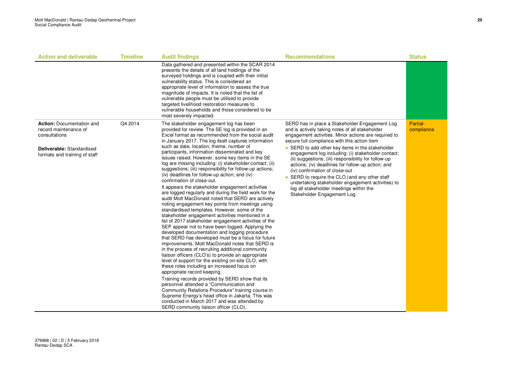| <b>Action and deliverable</b>                                                                                                                   | <b>Timeline</b> | <b>Audit findings</b>                                                                                                                                                                                                                                                                                                                                                                                                                                                                                                                                                                                                                                                                                                                                                                                                                                                                                                                                                                                                                                                                                                                                                                                                                                                                                                                                                                                                                                                                                                                                                                                                                                                                                                | <b>Recommendations</b>                                                                                                                                                                                                                                                                                                                                                                                                                                                                                                                                                                                                                             | <b>Status</b>          |
|-------------------------------------------------------------------------------------------------------------------------------------------------|-----------------|----------------------------------------------------------------------------------------------------------------------------------------------------------------------------------------------------------------------------------------------------------------------------------------------------------------------------------------------------------------------------------------------------------------------------------------------------------------------------------------------------------------------------------------------------------------------------------------------------------------------------------------------------------------------------------------------------------------------------------------------------------------------------------------------------------------------------------------------------------------------------------------------------------------------------------------------------------------------------------------------------------------------------------------------------------------------------------------------------------------------------------------------------------------------------------------------------------------------------------------------------------------------------------------------------------------------------------------------------------------------------------------------------------------------------------------------------------------------------------------------------------------------------------------------------------------------------------------------------------------------------------------------------------------------------------------------------------------------|----------------------------------------------------------------------------------------------------------------------------------------------------------------------------------------------------------------------------------------------------------------------------------------------------------------------------------------------------------------------------------------------------------------------------------------------------------------------------------------------------------------------------------------------------------------------------------------------------------------------------------------------------|------------------------|
|                                                                                                                                                 |                 | Data gathered and presented within the SCAR 2014<br>presents the details of all land holdings of the<br>surveyed holdings and is coupled with their initial<br>vulnerability status. This is considered an<br>appropriate level of information to assess the true<br>magnitude of impacts. It is noted that the list of<br>vulnerable people must be utilised to provide<br>targeted livelihood restoration measures to<br>vulnerable households and those considered to be<br>most severely impacted.                                                                                                                                                                                                                                                                                                                                                                                                                                                                                                                                                                                                                                                                                                                                                                                                                                                                                                                                                                                                                                                                                                                                                                                                               |                                                                                                                                                                                                                                                                                                                                                                                                                                                                                                                                                                                                                                                    |                        |
| <b>Action: Documentation and</b><br>record maintenance of<br>consultations<br><b>Deliverable:</b> Standardised<br>formats and training of staff | Q4 2014         | The stakeholder engagement log has been<br>provided for review. The SE log is provided in an<br>Excel format as recommended from the social audit<br>in January 2017. The log itself captures information<br>such as date, location, theme, number of<br>participants, information disseminated and key<br>issues raised. However, some key items in the SE<br>log are missing including: (i) stakeholder contact; (ii)<br>suggestions; (iii) responsibility for follow-up actions;<br>(iv) deadlines for follow-up action; and (iv)<br>confirmation of close-out.<br>It appears the stakeholder engagement activities<br>are logged regularly and during the field work for the<br>audit Mott MacDonald noted that SERD are actively<br>noting engagement key points from meetings using<br>standardised templates. However, some of the<br>stakeholder engagement activities mentioned in a<br>list of 2017 stakeholder engagement activities of the<br>SEP appear not to have been logged. Applying the<br>developed documentation and logging procedure<br>that SERD has developed must be a focus for future<br>improvements. Mott MacDonald notes that SERD is<br>in the process of recruiting additional community<br>liaison officers (CLO's) to provide an appropriate<br>level of support for the existing on-site CLO, with<br>these roles including an increased focus on<br>appropriate record keeping.<br>Training records provided by SERD show that its<br>personnel attended a "Communication and<br>Community Relations Procedure" training course in<br>Supreme Energy's head office in Jakarta. This was<br>conducted in March 2017 and was attended by<br>SERD community liaison officer (CLO). | SERD has in place a Stakeholder Engagement Log<br>and is actively taking notes of all stakeholder<br>engagement activities. Minor actions are required to<br>secure full compliance with this action item<br>• SERD to add other key items in the stakeholder<br>engagement log including: (i) stakeholder contact;<br>(ii) suggestions; (iii) responsibility for follow-up<br>actions; (iv) deadlines for follow-up action; and<br>(iv) confirmation of close-out<br>• SERD to require the CLO (and any other staff<br>undertaking stakeholder engagement activities) to<br>log all stakeholder meetings within the<br>Stakeholder Engagement Log | Partial-<br>compliance |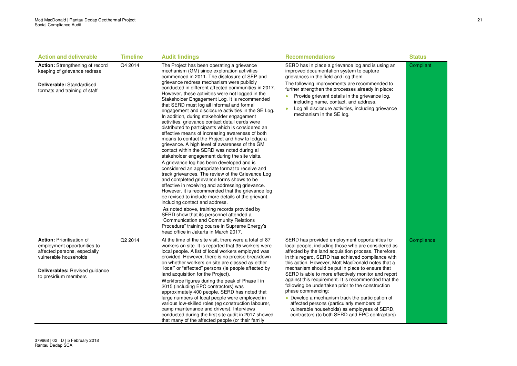| <b>Action and deliverable</b>                                                                                                                                                      | <b>Timeline</b> | <b>Audit findings</b>                                                                                                                                                                                                                                                                                                                                                                                                                                                                                                                                                                                                                                                                                                                                                                                                                                                                                                                                                                                                                                                                                                                                                                                                                                                                                                                                                                                                                                                                                         | <b>Recommendations</b>                                                                                                                                                                                                                                                                                                                                                                                                                                                                                                                                                                                                                                                                                                 | <b>Status</b> |
|------------------------------------------------------------------------------------------------------------------------------------------------------------------------------------|-----------------|---------------------------------------------------------------------------------------------------------------------------------------------------------------------------------------------------------------------------------------------------------------------------------------------------------------------------------------------------------------------------------------------------------------------------------------------------------------------------------------------------------------------------------------------------------------------------------------------------------------------------------------------------------------------------------------------------------------------------------------------------------------------------------------------------------------------------------------------------------------------------------------------------------------------------------------------------------------------------------------------------------------------------------------------------------------------------------------------------------------------------------------------------------------------------------------------------------------------------------------------------------------------------------------------------------------------------------------------------------------------------------------------------------------------------------------------------------------------------------------------------------------|------------------------------------------------------------------------------------------------------------------------------------------------------------------------------------------------------------------------------------------------------------------------------------------------------------------------------------------------------------------------------------------------------------------------------------------------------------------------------------------------------------------------------------------------------------------------------------------------------------------------------------------------------------------------------------------------------------------------|---------------|
| Action: Strengthening of record<br>keeping of grievance redress<br>Deliverable: Standardised<br>formats and training of staff                                                      | Q4 2014         | The Project has been operating a grievance<br>mechanism (GM) since exploration activities<br>commenced in 2011. The disclosure of SEP and<br>grievance redress mechanism were publicly<br>conducted in different affected communities in 2017.<br>However, these activities were not logged in the<br>Stakeholder Engagement Log. It is recommended<br>that SERD must log all informal and formal<br>engagement and disclosure activities in the SE Log.<br>In addition, during stakeholder engagement<br>activities, grievance contact detail cards were<br>distributed to participants which is considered an<br>effective means of increasing awareness of both<br>means to contact the Project and how to lodge a<br>grievance. A high level of awareness of the GM<br>contact within the SERD was noted during all<br>stakeholder engagement during the site visits.<br>A grievance log has been developed and is<br>considered an appropriate format to receive and<br>track grievances. The review of the Grievance Log<br>and completed grievance forms shows to be<br>effective in receiving and addressing grievance.<br>However, it is recommended that the grievance log<br>be revised to include more details of the grievant,<br>including contact and address.<br>As noted above, training records provided by<br>SERD show that its personnel attended a<br>"Communication and Community Relations<br>Procedure" training course in Supreme Energy's<br>head office in Jakarta in March 2017. | SERD has in place a grievance log and is using an<br>improved documentation system to capture<br>grievances in the field and log them<br>The following improvements are recommended to<br>further strengthen the processes already in place:<br>Provide grievant details in the grievance log,<br>including name, contact, and address.<br>Log all disclosure activities, including grievance<br>$\bullet$<br>mechanism in the SE log.                                                                                                                                                                                                                                                                                 | Compliant     |
| <b>Action: Prioritisation of</b><br>employment opportunities to<br>affected persons, especially<br>vulnerable households<br>Deliverables: Revised guidance<br>to presidium members | Q2 2014         | At the time of the site visit, there were a total of 87<br>workers on site. It is reported that 35 workers were<br>local people. A list of local workers employed was<br>provided. However, there is no precise breakdown<br>on whether workers on site are classed as either<br>"local" or "affected" persons (ie people affected by<br>land acquisition for the Project).<br>Workforce figures during the peak of Phase I in<br>2015 (including EPC contractors) was<br>approximately 400 people. SERD has noted that<br>large numbers of local people were employed in<br>various low-skilled roles (eg construction labourer,<br>camp maintenance and drivers). Interviews<br>conducted during the first site audit in 2017 showed<br>that many of the affected people (or their family                                                                                                                                                                                                                                                                                                                                                                                                                                                                                                                                                                                                                                                                                                                   | SERD has provided employment opportunities for<br>local people, including those who are considered as<br>affected by the land acquisition process. Therefore,<br>in this regard, SERD has achieved compliance with<br>this action. However, Mott MacDonald notes that a<br>mechanism should be put in place to ensure that<br>SERD is able to more effectively monitor and report<br>against this requirement. It is recommended that the<br>following be undertaken prior to the construction<br>phase commencing:<br>• Develop a mechanism track the participation of<br>affected persons (particularly members of<br>vulnerable households) as employees of SERD,<br>contractors (to both SERD and EPC contractors) | Compliance    |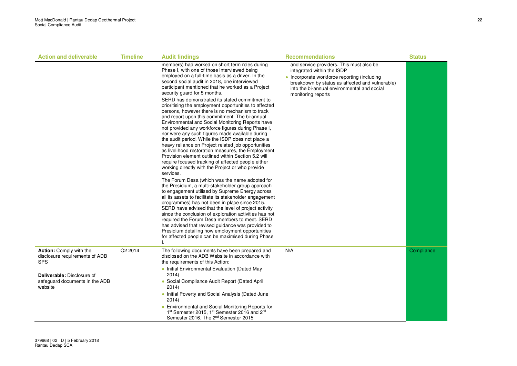| <b>Action and deliverable</b>                                                                                                                                    | <b>Timeline</b> | <b>Audit findings</b>                                                                                                                                                                                                                                                                                                                                                                                                                                                                                                                                                                                                                                                                                                                                                                                                                                                                                                                                                                                                                                                                                                                                                                                                                                                                                                                                                                                                                                                                                                                                                                                                       | <b>Recommendations</b>                                                                                                                                                                                                                         | <b>Status</b> |
|------------------------------------------------------------------------------------------------------------------------------------------------------------------|-----------------|-----------------------------------------------------------------------------------------------------------------------------------------------------------------------------------------------------------------------------------------------------------------------------------------------------------------------------------------------------------------------------------------------------------------------------------------------------------------------------------------------------------------------------------------------------------------------------------------------------------------------------------------------------------------------------------------------------------------------------------------------------------------------------------------------------------------------------------------------------------------------------------------------------------------------------------------------------------------------------------------------------------------------------------------------------------------------------------------------------------------------------------------------------------------------------------------------------------------------------------------------------------------------------------------------------------------------------------------------------------------------------------------------------------------------------------------------------------------------------------------------------------------------------------------------------------------------------------------------------------------------------|------------------------------------------------------------------------------------------------------------------------------------------------------------------------------------------------------------------------------------------------|---------------|
|                                                                                                                                                                  |                 | members) had worked on short term roles during<br>Phase I, with one of those interviewed being<br>employed on a full-time basis as a driver. In the<br>second social audit in 2018, one interviewed<br>participant mentioned that he worked as a Project<br>security guard for 5 months.<br>SERD has demonstrated its stated commitment to<br>prioritising the employment opportunities to affected<br>persons, however there is no mechanism to track<br>and report upon this commitment. The bi-annual<br>Environmental and Social Monitoring Reports have<br>not provided any workforce figures during Phase I,<br>nor were any such figures made available during<br>the audit period. While the ISDP does not place a<br>heavy reliance on Project related job opportunities<br>as livelihood restoration measures, the Employment<br>Provision element outlined within Section 5.2 will<br>require focused tracking of affected people either<br>working directly with the Project or who provide<br>services.<br>The Forum Desa (which was the name adopted for<br>the Presidium, a multi-stakeholder group approach<br>to engagement utilised by Supreme Energy across<br>all its assets to facilitate its stakeholder engagement<br>programmes) has not been in place since 2015.<br>SERD have advised that the level of project activity<br>since the conclusion of exploration activities has not<br>required the Forum Desa members to meet. SERD<br>has advised that revised guidance was provided to<br>Presidium detailing how employment opportunities<br>for affected people can be maximised during Phase | and service providers. This must also be<br>integrated within the ISDP<br>• Incorporate workforce reporting (including<br>breakdown by status as affected and vulnerable)<br>into the bi-annual environmental and social<br>monitoring reports |               |
| <b>Action:</b> Comply with the<br>disclosure requirements of ADB<br><b>SPS</b><br><b>Deliverable:</b> Disclosure of<br>safeguard documents in the ADB<br>website | Q2 2014         | The following documents have been prepared and<br>disclosed on the ADB Website in accordance with<br>the requirements of this Action:<br>• Initial Environmental Evaluation (Dated May<br>2014)<br>• Social Compliance Audit Report (Dated April<br>2014)<br>• Initial Poverty and Social Analysis (Dated June<br>2014)<br>• Environmental and Social Monitoring Reports for<br>1st Semester 2015, 1st Semester 2016 and 2nd<br>Semester 2016. The 2 <sup>nd</sup> Semester 2015                                                                                                                                                                                                                                                                                                                                                                                                                                                                                                                                                                                                                                                                                                                                                                                                                                                                                                                                                                                                                                                                                                                                            | N/A                                                                                                                                                                                                                                            | Compliance    |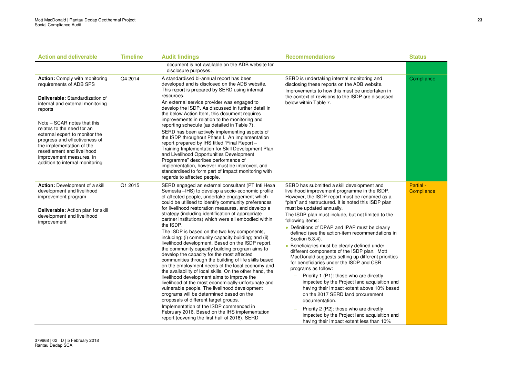| <b>Action and deliverable</b>                                                                                                                                                                                                                                                                                                                                                                                        | <b>Timeline</b> | <b>Audit findings</b>                                                                                                                                                                                                                                                                                                                                                                                                                                                                                                                                                                                                                                                                                                                                                                                                                                                                                                                                                                                                                                                                                                                                                                                                            | <b>Recommendations</b>                                                                                                                                                                                                                                                                                                                                                                                                                                                                                                                                                                                                                                                                                                                                                                                                                                                                                                                                                                           | <b>Status</b>           |
|----------------------------------------------------------------------------------------------------------------------------------------------------------------------------------------------------------------------------------------------------------------------------------------------------------------------------------------------------------------------------------------------------------------------|-----------------|----------------------------------------------------------------------------------------------------------------------------------------------------------------------------------------------------------------------------------------------------------------------------------------------------------------------------------------------------------------------------------------------------------------------------------------------------------------------------------------------------------------------------------------------------------------------------------------------------------------------------------------------------------------------------------------------------------------------------------------------------------------------------------------------------------------------------------------------------------------------------------------------------------------------------------------------------------------------------------------------------------------------------------------------------------------------------------------------------------------------------------------------------------------------------------------------------------------------------------|--------------------------------------------------------------------------------------------------------------------------------------------------------------------------------------------------------------------------------------------------------------------------------------------------------------------------------------------------------------------------------------------------------------------------------------------------------------------------------------------------------------------------------------------------------------------------------------------------------------------------------------------------------------------------------------------------------------------------------------------------------------------------------------------------------------------------------------------------------------------------------------------------------------------------------------------------------------------------------------------------|-------------------------|
|                                                                                                                                                                                                                                                                                                                                                                                                                      |                 | document is not available on the ADB website for<br>disclosure purposes.                                                                                                                                                                                                                                                                                                                                                                                                                                                                                                                                                                                                                                                                                                                                                                                                                                                                                                                                                                                                                                                                                                                                                         |                                                                                                                                                                                                                                                                                                                                                                                                                                                                                                                                                                                                                                                                                                                                                                                                                                                                                                                                                                                                  |                         |
| <b>Action:</b> Comply with monitoring<br>requirements of ADB SPS<br><b>Deliverable:</b> Standardization of<br>internal and external monitoring<br>reports<br>Note - SCAR notes that this<br>relates to the need for an<br>external expert to monitor the<br>progress and effectiveness of<br>the implementation of the<br>resettlement and livelihood<br>improvement measures, in<br>addition to internal monitoring | Q4 2014         | A standardised bi-annual report has been<br>developed and is disclosed on the ADB website.<br>This report is prepared by SERD using internal<br>resources.<br>An external service provider was engaged to<br>develop the ISDP. As discussed in further detail in<br>the below Action Item, this document requires<br>improvements in relation to the monitoring and<br>reporting schedule (as detailed in Table 7).<br>SERD has been actively implementing aspects of<br>the ISDP throughout Phase I. An implementation<br>report prepared by IHS titled "Final Report -<br>Training Implementation for Skill Development Plan<br>and Livelihood Opportunities Development<br>Programme" describes performance of<br>implementation, however must be improved, and<br>standardised to form part of impact monitoring with<br>regards to affected people.                                                                                                                                                                                                                                                                                                                                                                         | SERD is undertaking internal monitoring and<br>disclosing these reports on the ADB website.<br>Improvements to how this must be undertaken in<br>the context of revisions to the ISDP are discussed<br>below within Table 7.                                                                                                                                                                                                                                                                                                                                                                                                                                                                                                                                                                                                                                                                                                                                                                     | Compliance              |
| <b>Action:</b> Development of a skill<br>development and livelihood<br>improvement program<br><b>Deliverable:</b> Action plan for skill<br>development and livelihood<br>improvement                                                                                                                                                                                                                                 | Q1 2015         | SERD engaged an external consultant (PT Inti Hexa<br>Semesta -IHS) to develop a socio-economic profile<br>of affected people, undertake engagement which<br>could be utilised to identify community preferences<br>for livelihood restoration measures, and develop a<br>strategy (including identification of appropriate<br>partner institutions) which were all embodied within<br>the ISDP.<br>The ISDP is based on the two key components,<br>including: (i) community capacity building; and (ii)<br>livelihood development. Based on the ISDP report,<br>the community capacity building program aims to<br>develop the capacity for the most affected<br>communities through the building of life skills based<br>on the employment needs of the local economy and<br>the availability of local skills. On the other hand, the<br>livelihood development aims to improve the<br>livelihood of the most economically-unfortunate and<br>vulnerable people. The livelihood development<br>programs will be determined based on the<br>proposals of different target groups.<br>Implementation of the ISDP commenced in<br>February 2016. Based on the IHS implementation<br>report (covering the first half of 2016), SERD | SERD has submitted a skill development and<br>livelihood improvement programme in the ISDP.<br>However, the ISDP report must be renamed as a<br>"plan" and restructured. It is noted this ISDP plan<br>must be updated annually.<br>The ISDP plan must include, but not limited to the<br>following items:<br>• Definitions of DPAP and IPAP must be clearly<br>defined (see the action-item recommendations in<br>Section 5.3.4).<br>Beneficiaries must be clearly defined under<br>different components of the ISDP plan. Mott<br>MacDonald suggests setting up different priorities<br>for beneficiaries under the ISDP and CSR<br>programs as follow:<br>Priority 1 (P1): those who are directly<br>impacted by the Project land acquisition and<br>having their impact extent above 10% based<br>on the 2017 SERD land procurement<br>documentation.<br>Priority 2 (P2): those who are directly<br>impacted by the Project land acquisition and<br>having their impact extent less than 10% | Partial -<br>Compliance |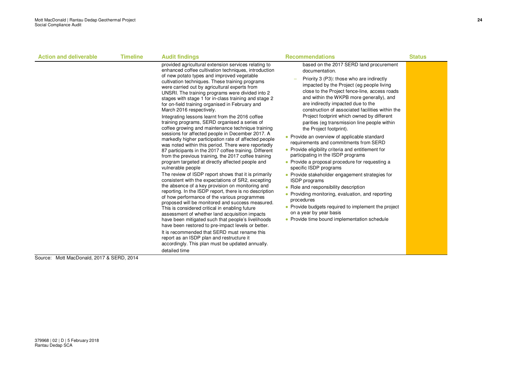| <b>Action and deliverable</b> | <b>Timeline</b> | <b>Audit findings</b>                                                                                                                                                                                                                                                                                                                                                                                                                                                                                                                                                                                                                                                                                                                                                                                                                                                                                                                                                                                                                                                                                                                                                                                                                                                                                                                                                                                                                                                                                                                                                                                                                                                                                | <b>Recommendations</b>                                                                                                                                                                                                                                                                                                                                                                                                                                                                                                                                                                                                                                                                                                                                                                                                                                                                                                                                                                                                                                 | <b>Status</b> |
|-------------------------------|-----------------|------------------------------------------------------------------------------------------------------------------------------------------------------------------------------------------------------------------------------------------------------------------------------------------------------------------------------------------------------------------------------------------------------------------------------------------------------------------------------------------------------------------------------------------------------------------------------------------------------------------------------------------------------------------------------------------------------------------------------------------------------------------------------------------------------------------------------------------------------------------------------------------------------------------------------------------------------------------------------------------------------------------------------------------------------------------------------------------------------------------------------------------------------------------------------------------------------------------------------------------------------------------------------------------------------------------------------------------------------------------------------------------------------------------------------------------------------------------------------------------------------------------------------------------------------------------------------------------------------------------------------------------------------------------------------------------------------|--------------------------------------------------------------------------------------------------------------------------------------------------------------------------------------------------------------------------------------------------------------------------------------------------------------------------------------------------------------------------------------------------------------------------------------------------------------------------------------------------------------------------------------------------------------------------------------------------------------------------------------------------------------------------------------------------------------------------------------------------------------------------------------------------------------------------------------------------------------------------------------------------------------------------------------------------------------------------------------------------------------------------------------------------------|---------------|
|                               |                 | provided agricultural extension services relating to<br>enhanced coffee cultivation techniques, introduction<br>of new potato types and improved vegetable<br>cultivation techniques. These training programs<br>were carried out by agricultural experts from<br>UNSRI. The training programs were divided into 2<br>stages with stage 1 for in-class training and stage 2<br>for on-field training organised in February and<br>March 2016 respectively.<br>Integrating lessons learnt from the 2016 coffee<br>training programs, SERD organised a series of<br>coffee growing and maintenance technique training<br>sessions for affected people in December 2017. A<br>markedly higher participation rate of affected people<br>was noted within this period. There were reportedly<br>87 participants in the 2017 coffee training. Different<br>from the previous training, the 2017 coffee training<br>program targeted at directly affected people and<br>vulnerable people<br>The review of ISDP report shows that it is primarily<br>consistent with the expectations of SR2, excepting<br>the absence of a key provision on monitoring and<br>reporting. In the ISDP report, there is no description<br>of how performance of the various programmes<br>proposed will be monitored and success measured.<br>This is considered critical in enabling future<br>assessment of whether land acquisition impacts<br>have been mitigated such that people's livelihoods<br>have been restored to pre-impact levels or better.<br>It is recommended that SERD must rename this<br>report as an ISDP plan and restructure it<br>accordingly. This plan must be updated annually.<br>detailed time | based on the 2017 SERD land procurement<br>documentation.<br>Priority 3 (P3): those who are indirectly<br>impacted by the Project (eg people living<br>close to the Project fence-line, access roads<br>and within the WKPB more generally), and<br>are indirectly impacted due to the<br>construction of associated facilities within the<br>Project footprint which owned by different<br>parities (eg transmission line people within<br>the Project footprint).<br>• Provide an overview of applicable standard<br>requirements and commitments from SERD<br>• Provide eligibility criteria and entitlement for<br>participating in the ISDP programs<br>• Provide a proposal procedure for requesting a<br>specific ISDP programs<br>• Provide stakeholder engagement strategies for<br>ISDP programs<br>• Role and responsibility description<br>Providing monitoring, evaluation, and reporting<br>procedures<br>• Provide budgets required to implement the project<br>on a year by year basis<br>• Provide time bound implementation schedule |               |

Source: Mott MacDonald, 2017 & SERD, 2014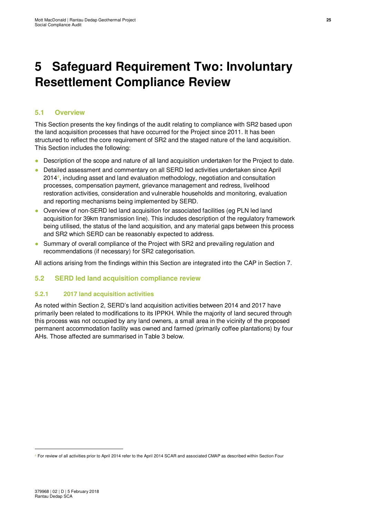### <span id="page-33-0"></span>**5 Safeguard Requirement Two: Involuntary Resettlement Compliance Review**

#### <span id="page-33-1"></span>**5.1 Overview**

This Section presents the key findings of the audit relating to compliance with SR2 based upon the land acquisition processes that have occurred for the Project since 2011. It has been structured to reflect the core requirement of SR2 and the staged nature of the land acquisition. This Section includes the following:

- Description of the scope and nature of all land acquisition undertaken for the Project to date.
- Detailed assessment and commentary on all SERD led activities undertaken since April 201[4](#page-33-3)<sup>4</sup>, including asset and land evaluation methodology, negotiation and consultation processes, compensation payment, grievance management and redress, livelihood restoration activities, consideration and vulnerable households and monitoring, evaluation and reporting mechanisms being implemented by SERD.
- Overview of non-SERD led land acquisition for associated facilities (eg PLN led land acquisition for 39km transmission line). This includes description of the regulatory framework being utilised, the status of the land acquisition, and any material gaps between this process and SR2 which SERD can be reasonably expected to address.
- Summary of overall compliance of the Project with SR2 and prevailing regulation and recommendations (if necessary) for SR2 categorisation.

All actions arising from the findings within this Section are integrated into the CAP in Section 7.

#### <span id="page-33-2"></span>**5.2 SERD led land acquisition compliance review**

#### **5.2.1 2017 land acquisition activities**

As noted within Section [2,](#page-15-0) SERD's land acquisition activities between 2014 and 2017 have primarily been related to modifications to its IPPKH. While the majority of land secured through this process was not occupied by any land owners, a small area in the vicinity of the proposed permanent accommodation facility was owned and farmed (primarily coffee plantations) by four AHs. Those affected are summarised in [Table 3](#page-34-0) below.

<span id="page-33-3"></span><sup>4</sup> For review of all activities prior to April 2014 refer to the April 2014 SCAR and associated CMAP as described within Section Four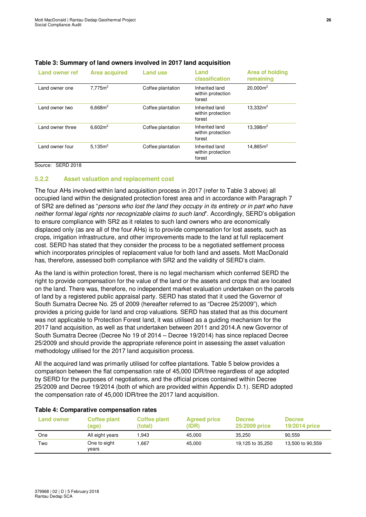| Land owner ref   | <b>Area acquired</b> | <b>Land use</b>   | Land<br>classification                        | Area of holding<br>remaining |
|------------------|----------------------|-------------------|-----------------------------------------------|------------------------------|
| Land owner one   | 7.775m <sup>2</sup>  | Coffee plantation | Inherited land<br>within protection<br>forest | $20.000m^2$                  |
| Land owner two   | 6.668m <sup>2</sup>  | Coffee plantation | Inherited land<br>within protection<br>forest | 13.332m <sup>2</sup>         |
| Land owner three | 6.602 $m2$           | Coffee plantation | Inherited land<br>within protection<br>forest | 13.398m <sup>2</sup>         |
| Land owner four  | 5.135 $m2$           | Coffee plantation | Inherited land<br>within protection<br>forest | 14.865 $m2$                  |

#### <span id="page-34-0"></span>**Table 3: Summary of land owners involved in 2017 land acquisition**

Source: SERD 2018

#### **5.2.2 Asset valuation and replacement cost**

The four AHs involved within land acquisition process in 2017 (refer to [Table 3](#page-34-0) above) all occupied land within the designated protection forest area and in accordance with Paragraph 7 of SR2 are defined as "*persons who lost the land they occupy in its entirety or in part who have neither formal legal rights nor recognizable claims to such land*". Accordingly, SERD's obligation to ensure compliance with SR2 as it relates to such land owners who are economically displaced only (as are all of the four AHs) is to provide compensation for lost assets, such as crops, irrigation infrastructure, and other improvements made to the land at full replacement cost. SERD has stated that they consider the process to be a negotiated settlement process which incorporates principles of replacement value for both land and assets. Mott MacDonald has, therefore, assessed both compliance with SR2 and the validity of SERD's claim.

As the land is within protection forest, there is no legal mechanism which conferred SERD the right to provide compensation for the value of the land or the assets and crops that are located on the land. There was, therefore, no independent market evaluation undertaken on the parcels of land by a registered public appraisal party. SERD has stated that it used the Governor of South Sumatra Decree No. 25 of 2009 (hereafter referred to as "Decree 25/2009"), which provides a pricing guide for land and crop valuations. SERD has stated that as this document was not applicable to Protection Forest land, it was utilised as a guiding mechanism for the 2017 land acquisition, as well as that undertaken between 2011 and 2014.A new Governor of South Sumatra Decree (Decree No 19 of 2014 – Decree 19/2014) has since replaced Decree 25/2009 and should provide the appropriate reference point in assessing the asset valuation methodology utilised for the 2017 land acquisition process.

All the acquired land was primarily utilised for coffee plantations. Table 5 below provides a comparison between the flat compensation rate of 45,000 IDR/tree regardless of age adopted by SERD for the purposes of negotiations, and the official prices contained within Decree 25/2009 and Decree 19/2014 (both of which are provided within Appendix D.1). SERD adopted the compensation rate of 45,000 IDR/tree the 2017 land acquisition.

| <b>Land owner</b> | <b>Coffee plant</b><br>(age) | Coffee plant<br>(total) | <b>Agreed price</b><br>(IDR) | <b>Decree</b><br>25/2009 price | <b>Decree</b><br>19/2014 price |
|-------------------|------------------------------|-------------------------|------------------------------|--------------------------------|--------------------------------|
| One               | All eight years              | 1.943                   | 45.000                       | 35.250                         | 90.559                         |
| Two               | One to eight<br>years        | .667                    | 45.000                       | 19,125 to 35,250               | 13,500 to 90,559               |

#### **Table 4: Comparative compensation rates**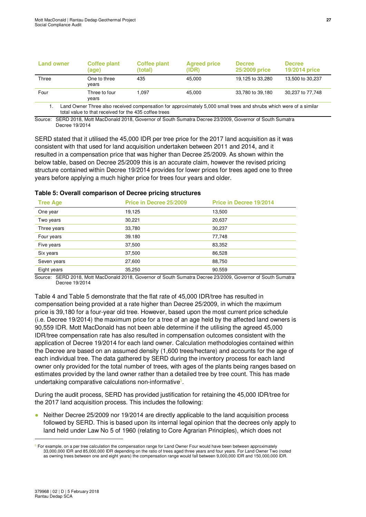| <b>Land owner</b> | <b>Coffee plant</b><br>(age) | Coffee plant<br>(total) | <b>Agreed price</b><br>(IDR) | <b>Decree</b><br>25/2009 price                                                                                     | <b>Decree</b><br>19/2014 price |
|-------------------|------------------------------|-------------------------|------------------------------|--------------------------------------------------------------------------------------------------------------------|--------------------------------|
| Three             | One to three<br>years        | 435                     | 45.000                       | 19,125 to 33,280                                                                                                   | 13,500 to 30,237               |
| Four              | Three to four<br>years       | 1.097                   | 45.000                       | 33,780 to 39,180                                                                                                   | 30,237 to 77,748               |
|                   |                              |                         |                              | Land Owner Three also received compensation for approximately 5,000 small trees and shrubs which were of a similar |                                |

total value to that received for the 435 coffee trees Source: SERD 2018, Mott MacDonald 2018, Governor of South Sumatra Decree 23/2009, Governor of South Sumatra

Decree 19/2014

SERD stated that it utilised the 45,000 IDR per tree price for the 2017 land acquisition as it was consistent with that used for land acquisition undertaken between 2011 and 2014, and it resulted in a compensation price that was higher than Decree 25/2009. As shown within the below table, based on Decree 25/2009 this is an accurate claim, however the revised pricing structure contained within Decree 19/2014 provides for lower prices for trees aged one to three years before applying a much higher price for trees four years and older.

#### **Table 5: Overall comparison of Decree pricing structures**

| <b>Tree Age</b> | Price in Decree 25/2009 | Price in Decree 19/2014 |
|-----------------|-------------------------|-------------------------|
| One year        | 19,125                  | 13,500                  |
| Two years       | 30,221                  | 20,637                  |
| Three years     | 33,780                  | 30,237                  |
| Four years      | 39.180                  | 77,748                  |
| Five years      | 37,500                  | 83,352                  |
| Six years       | 37,500                  | 86,528                  |
| Seven years     | 27,600                  | 88.750                  |
| Eight years     | 35,250                  | 90.559                  |

Source: SERD 2018, Mott MacDonald 2018, Governor of South Sumatra Decree 23/2009, Governor of South Sumatra Decree 19/2014

Table 4 and Table 5 demonstrate that the flat rate of 45,000 IDR/tree has resulted in compensation being provided at a rate higher than Decree 25/2009, in which the maximum price is 39,180 for a four-year old tree. However, based upon the most current price schedule (i.e. Decree 19/2014) the maximum price for a tree of an age held by the affected land owners is 90,559 IDR. Mott MacDonald has not been able determine if the utilising the agreed 45,000 IDR/tree compensation rate has also resulted in compensation outcomes consistent with the application of Decree 19/2014 for each land owner. Calculation methodologies contained within the Decree are based on an assumed density (1,600 trees/hectare) and accounts for the age of each individual tree. The data gathered by SERD during the inventory process for each land owner only provided for the total number of trees, with ages of the plants being ranges based on estimates provided by the land owner rather than a detailed tree by tree count. This has made undertaking comparative calculations non-informative<sup>[5](#page-35-0)</sup>.

During the audit process, SERD has provided justification for retaining the 45,000 IDR/tree for the 2017 land acquisition process. This includes the following:

• Neither Decree 25/2009 nor 19/2014 are directly applicable to the land acquisition process followed by SERD. This is based upon its internal legal opinion that the decrees only apply to land held under Law No 5 of 1960 (relating to Core Agrarian Principles), which does not

<span id="page-35-0"></span>For example, on a per tree calculation the compensation range for Land Owner Four would have been between approximately 33,000,000 IDR and 85,000,000 IDR depending on the ratio of trees aged three years and four years. For Land Owner Two (noted as owning trees between one and eight years) the compensation range would fall between 9,000,000 IDR and 150,000,000 IDR.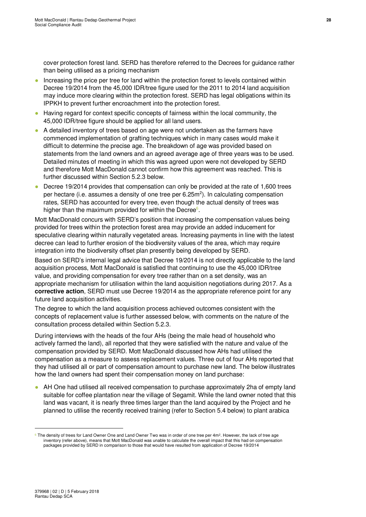cover protection forest land. SERD has therefore referred to the Decrees for guidance rather than being utilised as a pricing mechanism

- Increasing the price per tree for land within the protection forest to levels contained within Decree 19/2014 from the 45,000 IDR/tree figure used for the 2011 to 2014 land acquisition may induce more clearing within the protection forest. SERD has legal obligations within its IPPKH to prevent further encroachment into the protection forest.
- Having regard for context specific concepts of fairness within the local community, the 45,000 IDR/tree figure should be applied for all land users.
- A detailed inventory of trees based on age were not undertaken as the farmers have commenced implementation of grafting techniques which in many cases would make it difficult to determine the precise age. The breakdown of age was provided based on statements from the land owners and an agreed average age of three years was to be used. Detailed minutes of meeting in which this was agreed upon were not developed by SERD and therefore Mott MacDonald cannot confirm how this agreement was reached. This is further discussed within Section 5.2.3 below.
- Decree 19/2014 provides that compensation can only be provided at the rate of 1,600 trees per hectare (i.e. assumes a density of one tree per 6.25m<sup>2</sup>). In calculating compensation rates, SERD has accounted for every tree, even though the actual density of trees was higher than the maximum provided for within the Decree<sup>[6](#page-36-0)</sup>.

Mott MacDonald concurs with SERD's position that increasing the compensation values being provided for trees within the protection forest area may provide an added inducement for speculative clearing within naturally vegetated areas. Increasing payments in line with the latest decree can lead to further erosion of the biodiversity values of the area, which may require integration into the biodiversity offset plan presently being developed by SERD.

Based on SERD's internal legal advice that Decree 19/2014 is not directly applicable to the land acquisition process, Mott MacDonald is satisfied that continuing to use the 45,000 IDR/tree value, and providing compensation for every tree rather than on a set density, was an appropriate mechanism for utilisation within the land acquisition negotiations during 2017. As a **corrective action**, SERD must use Decree 19/2014 as the appropriate reference point for any future land acquisition activities.

The degree to which the land acquisition process achieved outcomes consistent with the concepts of replacement value is further assessed below, with comments on the nature of the consultation process detailed within Section 5.2.3.

During interviews with the heads of the four AHs (being the male head of household who actively farmed the land), all reported that they were satisfied with the nature and value of the compensation provided by SERD. Mott MacDonald discussed how AHs had utilised the compensation as a measure to assess replacement values. Three out of four AHs reported that they had utilised all or part of compensation amount to purchase new land. The below illustrates how the land owners had spent their compensation money on land purchase:

● AH One had utilised all received compensation to purchase approximately 2ha of empty land suitable for coffee plantation near the village of Segamit. While the land owner noted that this land was vacant, it is nearly three times larger than the land acquired by the Project and he planned to utilise the recently received training (refer to Section 5.4 below) to plant arabica

<span id="page-36-0"></span><sup>6</sup> The density of trees for Land Owner One and Land Owner Two was in order of one tree per 4m<sup>2</sup>. However, the lack of tree age inventory (refer above), means that Mott MacDonald was unable to calculate the overall impact that this had on compensation packages provided by SERD in comparison to those that would have resulted from application of Decree 19/2014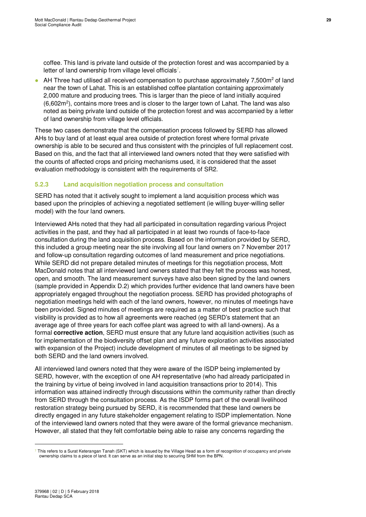coffee. This land is private land outside of the protection forest and was accompanied by a letter of land ownership from village level officials<sup>[7](#page-37-0)</sup>.

 $\bullet$  AH Three had utilised all received compensation to purchase approximately 7,500m<sup>2</sup> of land near the town of Lahat. This is an established coffee plantation containing approximately 2,000 mature and producing trees. This is larger than the piece of land initially acquired  $(6,602m^2)$ , contains more trees and is closer to the larger town of Lahat. The land was also noted as being private land outside of the protection forest and was accompanied by a letter of land ownership from village level officials.

These two cases demonstrate that the compensation process followed by SERD has allowed AHs to buy land of at least equal area outside of protection forest where formal private ownership is able to be secured and thus consistent with the principles of full replacement cost. Based on this, and the fact that all interviewed land owners noted that they were satisfied with the counts of affected crops and pricing mechanisms used, it is considered that the asset evaluation methodology is consistent with the requirements of SR2.

#### **5.2.3 Land acquisition negotiation process and consultation**

SERD has noted that it actively sought to implement a land acquisition process which was based upon the principles of achieving a negotiated settlement (ie willing buyer-willing seller model) with the four land owners.

Interviewed AHs noted that they had all participated in consultation regarding various Project activities in the past, and they had all participated in at least two rounds of face-to-face consultation during the land acquisition process. Based on the information provided by SERD, this included a group meeting near the site involving all four land owners on 7 November 2017 and follow-up consultation regarding outcomes of land measurement and price negotiations. While SERD did not prepare detailed minutes of meetings for this negotiation process, Mott MacDonald notes that all interviewed land owners stated that they felt the process was honest, open, and smooth. The land measurement surveys have also been signed by the land owners (sample provided in Appendix D.2) which provides further evidence that land owners have been appropriately engaged throughout the negotiation process. SERD has provided photographs of negotiation meetings held with each of the land owners, however, no minutes of meetings have been provided. Signed minutes of meetings are required as a matter of best practice such that visibility is provided as to how all agreements were reached (eg SERD's statement that an average age of three years for each coffee plant was agreed to with all land-owners). As a formal **corrective action**, SERD must ensure that any future land acquisition activities (such as for implementation of the biodiversity offset plan and any future exploration activities associated with expansion of the Project) include development of minutes of all meetings to be signed by both SERD and the land owners involved.

All interviewed land owners noted that they were aware of the ISDP being implemented by SERD, however, with the exception of one AH representative (who had already participated in the training by virtue of being involved in land acquisition transactions prior to 2014). This information was attained indirectly through discussions within the community rather than directly from SERD through the consultation process. As the ISDP forms part of the overall livelihood restoration strategy being pursued by SERD, it is recommended that these land owners be directly engaged in any future stakeholder engagement relating to ISDP implementation. None of the interviewed land owners noted that they were aware of the formal grievance mechanism. However, all stated that they felt comfortable being able to raise any concerns regarding the

<span id="page-37-0"></span><sup>7</sup> This refers to a Surat Keterangan Tanah (SKT) which is issued by the Village Head as a form of recognition of occupancy and private ownership claims to a piece of land. It can serve as an initial step to securing SHM from the BPN.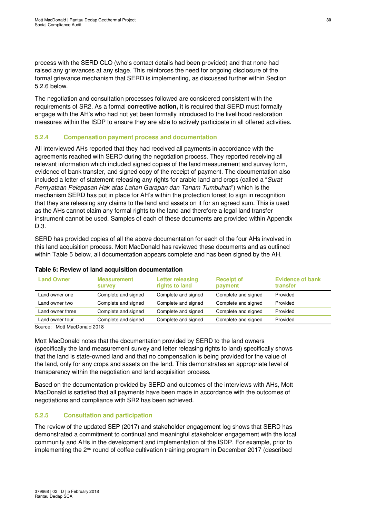process with the SERD CLO (who's contact details had been provided) and that none had raised any grievances at any stage. This reinforces the need for ongoing disclosure of the formal grievance mechanism that SERD is implementing, as discussed further within Section [5.2.6](#page-40-0) below.

The negotiation and consultation processes followed are considered consistent with the requirements of SR2. As a formal **corrective action,** it is required that SERD must formally engage with the AH's who had not yet been formally introduced to the livelihood restoration measures within the ISDP to ensure they are able to actively participate in all offered activities.

#### **5.2.4 Compensation payment process and documentation**

All interviewed AHs reported that they had received all payments in accordance with the agreements reached with SERD during the negotiation process. They reported receiving all relevant information which included signed copies of the land measurement and survey form, evidence of bank transfer, and signed copy of the receipt of payment. The documentation also included a letter of statement releasing any rights for arable land and crops (called a "*Surat Pernyataan Pelepasan Hak atas Lahan Garapan dan Tanam Tumbuhan*") which is the mechanism SERD has put in place for AH's within the protection forest to sign in recognition that they are releasing any claims to the land and assets on it for an agreed sum. This is used as the AHs cannot claim any formal rights to the land and therefore a legal land transfer instrument cannot be used. Samples of each of these documents are provided within Appendix D.3.

SERD has provided copies of all the above documentation for each of the four AHs involved in this land acquisition process. Mott MacDonald has reviewed these documents and as outlined within Table 5 below, all documentation appears complete and has been signed by the AH.

| <b>Land Owner</b> | <b>Measurement</b><br><b>Survey</b> | Letter releasing<br>rights to land | <b>Receipt of</b><br>payment | <b>Evidence of bank</b><br>transfer |
|-------------------|-------------------------------------|------------------------------------|------------------------------|-------------------------------------|
| Land owner one    | Complete and signed                 | Complete and signed                | Complete and signed          | Provided                            |
| Land owner two    | Complete and signed                 | Complete and signed                | Complete and signed          | Provided                            |
| Land owner three  | Complete and signed                 | Complete and signed                | Complete and signed          | Provided                            |
| Land owner four   | Complete and signed                 | Complete and signed                | Complete and signed          | Provided                            |

#### **Table 6: Review of land acquisition documentation**

Source: Mott MacDonald 2018

Mott MacDonald notes that the documentation provided by SERD to the land owners (specifically the land measurement survey and letter releasing rights to land) specifically shows that the land is state-owned land and that no compensation is being provided for the value of the land, only for any crops and assets on the land. This demonstrates an appropriate level of transparency within the negotiation and land acquisition process.

Based on the documentation provided by SERD and outcomes of the interviews with AHs, Mott MacDonald is satisfied that all payments have been made in accordance with the outcomes of negotiations and compliance with SR2 has been achieved.

#### **5.2.5 Consultation and participation**

The review of the updated SEP (2017) and stakeholder engagement log shows that SERD has demonstrated a commitment to continual and meaningful stakeholder engagement with the local community and AHs in the development and implementation of the ISDP. For example, prior to implementing the  $2<sup>nd</sup>$  round of coffee cultivation training program in December 2017 (described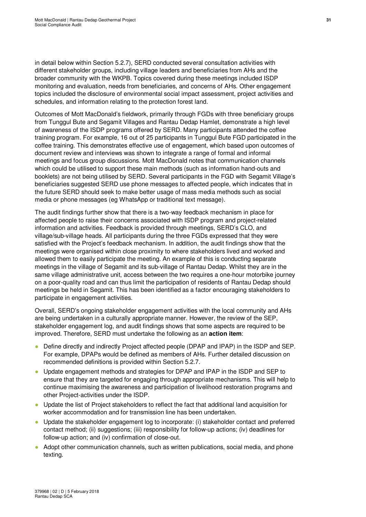in detail below within Section [5.2.7\)](#page-41-0), SERD conducted several consultation activities with different stakeholder groups, including village leaders and beneficiaries from AHs and the broader community with the WKPB. Topics covered during these meetings included ISDP monitoring and evaluation, needs from beneficiaries, and concerns of AHs. Other engagement topics included the disclosure of environmental social impact assessment, project activities and schedules, and information relating to the protection forest land.

Outcomes of Mott MacDonald's fieldwork, primarily through FGDs with three beneficiary groups from Tunggul Bute and Segamit Villages and Rantau Dedap Hamlet, demonstrate a high level of awareness of the ISDP programs offered by SERD. Many participants attended the coffee training program. For example, 16 out of 25 participants in Tunggul Bute FGD participated in the coffee training. This demonstrates effective use of engagement, which based upon outcomes of document review and interviews was shown to integrate a range of formal and informal meetings and focus group discussions. Mott MacDonald notes that communication channels which could be utilised to support these main methods (such as information hand-outs and booklets) are not being utilised by SERD. Several participants in the FGD with Segamit Village's beneficiaries suggested SERD use phone messages to affected people, which indicates that in the future SERD should seek to make better usage of mass media methods such as social media or phone messages (eg WhatsApp or traditional text message).

The audit findings further show that there is a two-way feedback mechanism in place for affected people to raise their concerns associated with ISDP program and project-related information and activities. Feedback is provided through meetings, SERD's CLO, and village/sub-village heads. All participants during the three FGDs expressed that they were satisfied with the Project's feedback mechanism. In addition, the audit findings show that the meetings were organised within close proximity to where stakeholders lived and worked and allowed them to easily participate the meeting. An example of this is conducting separate meetings in the village of Segamit and its sub-village of Rantau Dedap. Whilst they are in the same village administrative unit, access between the two requires a one-hour motorbike journey on a poor-quality road and can thus limit the participation of residents of Rantau Dedap should meetings be held in Segamit. This has been identified as a factor encouraging stakeholders to participate in engagement activities.

Overall, SERD's ongoing stakeholder engagement activities with the local community and AHs are being undertaken in a culturally appropriate manner. However, the review of the SEP, stakeholder engagement log, and audit findings shows that some aspects are required to be improved. Therefore, SERD must undertake the following as an **action item**:

- Define directly and indirectly Project affected people (DPAP and IPAP) in the ISDP and SEP. For example, DPAPs would be defined as members of AHs. Further detailed discussion on recommended definitions is provided within Section [5.2.7](#page-41-0).
- Update engagement methods and strategies for DPAP and IPAP in the ISDP and SEP to ensure that they are targeted for engaging through appropriate mechanisms. This will help to continue maximising the awareness and participation of livelihood restoration programs and other Project-activities under the ISDP.
- Update the list of Project stakeholders to reflect the fact that additional land acquisition for worker accommodation and for transmission line has been undertaken.
- Update the stakeholder engagement log to incorporate: (i) stakeholder contact and preferred contact method; (ii) suggestions; (iii) responsibility for follow-up actions; (iv) deadlines for follow-up action; and (iv) confirmation of close-out.
- Adopt other communication channels, such as written publications, social media, and phone texting.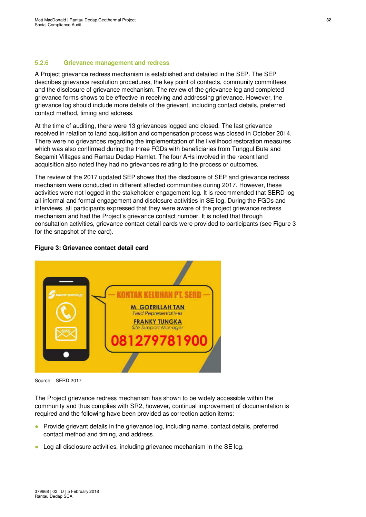#### <span id="page-40-0"></span>**5.2.6 Grievance management and redress**

A Project grievance redress mechanism is established and detailed in the SEP. The SEP describes grievance resolution procedures, the key point of contacts, community committees, and the disclosure of grievance mechanism. The review of the grievance log and completed grievance forms shows to be effective in receiving and addressing grievance. However, the grievance log should include more details of the grievant, including contact details, preferred contact method, timing and address.

At the time of auditing, there were 13 grievances logged and closed. The last grievance received in relation to land acquisition and compensation process was closed in October 2014. There were no grievances regarding the implementation of the livelihood restoration measures which was also confirmed during the three FGDs with beneficiaries from Tunggul Bute and Segamit Villages and Rantau Dedap Hamlet. The four AHs involved in the recent land acquisition also noted they had no grievances relating to the process or outcomes.

The review of the 2017 updated SEP shows that the disclosure of SEP and grievance redress mechanism were conducted in different affected communities during 2017. However, these activities were not logged in the stakeholder engagement log. It is recommended that SERD log all informal and formal engagement and disclosure activities in SE log. During the FGDs and interviews, all participants expressed that they were aware of the project grievance redress mechanism and had the Project's grievance contact number. It is noted that through consultation activities, grievance contact detail cards were provided to participants (see [Figure 3](#page-40-1) for the snapshot of the card).

# SK KELHIKAN PT SERD **GOERILLAH TAN Field Representatives FRANKY TUNGKA** Support Manade

#### <span id="page-40-1"></span>**Figure 3: Grievance contact detail card**

Source: SERD 2017

The Project grievance redress mechanism has shown to be widely accessible within the community and thus complies with SR2, however, continual improvement of documentation is required and the following have been provided as correction action items:

- Provide grievant details in the grievance log, including name, contact details, preferred contact method and timing, and address.
- Log all disclosure activities, including grievance mechanism in the SE log.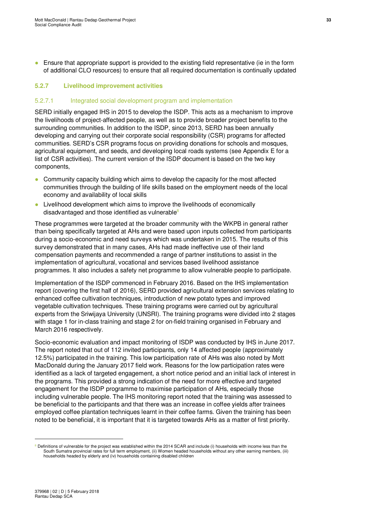● Ensure that appropriate support is provided to the existing field representative (ie in the form of additional CLO resources) to ensure that all required documentation is continually updated

#### <span id="page-41-0"></span>**5.2.7 Livelihood improvement activities**

#### <span id="page-41-2"></span>5.2.7.1 Integrated social development program and implementation

SERD initially engaged IHS in 2015 to develop the ISDP. This acts as a mechanism to improve the livelihoods of project-affected people, as well as to provide broader project benefits to the surrounding communities. In addition to the ISDP, since 2013, SERD has been annually developing and carrying out their corporate social responsibility (CSR) programs for affected communities. SERD's CSR programs focus on providing donations for schools and mosques, agricultural equipment, and seeds, and developing local roads systems (see Appendix E for a list of CSR activities). The current version of the ISDP document is based on the two key components,

- Community capacity building which aims to develop the capacity for the most affected communities through the building of life skills based on the employment needs of the local economy and availability of local skills
- Livelihood development which aims to improve the livelihoods of economically disadvantaged and those identified as vulnerable $8$

These programmes were targeted at the broader community with the WKPB in general rather than being specifically targeted at AHs and were based upon inputs collected from participants during a socio-economic and need surveys which was undertaken in 2015. The results of this survey demonstrated that in many cases, AHs had made ineffective use of their land compensation payments and recommended a range of partner institutions to assist in the implementation of agricultural, vocational and services based livelihood assistance programmes. It also includes a safety net programme to allow vulnerable people to participate.

Implementation of the ISDP commenced in February 2016. Based on the IHS implementation report (covering the first half of 2016), SERD provided agricultural extension services relating to enhanced coffee cultivation techniques, introduction of new potato types and improved vegetable cultivation techniques. These training programs were carried out by agricultural experts from the Sriwijaya University (UNSRI). The training programs were divided into 2 stages with stage 1 for in-class training and stage 2 for on-field training organised in February and March 2016 respectively.

Socio-economic evaluation and impact monitoring of ISDP was conducted by IHS in June 2017. The report noted that out of 112 invited participants, only 14 affected people (approximately 12.5%) participated in the training. This low participation rate of AHs was also noted by Mott MacDonald during the January 2017 field work. Reasons for the low participation rates were identified as a lack of targeted engagement, a short notice period and an initial lack of interest in the programs. This provided a strong indication of the need for more effective and targeted engagement for the ISDP programme to maximise participation of AHs, especially those including vulnerable people. The IHS monitoring report noted that the training was assessed to be beneficial to the participants and that there was an increase in coffee yields after trainees employed coffee plantation techniques learnt in their coffee farms. Given the training has been noted to be beneficial, it is important that it is targeted towards AHs as a matter of first priority.

<span id="page-41-1"></span><sup>&</sup>lt;sup>8</sup> Definitions of vulnerable for the project was established within the 2014 SCAR and include (i) households with income less than the South Sumatra provincial rates for full term employment, (ii) Women headed households without any other earning members, (iii) households headed by elderly and (iv) households containing disabled children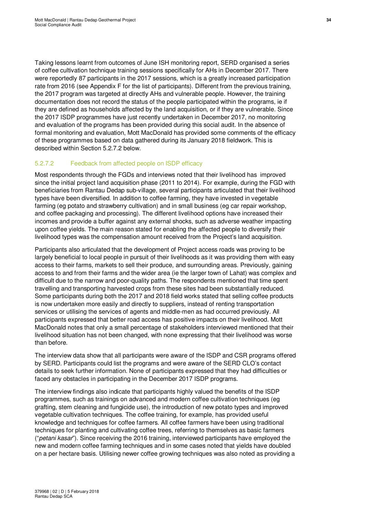Taking lessons learnt from outcomes of June ISH monitoring report, SERD organised a series of coffee cultivation technique training sessions specifically for AHs in December 2017. There were reportedly 87 participants in the 2017 sessions, which is a greatly increased participation rate from 2016 (see Appendix F for the list of participants). Different from the previous training, the 2017 program was targeted at directly AHs and vulnerable people. However, the training documentation does not record the status of the people participated within the programs, ie if they are defined as households affected by the land acquisition, or if they are vulnerable. Since the 2017 ISDP programmes have just recently undertaken in December 2017, no monitoring and evaluation of the programs has been provided during this social audit. In the absence of formal monitoring and evaluation, Mott MacDonald has provided some comments of the efficacy of these programmes based on data gathered during its January 2018 fieldwork. This is described within Section [5.2.7.2](#page-42-0) below.

# <span id="page-42-0"></span>5.2.7.2 Feedback from affected people on ISDP efficacy

Most respondents through the FGDs and interviews noted that their livelihood has improved since the initial project land acquisition phase (2011 to 2014). For example, during the FGD with beneficiaries from Rantau Dedap sub-village, several participants articulated that their livelihood types have been diversified. In addition to coffee farming, they have invested in vegetable farming (eg potato and strawberry cultivation) and in small business (eg car repair workshop, and coffee packaging and processing). The different livelihood options have increased their incomes and provide a buffer against any external shocks, such as adverse weather impacting upon coffee yields. The main reason stated for enabling the affected people to diversify their livelihood types was the compensation amount received from the Project's land acquisition.

Participants also articulated that the development of Project access roads was proving to be largely beneficial to local people in pursuit of their livelihoods as it was providing them with easy access to their farms, markets to sell their produce, and surrounding areas. Previously, gaining access to and from their farms and the wider area (ie the larger town of Lahat) was complex and difficult due to the narrow and poor-quality paths. The respondents mentioned that time spent travelling and transporting harvested crops from these sites had been substantially reduced. Some participants during both the 2017 and 2018 field works stated that selling coffee products is now undertaken more easily and directly to suppliers, instead of renting transportation services or utilising the services of agents and middle-men as had occurred previously. All participants expressed that better road access has positive impacts on their livelihood. Mott MacDonald notes that only a small percentage of stakeholders interviewed mentioned that their livelihood situation has not been changed, with none expressing that their livelihood was worse than before.

The interview data show that all participants were aware of the ISDP and CSR programs offered by SERD. Participants could list the programs and were aware of the SERD CLO's contact details to seek further information. None of participants expressed that they had difficulties or faced any obstacles in participating in the December 2017 ISDP programs.

The interview findings also indicate that participants highly valued the benefits of the ISDP programmes, such as trainings on advanced and modern coffee cultivation techniques (eg grafting, stem cleaning and fungicide use), the introduction of new potato types and improved vegetable cultivation techniques. The coffee training, for example, has provided useful knowledge and techniques for coffee farmers. All coffee farmers have been using traditional techniques for planting and cultivating coffee trees, referring to themselves as basic farmers ("*petani kasar*"). Since receiving the 2016 training, interviewed participants have employed the new and modern coffee farming techniques and in some cases noted that yields have doubled on a per hectare basis. Utilising newer coffee growing techniques was also noted as providing a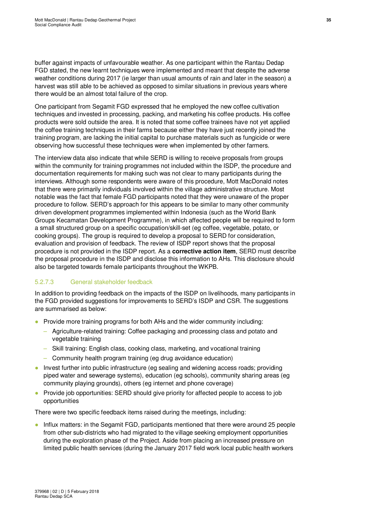buffer against impacts of unfavourable weather. As one participant within the Rantau Dedap FGD stated, the new learnt techniques were implemented and meant that despite the adverse weather conditions during 2017 (ie larger than usual amounts of rain and later in the season) a harvest was still able to be achieved as opposed to similar situations in previous years where there would be an almost total failure of the crop.

One participant from Segamit FGD expressed that he employed the new coffee cultivation techniques and invested in processing, packing, and marketing his coffee products. His coffee products were sold outside the area. It is noted that some coffee trainees have not yet applied the coffee training techniques in their farms because either they have just recently joined the training program, are lacking the initial capital to purchase materials such as fungicide or were observing how successful these techniques were when implemented by other farmers.

The interview data also indicate that while SERD is willing to receive proposals from groups within the community for training programmes not included within the ISDP, the procedure and documentation requirements for making such was not clear to many participants during the interviews. Although some respondents were aware of this procedure, Mott MacDonald notes that there were primarily individuals involved within the village administrative structure. Most notable was the fact that female FGD participants noted that they were unaware of the proper procedure to follow. SERD's approach for this appears to be similar to many other community driven development programmes implemented within Indonesia (such as the World Bank Groups Kecamatan Development Programme), in which affected people will be required to form a small structured group on a specific occupation/skill-set (eg coffee, vegetable, potato, or cooking groups). The group is required to develop a proposal to SERD for consideration, evaluation and provision of feedback. The review of ISDP report shows that the proposal procedure is not provided in the ISDP report. As a **corrective action item**, SERD must describe the proposal procedure in the ISDP and disclose this information to AHs. This disclosure should also be targeted towards female participants throughout the WKPB.

#### 5.2.7.3 General stakeholder feedback

In addition to providing feedback on the impacts of the ISDP on livelihoods, many participants in the FGD provided suggestions for improvements to SERD's ISDP and CSR. The suggestions are summarised as below:

- Provide more training programs for both AHs and the wider community including:
	- Agriculture-related training: Coffee packaging and processing class and potato and vegetable training
	- Skill training: English class, cooking class, marketing, and vocational training
	- Community health program training (eg drug avoidance education)
- Invest further into public infrastructure (eg sealing and widening access roads; providing piped water and sewerage systems), education (eg schools), community sharing areas (eg community playing grounds), others (eg internet and phone coverage)
- Provide job opportunities: SERD should give priority for affected people to access to job opportunities

There were two specific feedback items raised during the meetings, including:

● Influx matters: in the Segamit FGD, participants mentioned that there were around 25 people from other sub-districts who had migrated to the village seeking employment opportunities during the exploration phase of the Project. Aside from placing an increased pressure on limited public health services (during the January 2017 field work local public health workers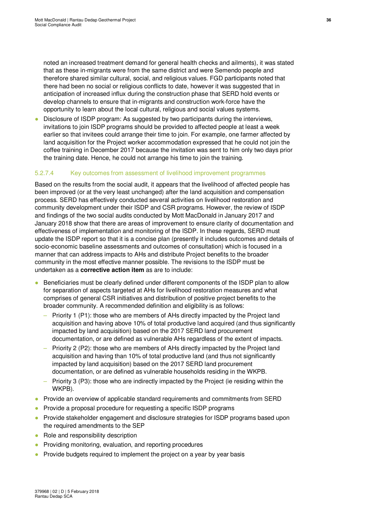noted an increased treatment demand for general health checks and ailments), it was stated that as these in-migrants were from the same district and were Semendo people and therefore shared similar cultural, social, and religious values. FGD participants noted that there had been no social or religious conflicts to date, however it was suggested that in anticipation of increased influx during the construction phase that SERD hold events or develop channels to ensure that in-migrants and construction work-force have the opportunity to learn about the local cultural, religious and social values systems.

Disclosure of ISDP program: As suggested by two participants during the interviews, invitations to join ISDP programs should be provided to affected people at least a week earlier so that invitees could arrange their time to join. For example, one farmer affected by land acquisition for the Project worker accommodation expressed that he could not join the coffee training in December 2017 because the invitation was sent to him only two days prior the training date. Hence, he could not arrange his time to join the training.

#### 5.2.7.4 Key outcomes from assessment of livelihood improvement programmes

Based on the results from the social audit, it appears that the livelihood of affected people has been improved (or at the very least unchanged) after the land acquisition and compensation process. SERD has effectively conducted several activities on livelihood restoration and community development under their ISDP and CSR programs. However, the review of ISDP and findings of the two social audits conducted by Mott MacDonald in January 2017 and January 2018 show that there are areas of improvement to ensure clarity of documentation and effectiveness of implementation and monitoring of the ISDP. In these regards, SERD must update the ISDP report so that it is a concise plan (presently it includes outcomes and details of socio-economic baseline assessments and outcomes of consultation) which is focused in a manner that can address impacts to AHs and distribute Project benefits to the broader community in the most effective manner possible. The revisions to the ISDP must be undertaken as a **corrective action item** as are to include:

- Beneficiaries must be clearly defined under different components of the ISDP plan to allow for separation of aspects targeted at AHs for livelihood restoration measures and what comprises of general CSR initiatives and distribution of positive project benefits to the broader community. A recommended definition and eligibility is as follows:
	- Priority 1 (P1): those who are members of AHs directly impacted by the Project land acquisition and having above 10% of total productive land acquired (and thus significantly impacted by land acquisition) based on the 2017 SERD land procurement documentation, or are defined as vulnerable AHs regardless of the extent of impacts.
	- Priority 2 (P2): those who are members of AHs directly impacted by the Project land acquisition and having than 10% of total productive land (and thus not significantly impacted by land acquisition) based on the 2017 SERD land procurement documentation, or are defined as vulnerable households residing in the WKPB.
	- Priority 3 (P3): those who are indirectly impacted by the Project (ie residing within the WKPB).
- Provide an overview of applicable standard requirements and commitments from SERD
- Provide a proposal procedure for requesting a specific ISDP programs
- Provide stakeholder engagement and disclosure strategies for ISDP programs based upon the required amendments to the SEP
- Role and responsibility description
- Providing monitoring, evaluation, and reporting procedures
- Provide budgets required to implement the project on a year by year basis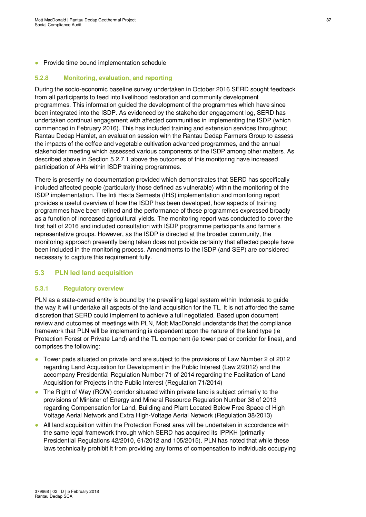● Provide time bound implementation schedule

#### **5.2.8 Monitoring, evaluation, and reporting**

During the socio-economic baseline survey undertaken in October 2016 SERD sought feedback from all participants to feed into livelihood restoration and community development programmes. This information guided the development of the programmes which have since been integrated into the ISDP. As evidenced by the stakeholder engagement log, SERD has undertaken continual engagement with affected communities in implementing the ISDP (which commenced in February 2016). This has included training and extension services throughout Rantau Dedap Hamlet, an evaluation session with the Rantau Dedap Farmers Group to assess the impacts of the coffee and vegetable cultivation advanced programmes, and the annual stakeholder meeting which assessed various components of the ISDP among other matters. As described above in Section [5.2.7.1](#page-41-2) above the outcomes of this monitoring have increased participation of AHs within ISDP training programmes.

There is presently no documentation provided which demonstrates that SERD has specifically included affected people (particularly those defined as vulnerable) within the monitoring of the ISDP implementation. The Inti Hexta Semesta (IHS) implementation and monitoring report provides a useful overview of how the ISDP has been developed, how aspects of training programmes have been refined and the performance of these programmes expressed broadly as a function of increased agricultural yields. The monitoring report was conducted to cover the first half of 2016 and included consultation with ISDP programme participants and farmer's representative groups. However, as the ISDP is directed at the broader community, the monitoring approach presently being taken does not provide certainty that affected people have been included in the monitoring process. Amendments to the ISDP (and SEP) are considered necessary to capture this requirement fully.

#### **5.3 PLN led land acquisition**

#### **5.3.1 Regulatory overview**

PLN as a state-owned entity is bound by the prevailing legal system within Indonesia to guide the way it will undertake all aspects of the land acquisition for the TL. It is not afforded the same discretion that SERD could implement to achieve a full negotiated. Based upon document review and outcomes of meetings with PLN, Mott MacDonald understands that the compliance framework that PLN will be implementing is dependent upon the nature of the land type (ie Protection Forest or Private Land) and the TL component (ie tower pad or corridor for lines), and comprises the following:

- Tower pads situated on private land are subject to the provisions of Law Number 2 of 2012 regarding Land Acquisition for Development in the Public Interest (Law 2/2012) and the accompany Presidential Regulation Number 71 of 2014 regarding the Facilitation of Land Acquisition for Projects in the Public Interest (Regulation 71/2014)
- The Right of Way (ROW) corridor situated within private land is subject primarily to the provisions of Minister of Energy and Mineral Resource Regulation Number 38 of 2013 regarding Compensation for Land, Building and Plant Located Below Free Space of High Voltage Aerial Network and Extra High-Voltage Aerial Network (Regulation 38/2013)
- All land acquisition within the Protection Forest area will be undertaken in accordance with the same legal framework through which SERD has acquired its IPPKH (primarily Presidential Regulations 42/2010, 61/2012 and 105/2015). PLN has noted that while these laws technically prohibit it from providing any forms of compensation to individuals occupying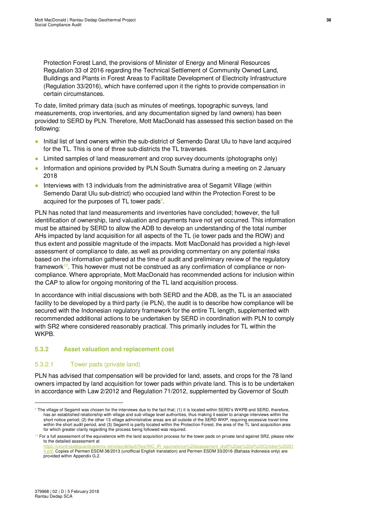Protection Forest Land, the provisions of Minister of Energy and Mineral Resources Regulation 33 of 2016 regarding the Technical Settlement of Community Owned Land, Buildings and Plants in Forest Areas to Facilitate Development of Electricity Infrastructure (Regulation 33/2016), which have conferred upon it the rights to provide compensation in certain circumstances.

To date, limited primary data (such as minutes of meetings, topographic surveys, land measurements, crop inventories, and any documentation signed by land owners) has been provided to SERD by PLN. Therefore, Mott MacDonald has assessed this section based on the following:

- Initial list of land owners within the sub-district of Semendo Darat Ulu to have land acquired for the TL. This is one of three sub-districts the TL traverses.
- Limited samples of land measurement and crop survey documents (photographs only)
- Information and opinions provided by PLN South Sumatra during a meeting on 2 January 2018
- Interviews with 13 individuals from the administrative area of Segamit Village (within Semendo Darat Ulu sub-district) who occupied land within the Protection Forest to be acquired for the purposes of TL tower pads<sup>[9](#page-46-0)</sup>.

PLN has noted that land measurements and inventories have concluded; however, the full identification of ownership, land valuation and payments have not yet occurred. This information must be attained by SERD to allow the ADB to develop an understanding of the total number AHs impacted by land acquisition for all aspects of the TL (ie tower pads and the ROW) and thus extent and possible magnitude of the impacts. Mott MacDonald has provided a high-level assessment of compliance to date, as well as providing commentary on any potential risks based on the information gathered at the time of audit and preliminary review of the regulatory framework $10$ . This however must not be construed as any confirmation of compliance or noncompliance. Where appropriate, Mott MacDonald has recommended actions for inclusion within the CAP to allow for ongoing monitoring of the TL land acquisition process.

In accordance with initial discussions with both SERD and the ADB, as the TL is an associated facility to be developed by a third party (ie PLN), the audit is to describe how compliance will be secured with the Indonesian regulatory framework for the entire TL length, supplemented with recommended additional actions to be undertaken by SERD in coordination with PLN to comply with SR2 where considered reasonably practical. This primarily includes for TL within the WKPB.

#### **5.3.2 Asset valuation and replacement cost**

#### 5.3.2.1 Tower pads (private land)

PLN has advised that compensation will be provided for land, assets, and crops for the 78 land owners impacted by land acquisition for tower pads within private land. This is to be undertaken in accordance with Law 2/2012 and Regulation 71/2012, supplemented by Governor of South

<span id="page-46-0"></span><sup>&</sup>lt;sup>9</sup> The village of Segamit was chosen for the interviews due to the fact that; (1) it is located within SERD's WKPB and SERD, therefore, has an established relationship with village and sub-village level authorities, thus making it easier to arrange interviews within the short notice period; (2) the other 13 village administrative areas are all outside of the SERD WKP, requiring excessive travel time within the short audit period, and (3) Segamit is partly located within the Protection Forest, the area of the TL land acquisition area for which greater clarity regarding the process being followed was required.

<span id="page-46-1"></span> $10$  For a full assessment of the equivalence with the land acquisition process for the tower pads on private land against SR2, please refer to the detailed assessment at

https://countrysafeguardsystems.net/sites/default/files/INO\_IR\_equivalence%20asses 4.pdf. Copies of Permen ESDM 38/2013 (unofficial English translation) and Permen ESDM 33/2016 (Bahasa Indonesia only) are provided within Appendix G.2.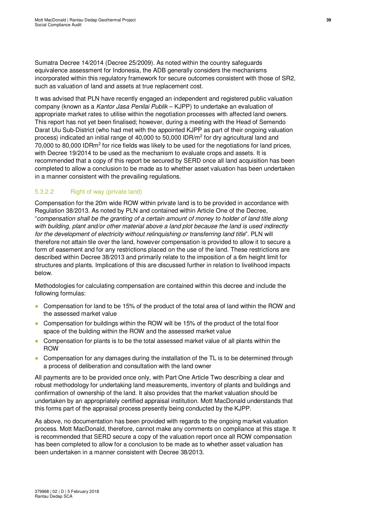Sumatra Decree 14/2014 (Decree 25/2009). As noted within the country safeguards equivalence assessment for Indonesia, the ADB generally considers the mechanisms incorporated within this regulatory framework for secure outcomes consistent with those of SR2, such as valuation of land and assets at true replacement cost.

It was advised that PLN have recently engaged an independent and registered public valuation company (known as a *Kantor Jasa Penilai Publik* – KJPP) to undertake an evaluation of appropriate market rates to utilise within the negotiation processes with affected land owners. This report has not yet been finalised; however, during a meeting with the Head of Semendo Darat Ulu Sub-District (who had met with the appointed KJPP as part of their ongoing valuation process) indicated an initial range of 40,000 to 50,000 IDR/m<sup>2</sup> for dry agricultural land and 70,000 to 80,000 IDRm<sup>2</sup> for rice fields was likely to be used for the negotiations for land prices, with Decree 19/2014 to be used as the mechanism to evaluate crops and assets. It is recommended that a copy of this report be secured by SERD once all land acquisition has been completed to allow a conclusion to be made as to whether asset valuation has been undertaken in a manner consistent with the prevailing regulations.

# 5.3.2.2 Right of way (private land)

Compensation for the 20m wide ROW within private land is to be provided in accordance with Regulation 38/2013. As noted by PLN and contained within Article One of the Decree, "*compensation shall be the granting of a certain amount of money to holder of land title along with building, plant and/or other material above a land plot because the land is used indirectly for the development of electricity without relinquishing or transferring land title*". PLN will therefore not attain tile over the land, however compensation is provided to allow it to secure a form of easement and for any restrictions placed on the use of the land. These restrictions are described within Decree 38/2013 and primarily relate to the imposition of a 6m height limit for structures and plants. Implications of this are discussed further in relation to livelihood impacts below.

Methodologies for calculating compensation are contained within this decree and include the following formulas:

- Compensation for land to be 15% of the product of the total area of land within the ROW and the assessed market value
- Compensation for buildings within the ROW will be 15% of the product of the total floor space of the building within the ROW and the assessed market value
- Compensation for plants is to be the total assessed market value of all plants within the ROW
- Compensation for any damages during the installation of the TL is to be determined through a process of deliberation and consultation with the land owner

All payments are to be provided once only, with Part One Article Two describing a clear and robust methodology for undertaking land measurements, inventory of plants and buildings and confirmation of ownership of the land. It also provides that the market valuation should be undertaken by an appropriately certified appraisal institution. Mott MacDonald understands that this forms part of the appraisal process presently being conducted by the KJPP.

As above, no documentation has been provided with regards to the ongoing market valuation process. Mott MacDonald, therefore, cannot make any comments on compliance at this stage. It is recommended that SERD secure a copy of the valuation report once all ROW compensation has been completed to allow for a conclusion to be made as to whether asset valuation has been undertaken in a manner consistent with Decree 38/2013.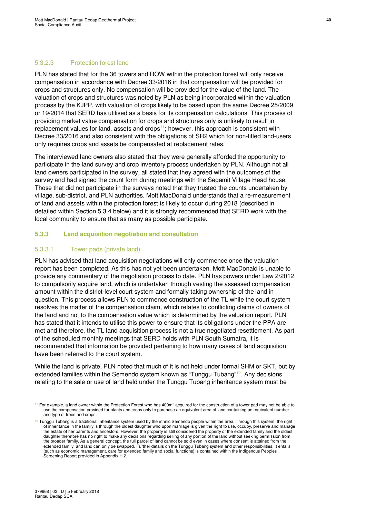#### 5.3.2.3 Protection forest land

PLN has stated that for the 36 towers and ROW within the protection forest will only receive compensation in accordance with Decree 33/2016 in that compensation will be provided for crops and structures only. No compensation will be provided for the value of the land. The valuation of crops and structures was noted by PLN as being incorporated within the valuation process by the KJPP, with valuation of crops likely to be based upon the same Decree 25/2009 or 19/2014 that SERD has utilised as a basis for its compensation calculations. This process of providing market value compensation for crop[s a](#page-48-0)nd structures only is unlikely to result in replacement values for land, assets and crops<sup>11</sup>; however, this approach is consistent with Decree 33/2016 and also consistent with the obligations of SR2 which for non-titled land-users only requires crops and assets be compensated at replacement rates.

The interviewed land owners also stated that they were generally afforded the opportunity to participate in the land survey and crop inventory process undertaken by PLN. Although not all land owners participated in the survey, all stated that they agreed with the outcomes of the survey and had signed the count form during meetings with the Segamit Village Head house. Those that did not participate in the surveys noted that they trusted the counts undertaken by village, sub-district, and PLN authorities. Mott MacDonald understands that a re-measurement of land and assets within the protection forest is likely to occur during 2018 (described in detailed within Section 5.3.4 below) and it is strongly recommended that SERD work with the local community to ensure that as many as possible participate.

#### **5.3.3 Land acquisition negotiation and consultation**

#### 5.3.3.1 Tower pads (private land)

PLN has advised that land acquisition negotiations will only commence once the valuation report has been completed. As this has not yet been undertaken, Mott MacDonald is unable to provide any commentary of the negotiation process to date. PLN has powers under Law 2/2012 to compulsorily acquire land, which is undertaken through vesting the assessed compensation amount within the district-level court system and formally taking ownership of the land in question. This process allows PLN to commence construction of the TL while the court system resolves the matter of the compensation claim, which relates to conflicting claims of owners of the land and not to the compensation value which is determined by the valuation report. PLN has stated that it intends to utilise this power to ensure that its obligations under the PPA are met and therefore, the TL land acquisition process is not a true negotiated resettlement. As part of the scheduled monthly meetings that SERD holds with PLN South Sumatra, it is recommended that information be provided pertaining to how many cases of land acquisition have been referred to the court system.

While the land is private, PLN noted that much of it is not held under formal SHM or SKT, but by extended families within the Semendo system known as "Tunggu Tubang"<sup>[12](#page-48-1)</sup>. Any decisions relating to the sale or use of land held under the Tunggu Tubang inheritance system must be

<span id="page-48-0"></span><sup>&</sup>lt;sup>11</sup> For example, a land owner within the Protection Forest who has 400m<sup>2</sup> acquired for the construction of a tower pad may not be able to use the compensation provided for plants and crops only to purchase an equivalent area of land containing an equivalent number and type of trees and crops.

<span id="page-48-1"></span><sup>&</sup>lt;sup>12</sup> Tunggu Tubang is a traditional inheritance system used by the ethnic Semendo people within the area. Through this system, the right of inheritance in the family is through the oldest daughter who upon marriage is given the right to use, occupy, preserve and manage the estate of her parents and ancestors. However, the property is still considered the property of the extended family and the oldest<br>daughter therefore has no right to make any decisions regarding selling of any portion o the broader family. As a general concept, the full parcel of land cannot be sold even in cases where consent is attained from the extended family, and land can only be swapped. Further details on the Tunggu Tubang system and other responsibilities, it entails (such as economic management, care for extended family and social functions) is contained within the Indigenous Peoples Screening Report provided in Appendix H.2.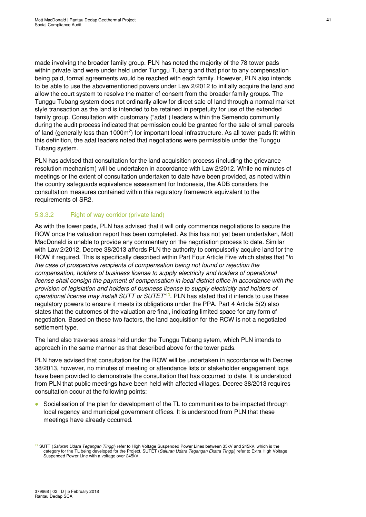made involving the broader family group. PLN has noted the majority of the 78 tower pads within private land were under held under Tunggu Tubang and that prior to any compensation being paid, formal agreements would be reached with each family. However, PLN also intends to be able to use the abovementioned powers under Law 2/2012 to initially acquire the land and allow the court system to resolve the matter of consent from the broader family groups. The Tunggu Tubang system does not ordinarily allow for direct sale of land through a normal market style transaction as the land is intended to be retained in perpetuity for use of the extended family group. Consultation with customary ("adat") leaders within the Semendo community during the audit process indicated that permission could be granted for the sale of small parcels of land (generally less than 1000m<sup>2</sup>) for important local infrastructure. As all tower pads fit within this definition, the adat leaders noted that negotiations were permissible under the Tunggu Tubang system.

PLN has advised that consultation for the land acquisition process (including the grievance resolution mechanism) will be undertaken in accordance with Law 2/2012. While no minutes of meetings or the extent of consultation undertaken to date have been provided, as noted within the country safeguards equivalence assessment for Indonesia, the ADB considers the consultation measures contained within this regulatory framework equivalent to the requirements of SR2.

#### 5.3.3.2 Right of way corridor (private land)

As with the tower pads, PLN has advised that it will only commence negotiations to secure the ROW once the valuation report has been completed. As this has not yet been undertaken, Mott MacDonald is unable to provide any commentary on the negotiation process to date. Similar with Law 2/2012, Decree 38/2013 affords PLN the authority to compulsorily acquire land for the ROW if required. This is specifically described within Part Four Article Five which states that "*In the case of prospective recipients of compensation being not found or rejection the compensation, holders of business license to supply electricity and holders of operational license shall consign the payment of compensation in local district office in accordance with the provision of legislation and holders of business license to supply electricity and holders of operational license may install SUTT or SUTET*" [13](#page-49-0). PLN has stated that it intends to use these regulatory powers to ensure it meets its obligations under the PPA. Part 4 Article 5(2) also states that the outcomes of the valuation are final, indicating limited space for any form of negotiation. Based on these two factors, the land acquisition for the ROW is not a negotiated settlement type.

The land also traverses areas held under the Tunggu Tubang sytem, which PLN intends to approach in the same manner as that described above for the tower pads.

PLN have advised that consultation for the ROW will be undertaken in accordance with Decree 38/2013, however, no minutes of meeting or attendance lists or stakeholder engagement logs have been provided to demonstrate the consultation that has occurred to date. It is understood from PLN that public meetings have been held with affected villages. Decree 38/2013 requires consultation occur at the following points:

● Socialisation of the plan for development of the TL to communities to be impacted through local regency and municipal government offices. It is understood from PLN that these meetings have already occurred.

<span id="page-49-0"></span><sup>13</sup> SUTT (*Saluran Udara Tegangan Tinggi*) refer to High Voltage Suspended Power Lines between 35kV and 245kV, which is the category for the TL being developed for the Project. SUTET (*Saluran Udara Tegangan Ekstra Tinggi*) refer to Extra High Voltage Suspended Power Line with a voltage over 245kV.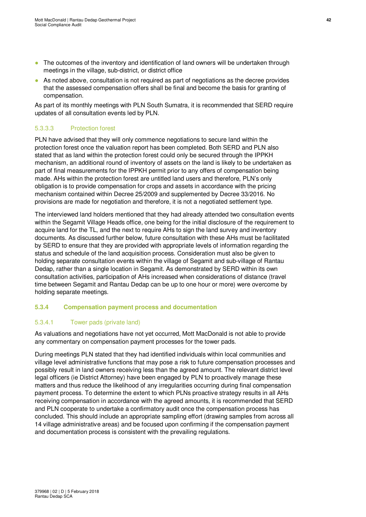- The outcomes of the inventory and identification of land owners will be undertaken through meetings in the village, sub-district, or district office
- As noted above, consultation is not required as part of negotiations as the decree provides that the assessed compensation offers shall be final and become the basis for granting of compensation.

As part of its monthly meetings with PLN South Sumatra, it is recommended that SERD require updates of all consultation events led by PLN.

### 5.3.3.3 Protection forest

PLN have advised that they will only commence negotiations to secure land within the protection forest once the valuation report has been completed. Both SERD and PLN also stated that as land within the protection forest could only be secured through the IPPKH mechanism, an additional round of inventory of assets on the land is likely to be undertaken as part of final measurements for the IPPKH permit prior to any offers of compensation being made. AHs within the protection forest are untitled land users and therefore, PLN's only obligation is to provide compensation for crops and assets in accordance with the pricing mechanism contained within Decree 25/2009 and supplemented by Decree 33/2016. No provisions are made for negotiation and therefore, it is not a negotiated settlement type.

The interviewed land holders mentioned that they had already attended two consultation events within the Segamit Village Heads office, one being for the initial disclosure of the requirement to acquire land for the TL, and the next to require AHs to sign the land survey and inventory documents. As discussed further below, future consultation with these AHs must be facilitated by SERD to ensure that they are provided with appropriate levels of information regarding the status and schedule of the land acquisition process. Consideration must also be given to holding separate consultation events within the village of Segamit and sub-village of Rantau Dedap, rather than a single location in Segamit. As demonstrated by SERD within its own consultation activities, participation of AHs increased when considerations of distance (travel time between Segamit and Rantau Dedap can be up to one hour or more) were overcome by holding separate meetings.

#### **5.3.4 Compensation payment process and documentation**

# 5.3.4.1 Tower pads (private land)

As valuations and negotiations have not yet occurred, Mott MacDonald is not able to provide any commentary on compensation payment processes for the tower pads.

During meetings PLN stated that they had identified individuals within local communities and village level administrative functions that may pose a risk to future compensation processes and possibly result in land owners receiving less than the agreed amount. The relevant district level legal officers (ie District Attorney) have been engaged by PLN to proactively manage these matters and thus reduce the likelihood of any irregularities occurring during final compensation payment process. To determine the extent to which PLNs proactive strategy results in all AHs receiving compensation in accordance with the agreed amounts, it is recommended that SERD and PLN cooperate to undertake a confirmatory audit once the compensation process has concluded. This should include an appropriate sampling effort (drawing samples from across all 14 village administrative areas) and be focused upon confirming if the compensation payment and documentation process is consistent with the prevailing regulations.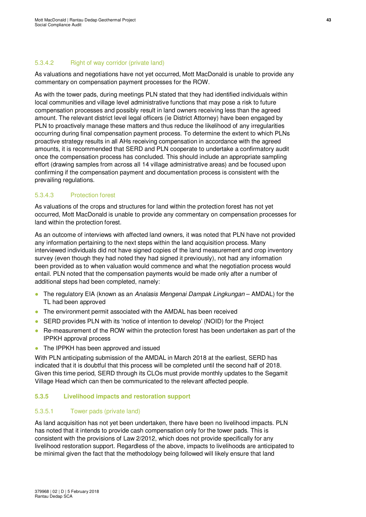#### 5.3.4.2 Right of way corridor (private land)

As valuations and negotiations have not yet occurred, Mott MacDonald is unable to provide any commentary on compensation payment processes for the ROW.

As with the tower pads, during meetings PLN stated that they had identified individuals within local communities and village level administrative functions that may pose a risk to future compensation processes and possibly result in land owners receiving less than the agreed amount. The relevant district level legal officers (ie District Attorney) have been engaged by PLN to proactively manage these matters and thus reduce the likelihood of any irregularities occurring during final compensation payment process. To determine the extent to which PLNs proactive strategy results in all AHs receiving compensation in accordance with the agreed amounts, it is recommended that SERD and PLN cooperate to undertake a confirmatory audit once the compensation process has concluded. This should include an appropriate sampling effort (drawing samples from across all 14 village administrative areas) and be focused upon confirming if the compensation payment and documentation process is consistent with the prevailing regulations.

#### 5.3.4.3 Protection forest

As valuations of the crops and structures for land within the protection forest has not yet occurred, Mott MacDonald is unable to provide any commentary on compensation processes for land within the protection forest.

As an outcome of interviews with affected land owners, it was noted that PLN have not provided any information pertaining to the next steps within the land acquisition process. Many interviewed individuals did not have signed copies of the land measurement and crop inventory survey (even though they had noted they had signed it previously), not had any information been provided as to when valuation would commence and what the negotiation process would entail. PLN noted that the compensation payments would be made only after a number of additional steps had been completed, namely:

- The regulatory EIA (known as an *Analasis Mengenai Dampak Lingkungan* AMDAL) for the TL had been approved
- The environment permit associated with the AMDAL has been received
- SERD provides PLN with its 'notice of intention to develop' (NOID) for the Project
- Re-measurement of the ROW within the protection forest has been undertaken as part of the IPPKH approval process
- The IPPKH has been approved and issued

With PLN anticipating submission of the AMDAL in March 2018 at the earliest, SERD has indicated that it is doubtful that this process will be completed until the second half of 2018. Given this time period, SERD through its CLOs must provide monthly updates to the Segamit Village Head which can then be communicated to the relevant affected people.

#### **5.3.5 Livelihood impacts and restoration support**

#### 5.3.5.1 Tower pads (private land)

As land acquisition has not yet been undertaken, there have been no livelihood impacts. PLN has noted that it intends to provide cash compensation only for the tower pads. This is consistent with the provisions of Law 2/2012, which does not provide specifically for any livelihood restoration support. Regardless of the above, impacts to livelihoods are anticipated to be minimal given the fact that the methodology being followed will likely ensure that land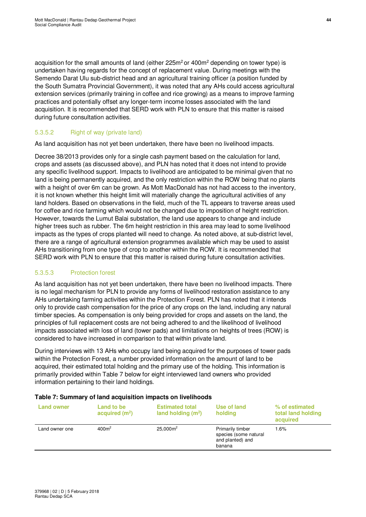acquisition for the small amounts of land (either 225m<sup>2</sup> or 400m<sup>2</sup> depending on tower type) is undertaken having regards for the concept of replacement value. During meetings with the Semendo Darat Ulu sub-district head and an agricultural training officer (a position funded by the South Sumatra Provincial Government), it was noted that any AHs could access agricultural extension services (primarily training in coffee and rice growing) as a means to improve farming practices and potentially offset any longer-term income losses associated with the land acquisition. It is recommended that SERD work with PLN to ensure that this matter is raised during future consultation activities.

# 5.3.5.2 Right of way (private land)

As land acquisition has not yet been undertaken, there have been no livelihood impacts.

Decree 38/2013 provides only for a single cash payment based on the calculation for land, crops and assets (as discussed above), and PLN has noted that it does not intend to provide any specific livelihood support. Impacts to livelihood are anticipated to be minimal given that no land is being permanently acquired, and the only restriction within the ROW being that no plants with a height of over 6m can be grown. As Mott MacDonald has not had access to the inventory, it is not known whether this height limit will materially change the agricultural activities of any land holders. Based on observations in the field, much of the TL appears to traverse areas used for coffee and rice farming which would not be changed due to imposition of height restriction. However, towards the Lumut Balai substation, the land use appears to change and include higher trees such as rubber. The 6m height restriction in this area may lead to some livelihood impacts as the types of crops planted will need to change. As noted above, at sub-district level, there are a range of agricultural extension programmes available which may be used to assist AHs transitioning from one type of crop to another within the ROW. It is recommended that SERD work with PLN to ensure that this matter is raised during future consultation activities.

#### 5.3.5.3 Protection forest

As land acquisition has not yet been undertaken, there have been no livelihood impacts. There is no legal mechanism for PLN to provide any forms of livelihood restoration assistance to any AHs undertaking farming activities within the Protection Forest. PLN has noted that it intends only to provide cash compensation for the price of any crops on the land, including any natural timber species. As compensation is only being provided for crops and assets on the land, the principles of full replacement costs are not being adhered to and the likelihood of livelihood impacts associated with loss of land (tower pads) and limitations on heights of trees (ROW) is considered to have increased in comparison to that within private land.

During interviews with 13 AHs who occupy land being acquired for the purposes of tower pads within the Protection Forest, a number provided information on the amount of land to be acquired, their estimated [total ho](#page-52-0)lding and the primary use of the holding. This information is primarily provided within Table 7 below for eight interviewed land owners who provided information pertaining to their land holdings.

| <b>Land owner</b> | Land to be<br>acquired $(m2)$ | <b>Estimated total</b><br>land holding $(m^2)$ | Use of land<br>holding                                                         | % of estimated<br>total land holding<br>acquired |
|-------------------|-------------------------------|------------------------------------------------|--------------------------------------------------------------------------------|--------------------------------------------------|
| Land owner one    | 400m <sup>2</sup>             | $25.000m^2$                                    | <b>Primarily timber</b><br>species (some natural<br>and planted) and<br>banana | $1.6\%$                                          |

#### <span id="page-52-0"></span>**Table 7: Summary of land acquisition impacts on livelihoods**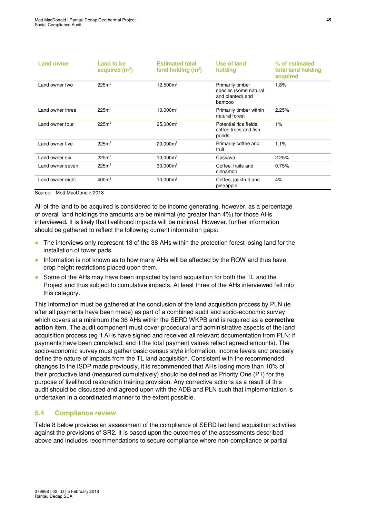| <b>Land owner</b> | Land to be<br>acquired $(m2)$ | <b>Estimated total</b><br>land holding $(m^2)$ | Use of land<br>holding                                                  | % of estimated<br>total land holding<br>acquired |
|-------------------|-------------------------------|------------------------------------------------|-------------------------------------------------------------------------|--------------------------------------------------|
| Land owner two    | 225m <sup>2</sup>             | $12,500m^2$                                    | Primarily timber<br>species (some natural<br>and planted) and<br>bamboo | 1.8%                                             |
| Land owner three  | $225m^2$                      | $10,000m^2$                                    | Primarily timber within<br>natural forest                               | 2.25%                                            |
| Land owner four   | $225m^2$                      | $25,000m^2$                                    | Potential rice fields,<br>coffee trees and fish<br>ponds                | 1%                                               |
| Land owner five   | 225m <sup>2</sup>             | $20,000m^2$                                    | Primarily coffee and<br>fruit                                           | 1.1%                                             |
| Land owner six    | 225m <sup>2</sup>             | $10,000m^2$                                    | Cassava                                                                 | 2.25%                                            |
| Land owner seven  | 225m <sup>2</sup>             | $30,000m^2$                                    | Coffee, fruits and<br>cinnamon                                          | 0.75%                                            |
| Land owner eight  | 400m <sup>2</sup>             | $10.000m^2$                                    | Coffee, jackfruit and<br>pineapple                                      | 4%                                               |

Source: Mott MacDonald 2018

All of the land to be acquired is considered to be income generating, however, as a percentage of overall land holdings the amounts are be minimal (no greater than 4%) for those AHs interviewed. It is likely that livelihood impacts will be minimal. However, further information should be gathered to reflect the following current information gaps:

- The interviews only represent 13 of the 38 AHs within the protection forest losing land for the installation of tower pads.
- Information is not known as to how many AHs will be affected by the ROW and thus have crop height restrictions placed upon them.
- Some of the AHs may have been impacted by land acquisition for both the TL and the Project and thus subject to cumulative impacts. At least three of the AHs interviewed fell into this category.

This information must be gathered at the conclusion of the land acquisition process by PLN (ie after all payments have been made) as part of a combined audit and socio-economic survey which covers at a minimum the 36 AHs within the SERD WKPB and is required as a **corrective action** item. The audit component must cover procedural and administrative aspects of the land acquisition process (eg if AHs have signed and received all relevant documentation from PLN; if payments have been completed; and if the total payment values reflect agreed amounts). The socio-economic survey must gather basic census style information, income levels and precisely define the nature of impacts from the TL land acquisition. Consistent with the recommended changes to the ISDP made previously, it is recommended that AHs losing more than 10% of their productive land (measured cumulatively) should be defined as Priority One (P1) for the purpose of livelihood restoration training provision. Any corrective actions as a result of this audit should be discussed and agreed upon with the ADB and PLN such that implementation is undertaken in a coordinated manner to the extent possible.

#### **5.4 Compliance review**

[Table 8](#page-56-0) below provides an assessment of the compliance of SERD led land acquisition activities against the provisions of SR2. It is based upon the outcomes of the assessments described above and includes recommendations to secure compliance where non-compliance or partial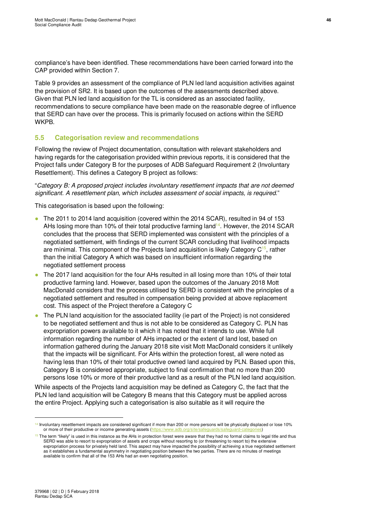compliance's have been identified. These recommendations have been carried forward into the CAP provided within Section 7.

[Table 9](#page-61-0) provides an assessment of the compliance of PLN led land acquisition activities against the provision of SR2. It is based upon the outcomes of the assessments described above. Given that PLN led land acquisition for the TL is considered as an associated facility, recommendations to secure compliance have been made on the reasonable degree of influence that SERD can have over the process. This is primarily focused on actions within the SERD WKPB.

# **5.5 Categorisation review and recommendations**

Following the review of Project documentation, consultation with relevant stakeholders and having regards for the categorisation provided within previous reports, it is considered that the Project falls under Category B for the purposes of ADB Safeguard Requirement 2 (Involuntary Resettlement). This defines a Category B project as follows:

"*Category B: A proposed project includes involuntary resettlement impacts that are not deemed significant. A resettlement plan, which includes assessment of social impacts, is required*."

This categorisation is based upon the following:

- The 2011 to 2014 land acquisition (covered within the 2014 SCAR), resulted in 94 of 153 AHs losing more than 10% of their total productive farming land<sup>[14](#page-54-0)</sup>. However, the 2014 SCAR concludes that the process that SERD implemented was consistent with the principles of a negotiated settlement, with findings of the current SCAR concluding that livelihood impacts are minimal. This component of the Projects land acquisition is likely Category  $C^{15}$  $C^{15}$  $C^{15}$ , rather than the initial Category A which was based on insufficient information regarding the negotiated settlement process
- The 2017 land acquisition for the four AHs resulted in all losing more than 10% of their total productive farming land. However, based upon the outcomes of the January 2018 Mott MacDonald considers that the process utilised by SERD is consistent with the principles of a negotiated settlement and resulted in compensation being provided at above replacement cost. This aspect of the Project therefore a Category C
- The PLN land acquisition for the associated facility (ie part of the Project) is not considered to be negotiated settlement and thus is not able to be considered as Category C. PLN has expropriation powers available to it which it has noted that it intends to use. While full information regarding the number of AHs impacted or the extent of land lost, based on information gathered during the January 2018 site visit Mott MacDonald considers it unlikely that the impacts will be significant. For AHs within the protection forest, all were noted as having less than 10% of their total productive owned land acquired by PLN. Based upon this, Category B is considered appropriate, subject to final confirmation that no more than 200 persons lose 10% or more of their productive land as a result of the PLN led land acquisition.

While aspects of the Projects land acquisition may be defined as Category C, the fact that the PLN led land acquisition will be Category B means that this Category must be applied across the entire Project. Applying such a categorisation is also suitable as it will require the

<span id="page-54-0"></span><sup>&</sup>lt;sup>14</sup> Involuntary resettlement impacts are considered significant if more than 200 or more persons will be physically displaced or lose 10% or more of their productive or income generating assets (https://www.adb.org/site/safeguard-categories)

<span id="page-54-1"></span><sup>&</sup>lt;sup>15</sup> The term "likely" is used in this instance as the AHs in protection forest were aware that they had no formal claims to legal title and thus SERD was able to resort to expropriation of assets and crops without resorting to (or threatening to resort to) the extensive expropriation process for privately held land. This aspect may have impacted the possibility of achieving a true negotiated settlement as it establishes a fundamental asymmetry in negotiating position between the two parties. There are no minutes of meetings available to confirm that all of the 153 AHs had an even negotiating position.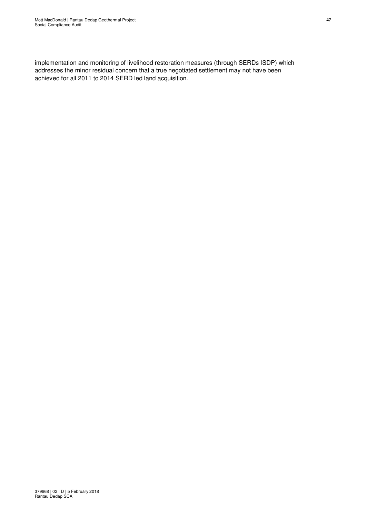implementation and monitoring of livelihood restoration measures (through SERDs ISDP) which addresses the minor residual concern that a true negotiated settlement may not have been achieved for all 2011 to 2014 SERD led land acquisition.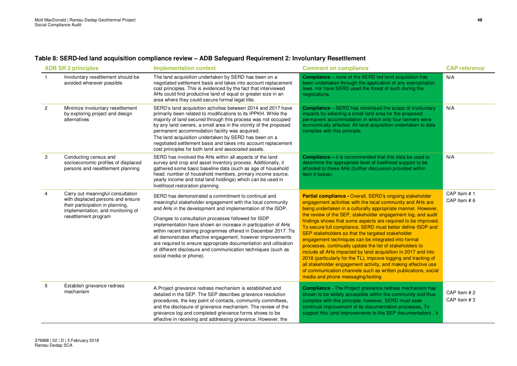|                | <b>ADB SR 2 principles</b>                                                                                                                                              | <b>Implementation context</b>                                                                                                                                                                                                                                                                                                                                                                                                                                                                                                                                                                             | <b>Comment on compliance</b>                                                                                                                                                                                                                                                                                                                                                                                                                                                                                                                                                                                                                                                                                                                                                                                                                                                  | <b>CAP</b> reference         |
|----------------|-------------------------------------------------------------------------------------------------------------------------------------------------------------------------|-----------------------------------------------------------------------------------------------------------------------------------------------------------------------------------------------------------------------------------------------------------------------------------------------------------------------------------------------------------------------------------------------------------------------------------------------------------------------------------------------------------------------------------------------------------------------------------------------------------|-------------------------------------------------------------------------------------------------------------------------------------------------------------------------------------------------------------------------------------------------------------------------------------------------------------------------------------------------------------------------------------------------------------------------------------------------------------------------------------------------------------------------------------------------------------------------------------------------------------------------------------------------------------------------------------------------------------------------------------------------------------------------------------------------------------------------------------------------------------------------------|------------------------------|
| $\overline{1}$ | Involuntary resettlement should be<br>avoided wherever possible                                                                                                         | The land acquisition undertaken by SERD has been on a<br>negotiated settlement basis and takes into account replacement<br>cost principles. This is evidenced by the fact that interviewed<br>AHs could find productive land of equal or greater size in an<br>area where they could secure formal legal title.                                                                                                                                                                                                                                                                                           | <b>Compliance</b> – none of the SERD led land acquisition has<br>been undertaken through the application of any expropriation<br>laws, nor have SERD used the threat of such during the<br>negotiations.                                                                                                                                                                                                                                                                                                                                                                                                                                                                                                                                                                                                                                                                      | N/A                          |
| 2              | Minimize involuntary resettlement<br>by exploring project and design<br>alternatives                                                                                    | SERD's land acquisition activities between 2014 and 2017 have<br>primarily been related to modifications to its IPPKH. While the<br>majority of land secured through this process was not occupied<br>by any land owners, a small area in the vicinity of the proposed<br>permanent accommodation facility was acquired.<br>The land acquisition undertaken by SERD has been on a<br>negotiated settlement basis and takes into account replacement<br>cost principles for both land and associated assets.                                                                                               | <b>Compliance</b> – SERD has minimised the scope of involuntary<br>impacts by selecting a small land area for the proposed<br>permanent accommodation in which only four farmers were<br>economically affected. All land acquisition undertaken to date<br>complies with this principle.                                                                                                                                                                                                                                                                                                                                                                                                                                                                                                                                                                                      | N/A                          |
| 3              | Conducting census and<br>socioeconomic profiles of displaced<br>persons and resettlement planning                                                                       | SERD has involved the AHs within all aspects of the land<br>survey and crop and asset inventory process. Additionally, it<br>gathered some basic baseline data (such as age of household<br>head, number of household members, primary income source,<br>yearly income and total land holdings) which can be used in<br>livelihood restoration planning.                                                                                                                                                                                                                                                  | <b>Compliance - it is recommended that this data be used to</b><br>determine the appropriate level of livelihood support to be<br>afforded to these AHs (further discussion provided within<br>Item 6 below).                                                                                                                                                                                                                                                                                                                                                                                                                                                                                                                                                                                                                                                                 | N/A                          |
| 4              | Carry out meaningful consultation<br>with displaced persons and ensure<br>their participation in planning,<br>implementation, and monitoring of<br>resettlement program | SERD has demonstrated a commitment to continual and<br>meaningful stakeholder engagement with the local community<br>and AHs in the development and implementation of the ISDP.<br>Changes to consultation processes followed for ISDP<br>implementation have shown an increase in participation of AHs<br>within recent training programmes offered in December 2017. Tis<br>all demonstrates effective engagement, however improvements<br>are required to ensure appropriate documentation and utilisation<br>of different disclosure and communication techniques (such as<br>social media or phone). | Partial compliance - Overall, SERD's ongoing stakeholder<br>engagement activities with the local community and AHs are<br>being undertaken in a culturally appropriate manner. However,<br>the review of the SEP, stakeholder engagement log, and audit<br>findings shows that some aspects are required to be improved.<br>To secure full compliance, SERD must better define ISDP and<br>SEP stakeholders so that the targeted stakeholder<br>engagement techniques can be integrated into formal<br>processes, continually update the list of stakeholders to<br>include all AHs impacted by land acquisition in 2017 and into<br>2018 (particularly for the TL), improve logging and tracking of<br>all stakeholder engagement activity, and making effective use<br>of communication channels such as written publications, social<br>media and phone messaging/texting. | CAP Item #1<br>CAP Item #6   |
| 5              | Establish grievance redress<br>mechanism                                                                                                                                | A Project grievance redress mechanism is established and<br>detailed in the SEP. The SEP describes grievance resolution<br>procedures, the key point of contacts, community committees,<br>and the disclosure of grievance mechanism. The review of the<br>grievance log and completed grievance forms shows to be<br>effective in receiving and addressing grievance. However, the                                                                                                                                                                                                                       | <b>Compliance</b> - The Project grievance redress mechanism has<br>shown to be widely accessible within the community and thus<br>complies with this principle; however, SERD must seek<br>continual improvement of its documentation processes. To<br>support this (and improvements to the SEP documentation), it                                                                                                                                                                                                                                                                                                                                                                                                                                                                                                                                                           | CAP Item # 2<br>CAP Item # 3 |

#### <span id="page-56-0"></span>**Table 8: SERD-led land acquisition compliance review – ADB Safeguard Requirement 2: Involuntary Resettlement**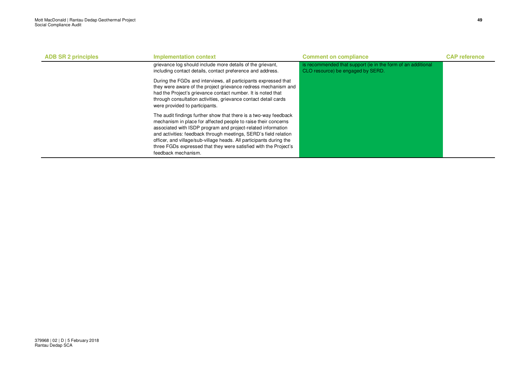| <b>ADB SR 2 principles</b> | <b>Implementation context</b>                                                                                                                                                                                                                                                                                                                                                                                                            | <b>Comment on compliance</b>                                                                      | <b>CAP</b> reference |
|----------------------------|------------------------------------------------------------------------------------------------------------------------------------------------------------------------------------------------------------------------------------------------------------------------------------------------------------------------------------------------------------------------------------------------------------------------------------------|---------------------------------------------------------------------------------------------------|----------------------|
|                            | grievance log should include more details of the grievant,<br>including contact details, contact preference and address.                                                                                                                                                                                                                                                                                                                 | is recommended that support (ie in the form of an additional<br>CLO resource) be engaged by SERD. |                      |
|                            | During the FGDs and interviews, all participants expressed that<br>they were aware of the project grievance redress mechanism and<br>had the Project's grievance contact number. It is noted that<br>through consultation activities, grievance contact detail cards<br>were provided to participants.                                                                                                                                   |                                                                                                   |                      |
|                            | The audit findings further show that there is a two-way feedback<br>mechanism in place for affected people to raise their concerns<br>associated with ISDP program and project-related information<br>and activities: feedback through meetings, SERD's field relation<br>officer, and village/sub-village heads. All participants during the<br>three FGDs expressed that they were satisfied with the Project's<br>feedback mechanism. |                                                                                                   |                      |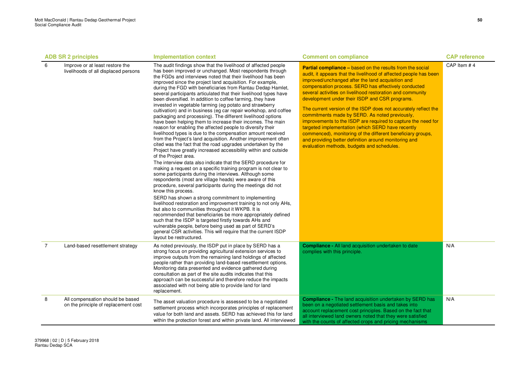|                | <b>ADB SR 2 principles</b>                                               | <b>Implementation context</b>                                                                                                                                                                                                                                                                                                                                                                                                                                                                                                                                                                                                                                                                                                                                                                                                                                                                                                                                                                                                                                                                                                                                                                                                                                                                                                                                                                                                                                                                                                                                                                                                                                                                                                                                                                                                                                                                | <b>Comment on compliance</b>                                                                                                                                                                                                                                                                                                                                                                                                                                                                                                                                                                                                                                                                                                                                                        | <b>CAP</b> reference |
|----------------|--------------------------------------------------------------------------|----------------------------------------------------------------------------------------------------------------------------------------------------------------------------------------------------------------------------------------------------------------------------------------------------------------------------------------------------------------------------------------------------------------------------------------------------------------------------------------------------------------------------------------------------------------------------------------------------------------------------------------------------------------------------------------------------------------------------------------------------------------------------------------------------------------------------------------------------------------------------------------------------------------------------------------------------------------------------------------------------------------------------------------------------------------------------------------------------------------------------------------------------------------------------------------------------------------------------------------------------------------------------------------------------------------------------------------------------------------------------------------------------------------------------------------------------------------------------------------------------------------------------------------------------------------------------------------------------------------------------------------------------------------------------------------------------------------------------------------------------------------------------------------------------------------------------------------------------------------------------------------------|-------------------------------------------------------------------------------------------------------------------------------------------------------------------------------------------------------------------------------------------------------------------------------------------------------------------------------------------------------------------------------------------------------------------------------------------------------------------------------------------------------------------------------------------------------------------------------------------------------------------------------------------------------------------------------------------------------------------------------------------------------------------------------------|----------------------|
| 6              | Improve or at least restore the<br>livelihoods of all displaced persons  | The audit findings show that the livelihood of affected people<br>has been improved or unchanged. Most respondents through<br>the FGDs and interviews noted that their livelihood has been<br>improved since the project land acquisition. For example,<br>during the FGD with beneficiaries from Rantau Dedap Hamlet,<br>several participants articulated that their livelihood types have<br>been diversified. In addition to coffee farming, they have<br>invested in vegetable farming (eg potato and strawberry<br>cultivation) and in business (eg car repair workshop, and coffee<br>packaging and processing). The different livelihood options<br>have been helping them to increase their incomes. The main<br>reason for enabling the affected people to diversify their<br>livelihood types is due to the compensation amount received<br>from the Project's land acquisition. Another improvement often<br>cited was the fact that the road upgrades undertaken by the<br>Project have greatly increased accessibility within and outside<br>of the Project area.<br>The interview data also indicate that the SERD procedure for<br>making a request on a specific training program is not clear to<br>some participants during the interviews. Although some<br>respondents (most are village heads) were aware of this<br>procedure, several participants during the meetings did not<br>know this process.<br>SERD has shown a strong commitment to implementing<br>livelihood restoration and improvement training to not only AHs,<br>but also to communities throughout it WKPB. It is<br>recommended that beneficiaries be more appropriately defined<br>such that the ISDP is targeted firstly towards AHs and<br>vulnerable people, before being used as part of SERD's<br>general CSR activities. This will require that the current ISDP<br>layout be restructured. | <b>Partial compliance - based on the results from the social</b><br>audit, it appears that the livelihood of affected people has been<br>improved/unchanged after the land acquisition and<br>compensation process. SERD has effectively conducted<br>several activities on livelihood restoration and community<br>development under their ISDP and CSR programs.<br>The current version of the ISDP does not accurately reflect the<br>commitments made by SERD. As noted previously,<br>improvements to the ISDP are required to capture the need for<br>targeted implementation (which SERD have recently<br>commenced), monitoring of the different beneficiary groups,<br>and providing better definition around monitoring and<br>evaluation methods, budgets and schedules. | CAP Item #4          |
| $\overline{7}$ | Land-based resettlement strategy                                         | As noted previously, the ISDP put in place by SERD has a<br>strong focus on providing agricultural extension services to<br>improve outputs from the remaining land holdings of affected<br>people rather than providing land-based resettlement options.<br>Monitoring data presented and evidence gathered during<br>consultation as part of the site audits indicates that this<br>approach can be successful and therefore reduce the impacts<br>associated with not being able to provide land for land<br>replacement.                                                                                                                                                                                                                                                                                                                                                                                                                                                                                                                                                                                                                                                                                                                                                                                                                                                                                                                                                                                                                                                                                                                                                                                                                                                                                                                                                                 | <b>Compliance - All land acquisition undertaken to date</b><br>complies with this principle.                                                                                                                                                                                                                                                                                                                                                                                                                                                                                                                                                                                                                                                                                        | N/A                  |
| 8              | All compensation should be based<br>on the principle of replacement cost | The asset valuation procedure is assessed to be a negotiated<br>settlement process which incorporates principles of replacement<br>value for both land and assets. SERD has achieved this for land<br>within the protection forest and within private land. All interviewed                                                                                                                                                                                                                                                                                                                                                                                                                                                                                                                                                                                                                                                                                                                                                                                                                                                                                                                                                                                                                                                                                                                                                                                                                                                                                                                                                                                                                                                                                                                                                                                                                  | <b>Compliance - The land acquisition undertaken by SERD has</b><br>been on a negotiated settlement basis and takes into<br>account replacement cost principles. Based on the fact that<br>all interviewed land owners noted that they were satisfied<br>with the counts of affected crops and pricing mechanisms                                                                                                                                                                                                                                                                                                                                                                                                                                                                    | N/A                  |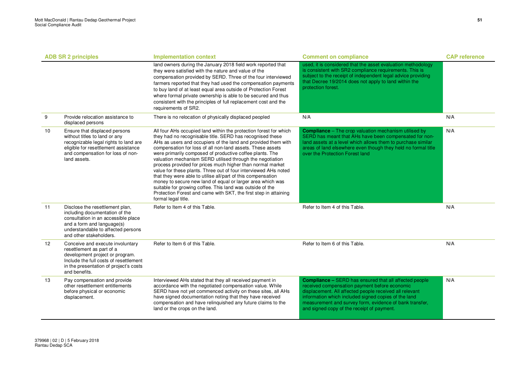|    | <b>ADB SR 2 principles</b>                                                                                                                                                                              | <b>Implementation context</b>                                                                                                                                                                                                                                                                                                                                                                                                                                                                                                                                                                                                                                                                                                                                                                                 | <b>Comment on compliance</b>                                                                                                                                                                                                                                                                                                               | <b>CAP</b> reference |
|----|---------------------------------------------------------------------------------------------------------------------------------------------------------------------------------------------------------|---------------------------------------------------------------------------------------------------------------------------------------------------------------------------------------------------------------------------------------------------------------------------------------------------------------------------------------------------------------------------------------------------------------------------------------------------------------------------------------------------------------------------------------------------------------------------------------------------------------------------------------------------------------------------------------------------------------------------------------------------------------------------------------------------------------|--------------------------------------------------------------------------------------------------------------------------------------------------------------------------------------------------------------------------------------------------------------------------------------------------------------------------------------------|----------------------|
|    |                                                                                                                                                                                                         | land owners during the January 2018 field work reported that<br>they were satisfied with the nature and value of the<br>compensation provided by SERD. Three of the four interviewed<br>farmers reported that they had used the compensation payments<br>to buy land of at least equal area outside of Protection Forest<br>where formal private ownership is able to be secured and thus<br>consistent with the principles of full replacement cost and the<br>requirements of SR2.                                                                                                                                                                                                                                                                                                                          | used, it is considered that the asset evaluation methodology<br>is consistent with SR2 compliance requirements. This is<br>subject to the receipt of independent legal advice providing<br>that Decree 19/2014 does not apply to land within the<br>protection forest.                                                                     |                      |
| 9  | Provide relocation assistance to<br>displaced persons                                                                                                                                                   | There is no relocation of physically displaced peopled                                                                                                                                                                                                                                                                                                                                                                                                                                                                                                                                                                                                                                                                                                                                                        | N/A                                                                                                                                                                                                                                                                                                                                        | N/A                  |
| 10 | Ensure that displaced persons<br>without titles to land or any<br>recognizable legal rights to land are<br>eligible for resettlement assistance<br>and compensation for loss of non-<br>land assets.    | All four AHs occupied land within the protection forest for which<br>they had no recognisable title. SERD has recognised these<br>AHs as users and occupiers of the land and provided them with<br>compensation for loss of all non-land assets. These assets<br>were primarily composed of productive coffee plants. The<br>valuation mechanism SERD utilised through the negotiation<br>process provided for prices much higher than normal market<br>value for these plants. Three out of four interviewed AHs noted<br>that they were able to utilise all/part of this compensation<br>money to secure new land of equal or larger area which was<br>suitable for growing coffee. This land was outside of the<br>Protection Forest and came with SKT, the first step in attaining<br>formal legal title. | <b>Compliance</b> – The crop valuation mechanism utilised by<br>SERD has meant that AHs have been compensated for non-<br>land assets at a level which allows them to purchase similar<br>areas of land elsewhere even though they held no formal title<br>over the Protection Forest land                                                 | N/A                  |
| 11 | Disclose the resettlement plan,<br>including documentation of the<br>consultation in an accessible place<br>and a form and language(s)<br>understandable to affected persons<br>and other stakeholders. | Refer to Item 4 of this Table.                                                                                                                                                                                                                                                                                                                                                                                                                                                                                                                                                                                                                                                                                                                                                                                | Refer to Item 4 of this Table.                                                                                                                                                                                                                                                                                                             | N/A                  |
| 12 | Conceive and execute involuntary<br>resettlement as part of a<br>development project or program.<br>Include the full costs of resettlement<br>in the presentation of project's costs<br>and benefits.   | Refer to Item 6 of this Table.                                                                                                                                                                                                                                                                                                                                                                                                                                                                                                                                                                                                                                                                                                                                                                                | Refer to Item 6 of this Table.                                                                                                                                                                                                                                                                                                             | N/A                  |
| 13 | Pay compensation and provide<br>other resettlement entitlements<br>before physical or economic<br>displacement.                                                                                         | Interviewed AHs stated that they all received payment in<br>accordance with the negotiated compensation value. While<br>SERD have not yet commenced activity on these sites, all AHs<br>have signed documentation noting that they have received<br>compensation and have relinquished any future claims to the<br>land or the crops on the land.                                                                                                                                                                                                                                                                                                                                                                                                                                                             | <b>Compliance - SERD has ensured that all affected people</b><br>received compensation payment before economic<br>displacement. All affected people received all relevant<br>information which included signed copies of the land<br>measurement and survey form, evidence of bank transfer,<br>and signed copy of the receipt of payment. | N/A                  |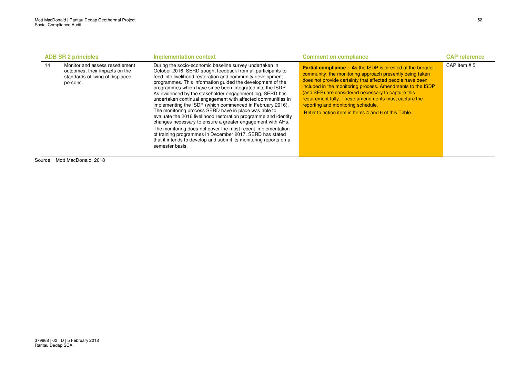|    | <b>ADB SR 2 principles</b>                                                                                        | <b>Implementation context</b>                                                                                                                                                                                                                                                                                                                                                                                                                                                                                                                                                                                                                                                                                                                                                                                                                                                                                           | <b>Comment on compliance</b>                                                                                                                                                                                                                                                                                                                                                                                                                                          | <b>CAP</b> reference |
|----|-------------------------------------------------------------------------------------------------------------------|-------------------------------------------------------------------------------------------------------------------------------------------------------------------------------------------------------------------------------------------------------------------------------------------------------------------------------------------------------------------------------------------------------------------------------------------------------------------------------------------------------------------------------------------------------------------------------------------------------------------------------------------------------------------------------------------------------------------------------------------------------------------------------------------------------------------------------------------------------------------------------------------------------------------------|-----------------------------------------------------------------------------------------------------------------------------------------------------------------------------------------------------------------------------------------------------------------------------------------------------------------------------------------------------------------------------------------------------------------------------------------------------------------------|----------------------|
| 14 | Monitor and assess resettlement<br>outcomes, their impacts on the<br>standards of living of displaced<br>persons. | During the socio-economic baseline survey undertaken in<br>October 2016, SERD sought feedback from all participants to<br>feed into livelihood restoration and community development<br>programmes. This information guided the development of the<br>programmes which have since been integrated into the ISDP.<br>As evidenced by the stakeholder engagement log, SERD has<br>undertaken continual engagement with affected communities in<br>implementing the ISDP (which commenced in February 2016).<br>The monitoring process SERD have in place was able to<br>evaluate the 2016 livelihood restoration programme and identify<br>changes necessary to ensure a greater engagement with AHs.<br>The monitoring does not cover the most recent implementation<br>of training programmes in December 2017. SERD has stated<br>that it intends to develop and submit its monitoring reports on a<br>semester basis. | <b>Partial compliance – As the ISDP is directed at the broader</b><br>community, the monitoring approach presently being taken<br>does not provide certainty that affected people have been<br>included in the monitoring process. Amendments to the ISDP<br>(and SEP) are considered necessary to capture this<br>requirement fully. These amendments must capture the<br>reporting and monitoring schedule.<br>Refer to action item in Items 4 and 6 of this Table. | CAP Item #5          |

Source: Mott MacDonald, 2018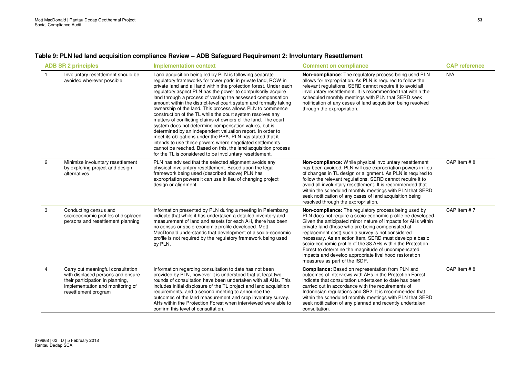| <b>ADB SR 2 principles</b> |                                                                                                                                                                        | <b>Implementation context</b>                                                                                                                                                                                                                                                                                                                                                                                                                                                                                                                                                                                                                                                                                                                                                                                                                                                                                                                                                 | <b>Comment on compliance</b>                                                                                                                                                                                                                                                                                                                                                                                                                                                                                                                                           | <b>CAP</b> reference |
|----------------------------|------------------------------------------------------------------------------------------------------------------------------------------------------------------------|-------------------------------------------------------------------------------------------------------------------------------------------------------------------------------------------------------------------------------------------------------------------------------------------------------------------------------------------------------------------------------------------------------------------------------------------------------------------------------------------------------------------------------------------------------------------------------------------------------------------------------------------------------------------------------------------------------------------------------------------------------------------------------------------------------------------------------------------------------------------------------------------------------------------------------------------------------------------------------|------------------------------------------------------------------------------------------------------------------------------------------------------------------------------------------------------------------------------------------------------------------------------------------------------------------------------------------------------------------------------------------------------------------------------------------------------------------------------------------------------------------------------------------------------------------------|----------------------|
| $\overline{1}$             | Involuntary resettlement should be<br>avoided wherever possible                                                                                                        | Land acquisition being led by PLN is following separate<br>regulatory frameworks for tower pads in private land, ROW in<br>private land and all land within the protection forest. Under each<br>regulatory aspect PLN has the power to compulsorily acquire<br>land through a process of vesting the assessed compensation<br>amount within the district-level court system and formally taking<br>ownership of the land. This process allows PLN to commence<br>construction of the TL while the court system resolves any<br>matters of conflicting claims of owners of the land. The court<br>system does not determine compensation values, but is<br>determined by an independent valuation report. In order to<br>meet its obligations under the PPA, PLN has stated that it<br>intends to use these powers where negotiated settlements<br>cannot be reached. Based on this, the land acquisition process<br>for the TL is considered to be involuntary resettlement. | Non-compliance: The regulatory process being used PLN<br>allows for expropriation. As PLN is required to follow the<br>relevant regulations, SERD cannot require it to avoid all<br>involuntary resettlement. It is recommended that within the<br>scheduled monthly meetings with PLN that SERD seek<br>notification of any cases of land acquisition being resolved<br>through the expropriation.                                                                                                                                                                    | N/A                  |
| $\overline{2}$             | Minimize involuntary resettlement<br>by exploring project and design<br>alternatives                                                                                   | PLN has advised that the selected alignment avoids any<br>physical involuntary resettlement. Based upon the legal<br>framework being used (described above) PLN has<br>expropriation powers it can use in lieu of changing project<br>design or alignment.                                                                                                                                                                                                                                                                                                                                                                                                                                                                                                                                                                                                                                                                                                                    | <b>Non-compliance:</b> While physical involuntary resettlement<br>has been avoided. PLN will use expropriation powers in lieu<br>of changes in TL design or alignment. As PLN is required to<br>follow the relevant regulations, SERD cannot require it to<br>avoid all involuntary resettlement. It is recommended that<br>within the scheduled monthly meetings with PLN that SERD<br>seek notification of any cases of land acquisition being<br>resolved through the expropriation.                                                                                | CAP Item #8          |
| 3                          | Conducting census and<br>socioeconomic profiles of displaced<br>persons and resettlement planning                                                                      | Information presented by PLN during a meeting in Palembang<br>indicate that while it has undertaken a detailed inventory and<br>measurement of land and assets for each AH, there has been<br>no census or socio-economic profile developed. Mott<br>MacDonald understands that development of a socio-economic<br>profile is not required by the regulatory framework being used<br>by PLN.                                                                                                                                                                                                                                                                                                                                                                                                                                                                                                                                                                                  | Non-compliance: The regulatory process being used by<br>PLN does not require a socio-economic profile be developed.<br>Given the anticipated minor nature of impacts for AHs within<br>private land (those who are being compensated at<br>replacement cost) such a survey is not considered<br>necessary. As an action item, SERD must develop a basic<br>socio-economic profile of the 38 AHs within the Protection<br>Forest to determine the magnitude of uncompensated<br>impacts and develop appropriate livelihood restoration<br>measures as part of the ISDP. | CAP Item #7          |
| 4                          | Carry out meaningful consultation<br>with displaced persons and ensure<br>their participation in planning,<br>implementation and monitoring of<br>resettlement program | Information regarding consultation to date has not been<br>provided by PLN, however it is understood that at least two<br>rounds of consultation have been undertaken with all AHs. This<br>includes initial disclosure of the TL project and land acquisition<br>requirements, and a second meeting to announce the<br>outcomes of the land measurement and crop inventory survey.<br>AHs within the Protection Forest when interviewed were able to<br>confirm this level of consultation.                                                                                                                                                                                                                                                                                                                                                                                                                                                                                  | Compliance: Based on representation from PLN and<br>outcomes of interviews with AHs in the Protection Forest<br>indicate that consultation undertaken to date has been<br>carried out in accordance with the requirements of<br>Indonesian regulations and SR2. It is recommended that<br>within the scheduled monthly meetings with PLN that SERD<br>seek notification of any planned and recently undertaken<br>consultation.                                                                                                                                        | CAP Item # 8         |

#### <span id="page-61-0"></span>**Table 9: PLN led land acquisition compliance Review – ADB Safeguard Requirement 2: Involuntary Resettlement**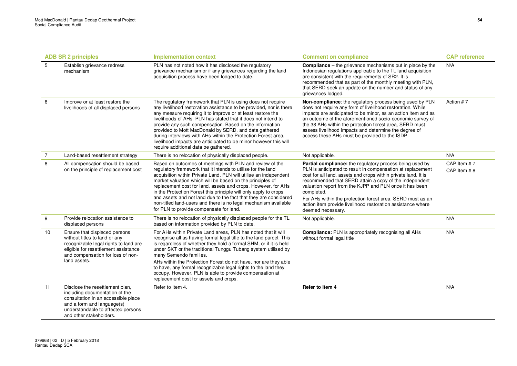|                | <b>ADB SR 2 principles</b>                                                                                                                                                                              | <b>Implementation context</b>                                                                                                                                                                                                                                                                                                                                                                                                                                                                                                                                                    | <b>Comment on compliance</b>                                                                                                                                                                                                                                                                                                                                                                                                                                                   | <b>CAP</b> reference       |
|----------------|---------------------------------------------------------------------------------------------------------------------------------------------------------------------------------------------------------|----------------------------------------------------------------------------------------------------------------------------------------------------------------------------------------------------------------------------------------------------------------------------------------------------------------------------------------------------------------------------------------------------------------------------------------------------------------------------------------------------------------------------------------------------------------------------------|--------------------------------------------------------------------------------------------------------------------------------------------------------------------------------------------------------------------------------------------------------------------------------------------------------------------------------------------------------------------------------------------------------------------------------------------------------------------------------|----------------------------|
| 5              | Establish grievance redress<br>mechanism                                                                                                                                                                | PLN has not noted how it has disclosed the regulatory<br>grievance mechanism or if any grievances regarding the land<br>acquisition process have been lodged to date.                                                                                                                                                                                                                                                                                                                                                                                                            | <b>Compliance</b> – the grievance mechanisms put in place by the<br>Indonesian regulations applicable to the TL land acquisition<br>are consistent with the requirements of SR2. It is<br>recommended that as part of the monthly meeting with PLN,<br>that SERD seek an update on the number and status of any<br>grievances lodged.                                                                                                                                          | N/A                        |
| 6              | Improve or at least restore the<br>livelihoods of all displaced persons                                                                                                                                 | The regulatory framework that PLN is using does not require<br>any livelihood restoration assistance to be provided, nor is there<br>any measure requiring it to improve or at least restore the<br>livelihoods of AHs. PLN has stated that it does not intend to<br>provide any such compensation. Based on the information<br>provided to Mott MacDonald by SERD, and data gathered<br>during interviews with AHs within the Protection Forest area,<br>livelihood impacts are anticipated to be minor however this will<br>require additional data be gathered.               | Non-compliance: the regulatory process being used by PLN<br>does not require any form of livelihood restoration. While<br>impacts are anticipated to be minor, as an action item and as<br>an outcome of the aforementioned socio-economic survey of<br>the 38 AHs within the protection forest area, SERD must<br>assess livelihood impacts and determine the degree of<br>access these AHs must be provided to the ISDP.                                                     | Action #7                  |
| $\overline{7}$ | Land-based resettlement strategy                                                                                                                                                                        | There is no relocation of physically displaced people.                                                                                                                                                                                                                                                                                                                                                                                                                                                                                                                           | Not applicable.                                                                                                                                                                                                                                                                                                                                                                                                                                                                | N/A                        |
| 8              | All compensation should be based<br>on the principle of replacement cost                                                                                                                                | Based on outcomes of meetings with PLN and review of the<br>regulatory framework that it intends to utilise for the land<br>acquisition within Private Land, PLN will utilise an independent<br>market valuation which will be based on the principles of<br>replacement cost for land, assets and crops. However, for AHs<br>in the Protection Forest this principle will only apply to crops<br>and assets and not land due to the fact that they are considered<br>non-titled land-users and there is no legal mechanism available<br>for PLN to provide compensate for land. | Partial compliance: the regulatory process being used by<br>PLN is anticipated to result in compensation at replacement<br>cost for all land, assets and crops within private land. It is<br>recommended that SERD attain a copy of the independent<br>valuation report from the KJPP and PLN once it has been<br>completed.<br>For AHs within the protection forest area, SERD must as an<br>action item provide livelihood restoration assistance where<br>deemed necessary. | CAP Item #7<br>CAP Item #8 |
| 9              | Provide relocation assistance to<br>displaced persons                                                                                                                                                   | There is no relocation of physically displaced people for the TL<br>based on information provided by PLN to date.                                                                                                                                                                                                                                                                                                                                                                                                                                                                | Not applicable.                                                                                                                                                                                                                                                                                                                                                                                                                                                                | N/A                        |
| 10             | Ensure that displaced persons<br>without titles to land or any<br>recognizable legal rights to land are<br>eligible for resettlement assistance<br>and compensation for loss of non-<br>land assets.    | For AHs within Private Land areas, PLN has noted that it will<br>recognise all as having formal legal title to the land parcel. This<br>is regardless of whether they hold a formal SHM, or if it is held<br>under SKT or the traditional Tunggu Tubang system utilised by<br>many Semendo families.<br>AHs within the Protection Forest do not have, nor are they able<br>to have, any formal recognizable legal rights to the land they<br>occupy. However, PLN is able to provide compensation at<br>replacement cost for assets and crops.                                   | <b>Compliance:</b> PLN is appropriately recognising all AHs<br>without formal legal title                                                                                                                                                                                                                                                                                                                                                                                      | N/A                        |
| 11             | Disclose the resettlement plan,<br>including documentation of the<br>consultation in an accessible place<br>and a form and language(s)<br>understandable to affected persons<br>and other stakeholders. | Refer to Item 4.                                                                                                                                                                                                                                                                                                                                                                                                                                                                                                                                                                 | Refer to Item 4                                                                                                                                                                                                                                                                                                                                                                                                                                                                | N/A                        |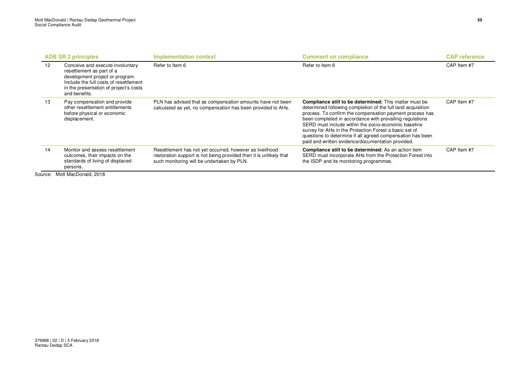| <b>ADB SR 2 principles</b> |                                                                                                                                                                                                       | <b>Implementation context</b>                                                                                                                                                | <b>Comment on compliance</b>                                                                                                                                                                                                                                                                                                                                                                                                                                                               | <b>CAP</b> reference |
|----------------------------|-------------------------------------------------------------------------------------------------------------------------------------------------------------------------------------------------------|------------------------------------------------------------------------------------------------------------------------------------------------------------------------------|--------------------------------------------------------------------------------------------------------------------------------------------------------------------------------------------------------------------------------------------------------------------------------------------------------------------------------------------------------------------------------------------------------------------------------------------------------------------------------------------|----------------------|
| 12                         | Conceive and execute involuntary<br>resettlement as part of a<br>development project or program.<br>Include the full costs of resettlement<br>in the presentation of project's costs<br>and benefits. | Refer to Item 6                                                                                                                                                              | Refer to Item 6                                                                                                                                                                                                                                                                                                                                                                                                                                                                            | CAP Item #7          |
| 13                         | Pay compensation and provide<br>other resettlement entitlements<br>before physical or economic<br>displacement.                                                                                       | PLN has advised that as compensation amounts have not been<br>calculated as yet, no compensation has been provided to AHs.                                                   | <b>Compliance still to be determined:</b> This matter must be<br>determined following completion of the full land acquisition<br>process. To confirm the compensation payment process has<br>been completed in accordance with prevailing regulations<br>SERD must include within the socio-economic baseline<br>survey for AHs in the Protection Forest a basic set of<br>questions to determine if all agreed compensation has been<br>paid and written evidence/documentation provided. | CAP Item #7          |
| 14                         | Monitor and assess resettlement<br>outcomes, their impacts on the<br>standards of living of displaced<br>persons.                                                                                     | Resettlement has not yet occurred, however as livelihood<br>restoration support is not being provided then it is unlikely that<br>such monitoring will be undertaken by PLN. | <b>Compliance still to be determined:</b> As an action item<br>SERD must incorporate AHs from the Protection Forest into<br>the ISDP and its monitoring programmes.                                                                                                                                                                                                                                                                                                                        | CAP Item #7          |

Source: Mott MacDonald, 2018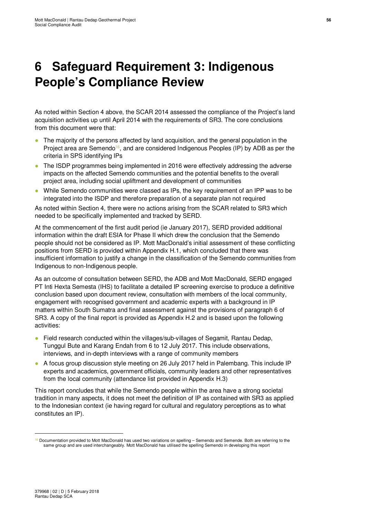# **6 Safeguard Requirement 3: Indigenous People's Compliance Review**

As noted within Section 4 above, the SCAR 2014 assessed the compliance of the Project's land acquisition activities up until April 2014 with the requirements of SR3. The core conclusions from this document were that:

- The majority of the persons affected by land acquisition, and the general population in the Project area are Semendo<sup>[16](#page-64-0)</sup>, and are considered Indigenous Peoples (IP) by ADB as per the criteria in SPS identifying IPs
- The ISDP programmes being implemented in 2016 were effectively addressing the adverse impacts on the affected Semendo communities and the potential benefits to the overall project area, including social upliftment and development of communities
- While Semendo communities were classed as IPs, the key requirement of an IPP was to be integrated into the ISDP and therefore preparation of a separate plan not required

As noted within Section 4, there were no actions arising from the SCAR related to SR3 which needed to be specifically implemented and tracked by SERD.

At the commencement of the first audit period (ie January 2017), SERD provided additional information within the draft ESIA for Phase II which drew the conclusion that the Semendo people should not be considered as IP. Mott MacDonald's initial assessment of these conflicting positions from SERD is provided within Appendix H.1, which concluded that there was insufficient information to justify a change in the classification of the Semendo communities from Indigenous to non-Indigenous people.

As an outcome of consultation between SERD, the ADB and Mott MacDonald, SERD engaged PT Inti Hexta Semesta (IHS) to facilitate a detailed IP screening exercise to produce a definitive conclusion based upon document review, consultation with members of the local community, engagement with recognised government and academic experts with a background in IP matters within South Sumatra and final assessment against the provisions of paragraph 6 of SR3. A copy of the final report is provided as Appendix H.2 and is based upon the following activities:

- Field research conducted within the villages/sub-villages of Segamit, Rantau Dedap, Tunggul Bute and Karang Endah from 6 to 12 July 2017. This include observations, interviews, and in-depth interviews with a range of community members
- A focus group discussion style meeting on 26 July 2017 held in Palembang. This include IP experts and academics, government officials, community leaders and other representatives from the local community (attendance list provided in Appendix H.3)

This report concludes that while the Semendo people within the area have a strong societal tradition in many aspects, it does not meet the definition of IP as contained with SR3 as applied to the Indonesian context (ie having regard for cultural and regulatory perceptions as to what constitutes an IP).

<span id="page-64-0"></span><sup>&</sup>lt;sup>16</sup> Documentation provided to Mott MacDonald has used two variations on spelling – Semendo and Semende. Both are referring to the same group and are used interchangeably. Mott MacDonald has utilised the spelling Semendo in developing this report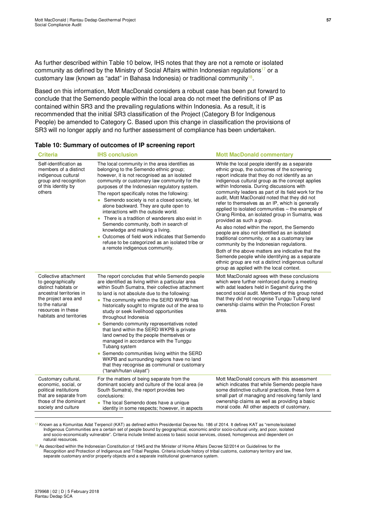As further described within [Table 10](#page-65-0) below, IHS notes that they are not a remote or isolated community as defined by the Ministry of Social Affairs within Indonesian regulations<sup>[17](#page-65-1)</sup> or a customary law (known as "adat" in Bahasa Indonesia) or traditional community<sup>[18](#page-65-2)</sup>.

Based on this information, Mott MacDonald considers a robust case has been put forward to conclude that the Semendo people within the local area do not meet the definitions of IP as contained within SR3 and the prevailing regulations within Indonesia. As a result, it is recommended that the initial SR3 classification of the Project (Category B for Indigenous People) be amended to Category C. Based upon this change in classification the provisions of SR3 will no longer apply and no further assessment of compliance has been undertaken.

| <b>Criteria</b>                                                                                                                                                                            | <b>IHS conclusion</b>                                                                                                                                                                                                                                                                                                                                                                                                                                                                                                                                                                                                                                                                                                                                      | <b>Mott MacDonald commentary</b>                                                                                                                                                                                                                                                                                                                                                                                                                                                                                                                                                                                                                                                                                                                                                                                                                                                                                                                       |
|--------------------------------------------------------------------------------------------------------------------------------------------------------------------------------------------|------------------------------------------------------------------------------------------------------------------------------------------------------------------------------------------------------------------------------------------------------------------------------------------------------------------------------------------------------------------------------------------------------------------------------------------------------------------------------------------------------------------------------------------------------------------------------------------------------------------------------------------------------------------------------------------------------------------------------------------------------------|--------------------------------------------------------------------------------------------------------------------------------------------------------------------------------------------------------------------------------------------------------------------------------------------------------------------------------------------------------------------------------------------------------------------------------------------------------------------------------------------------------------------------------------------------------------------------------------------------------------------------------------------------------------------------------------------------------------------------------------------------------------------------------------------------------------------------------------------------------------------------------------------------------------------------------------------------------|
| Self-identification as<br>members of a distinct<br>indigenous cultural<br>group and recognition<br>of this identity by<br>others                                                           | The local community in the area identifies as<br>belonging to the Semendo ethnic group;<br>however, it is not recognised as an isolated<br>community or customary law community for the<br>purposes of the Indonesian regulatory system.<br>The report specifically notes the following:<br>Semendo society is not a closed society, let<br>۰<br>alone backward. They are quite open to<br>interactions with the outside world.<br>There is a tradition of wanderers also exist in<br>Semendo community, both in search of<br>knowledge and making a living.<br>Outcomes of field work indicates that Semendo<br>refuse to be categorized as an isolated tribe or<br>a remote indigenous community.                                                        | While the local people identify as a separate<br>ethnic group, the outcomes of the screening<br>report indicate that they do not identify as an<br>indigenous cultural group as the concept applies<br>within Indonesia. During discussions with<br>community leaders as part of its field work for the<br>audit, Mott MacDonald noted that they did not<br>refer to themselves as an IP, which is generally<br>applied to isolated communities - the example of<br>Orang Rimba, an isolated group in Sumatra, was<br>provided as such a group.<br>As also noted within the report, the Semendo<br>people are also not identified as an isolated<br>traditional community, or as a customary law<br>community by the Indonesian regulations.<br>Both of the above matters are indicative that the<br>Semende people while identifying as a separate<br>ethnic group are not a distinct indigenous cultural<br>group as applied with the local context. |
| Collective attachment<br>to geographically<br>distinct habitats or<br>ancestral territories in<br>the project area and<br>to the natural<br>resources in these<br>habitats and territories | The report concludes that while Semendo people<br>are identified as living within a particular area<br>within South Sumatra, their collective attachment<br>to land is not absolute due to the following:<br>• The community within the SERD WKPB has<br>historically sought to migrate out of the area to<br>study or seek livelihood opportunities<br>throughout Indonesia<br>Semendo community representatives noted<br>that land within the SERD WKPB is private<br>land owned by the people themselves or<br>managed in accordance with the Tunggu<br>Tubang system<br>Semendo communities living within the SERD<br>$\bullet$<br>WKPB and surrounding regions have no land<br>that they recognise as communal or customary<br>("tanah/hutan ulayat") | Mott MacDonald agrees with these conclusions<br>which were further reinforced during a meeting<br>with adat leaders held in Segamit during the<br>second social audit. Members of this group noted<br>that they did not recognise Tunggu Tubang land<br>ownership claims within the Protection Forest<br>area.                                                                                                                                                                                                                                                                                                                                                                                                                                                                                                                                                                                                                                         |
| Customary cultural,<br>economic, social, or<br>political institutions<br>that are separate from<br>those of the dominant<br>society and culture                                            | For the matters of being separate from the<br>dominant society and culture of the local area (ie<br>South Sumatra), the report provides two<br>conclusions:<br>• The local Semendo does have a unique<br>identity in some respects; however, in aspects                                                                                                                                                                                                                                                                                                                                                                                                                                                                                                    | Mott MacDonald concurs with this assessment<br>which indicates that while Semendo people have<br>some distinctive cultural practices, these form a<br>small part of managing and resolving family land<br>ownership claims as well as providing a basic<br>moral code. All other aspects of customary,                                                                                                                                                                                                                                                                                                                                                                                                                                                                                                                                                                                                                                                 |

# <span id="page-65-0"></span>**Table 10: Summary of outcomes of IP screening report**

<span id="page-65-1"></span><sup>17</sup> Known as a Komunitas Adat Terpencil (KAT) as defined within Presidential Decree No. 186 of 2014. It defines KAT as "remote/isolated Indigenous Communities are a certain set of people bound by geographical, economic and/or socio-cultural unity, and poor, isolated and socio-economically vulnerable". Criteria include limited access to basic social services, closed, homogenous and dependent on natural resources.

<span id="page-65-2"></span>18 As described within the Indonesian Constitution of 1945 and the Minister of Home Affairs Decree 52/2014 on Guidelines for the Recognition and Protection of Indigenous and Tribal Peoples. Criteria include history of tribal customs, customary territory and law, separate customary and/or property objects and a separate institutional governance system.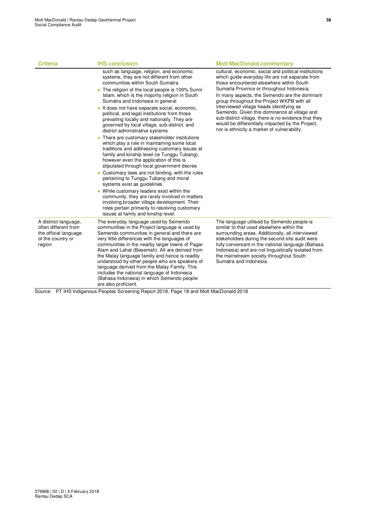| <b>Criteria</b>                                                                                      | <b>IHS conclusion</b>                                                                                                                                                                                                                                                                                                                                                                                                                                                                                                                                                  | <b>Mott MacDonald commentary</b>                                                                                                                                                                                                                                                                                                                                               |  |  |
|------------------------------------------------------------------------------------------------------|------------------------------------------------------------------------------------------------------------------------------------------------------------------------------------------------------------------------------------------------------------------------------------------------------------------------------------------------------------------------------------------------------------------------------------------------------------------------------------------------------------------------------------------------------------------------|--------------------------------------------------------------------------------------------------------------------------------------------------------------------------------------------------------------------------------------------------------------------------------------------------------------------------------------------------------------------------------|--|--|
|                                                                                                      | such as language, religion, and economic<br>systems, they are not different from other<br>communities within South Sumatra                                                                                                                                                                                                                                                                                                                                                                                                                                             | cultural, economic, social and political institutions<br>which guide everyday life are not separate from<br>those encountered elsewhere within South<br>Sumarta Province or throughout Indonesia.                                                                                                                                                                              |  |  |
|                                                                                                      | • The religion of the local people is 100% Sunni<br>Islam, which is the majority religion in South<br>Sumatra and Indonesia in general                                                                                                                                                                                                                                                                                                                                                                                                                                 | In many aspects, the Semendo are the dominant<br>group throughout the Project WKPB with all                                                                                                                                                                                                                                                                                    |  |  |
|                                                                                                      | • It does not have separate social, economic,<br>political, and legal institutions from those<br>prevailing locally and nationally. They are<br>governed by local village, sub-district, and<br>district administrative systems                                                                                                                                                                                                                                                                                                                                        | interviewed village heads identifying as<br>Semendo. Given this dominance at village and<br>sub-district village, there is no evidence that they<br>would be differentially impacted by the Project,<br>nor is ethnicity a marker of vulnerability.                                                                                                                            |  |  |
|                                                                                                      | There are customary stakeholder institutions<br>which play a role in maintaining some local<br>traditions and addressing customary issues at<br>family and kinship level (ie Tunggu Tubang),<br>however even the application of this is<br>stipulated through local government decree                                                                                                                                                                                                                                                                                  |                                                                                                                                                                                                                                                                                                                                                                                |  |  |
|                                                                                                      | • Customary laws are not binding, with the rules<br>pertaining to Tunggu Tubang and moral<br>systems exist as guidelines.                                                                                                                                                                                                                                                                                                                                                                                                                                              |                                                                                                                                                                                                                                                                                                                                                                                |  |  |
|                                                                                                      | • While customary leaders exist within the<br>community, they are rarely involved in matters<br>involving broader village development. Their<br>roles pertain primarily to resolving customary<br>issues at family and kinship level.                                                                                                                                                                                                                                                                                                                                  |                                                                                                                                                                                                                                                                                                                                                                                |  |  |
| A distinct language,<br>often different from<br>the official language<br>of the country or<br>region | The everyday language used by Semendo<br>communities in the Project language is used by<br>Semendo communities in general and there are<br>very little differences with the languages of<br>communities in the nearby larger towns of Pagar<br>Alam and Lahat (Besemah). All are derived from<br>the Malay language family and hence is readily<br>understood by other people who are speakers of<br>language derived from the Malay Family. This<br>includes the national language of Indonesia<br>(Bahasa Indonesia) in which Semendo people<br>are also proficient. | The language utilised by Semendo people is<br>similar to that used elsewhere within the<br>surrounding areas. Additionally, all interviewed<br>stakeholders during the second site audit were<br>fully conversant in the national language (Bahasa<br>Indonesia) and are not linguistically isolated from<br>the mainstream society throughout South<br>Sumatra and Indonesia. |  |  |

Source: PT IHS Indigenous Peoples Screening Report 2018, Page 18 and Mott MacDonald 2018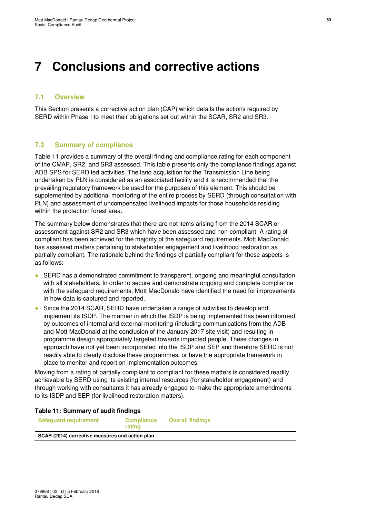# **7 Conclusions and corrective actions**

#### **7.1 Overview**

This Section presents a corrective action plan (CAP) which details the actions required by SERD within Phase I to meet their obligations set out within the SCAR, SR2 and SR3.

#### **7.2 Summary of compliance**

[Table 11](#page-67-0) provides a summary of the overall finding and compliance rating for each component of the CMAP, SR2, and SR3 assessed. This table presents only the compliance findings against ADB SPS for SERD led activities. The land acquisition for the Transmission Line being undertaken by PLN is considered as an associated facility and it is recommended that the prevailing regulatory framework be used for the purposes of this element. This should be supplemented by additional monitoring of the entire process by SERD (through consultation with PLN) and assessment of uncompensated livelihood impacts for those households residing within the protection forest area.

The summary below demonstrates that there are not items arising from the 2014 SCAR or assessment against SR2 and SR3 which have been assessed and non-compliant. A rating of compliant has been achieved for the majority of the safeguard requirements. Mott MacDonald has assessed matters pertaining to stakeholder engagement and livelihood restoration as partially compliant. The rationale behind the findings of partially compliant for these aspects is as follows:

- SERD has a demonstrated commitment to transparent, ongoing and meaningful consultation with all stakeholders. In order to secure and demonstrate ongoing and complete compliance with the safeguard requirements, Mott MacDonald have identified the need for improvements in how data is captured and reported.
- Since the 2014 SCAR, SERD have undertaken a range of activities to develop and implement its ISDP. The manner in which the ISDP is being implemented has been informed by outcomes of internal and external monitoring (including communications from the ADB and Mott MacDonald at the conclusion of the January 2017 site visit) and resulting in programme design appropriately targeted towards impacted people. These changes in approach have not yet been incorporated into the ISDP and SEP and therefore SERD is not readily able to clearly disclose these programmes, or have the appropriate framework in place to monitor and report on implementation outcomes.

Moving from a rating of partially compliant to compliant for these matters is considered readily achievable by SERD using its existing internal resources (for stakeholder engagement) and through working with consultants it has already engaged to make the appropriate amendments to its ISDP and SEP (for livelihood restoration matters).

#### <span id="page-67-0"></span>**Table 11: Summary of audit findings**

| <b>Safequard requirement</b>                    | <b>Compliance</b><br>rating | <b>Overall findings</b> |  |  |
|-------------------------------------------------|-----------------------------|-------------------------|--|--|
| SCAR (2014) corrective measures and action plan |                             |                         |  |  |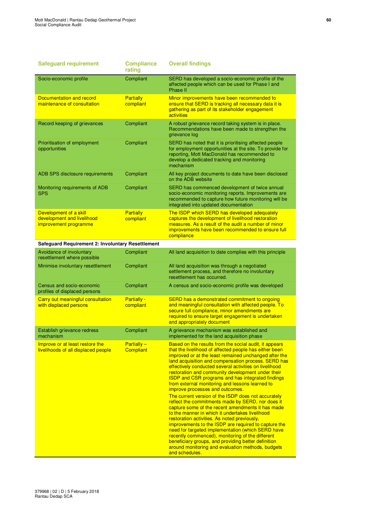| <b>Safeguard requirement</b>                                                  | <b>Compliance</b><br>rating       | <b>Overall findings</b>                                                                                                                                                                                                                                                                                                                                                                                                                                                                           |
|-------------------------------------------------------------------------------|-----------------------------------|---------------------------------------------------------------------------------------------------------------------------------------------------------------------------------------------------------------------------------------------------------------------------------------------------------------------------------------------------------------------------------------------------------------------------------------------------------------------------------------------------|
| Socio-economic profile                                                        | Compliant                         | SERD has developed a socio-economic profile of the<br>affected people which can be used for Phase I and<br>Phase II                                                                                                                                                                                                                                                                                                                                                                               |
| Documentation and record<br>maintenance of consultation                       | <b>Partially</b><br>compliant     | Minor improvements have been recommended to<br>ensure that SERD is tracking all necessary data it is<br>gathering as part of its stakeholder engagement<br>activities                                                                                                                                                                                                                                                                                                                             |
| Record keeping of grievances                                                  | Compliant                         | A robust grievance record taking system is in place.<br>Recommendations have been made to strengthen the<br>grievance log                                                                                                                                                                                                                                                                                                                                                                         |
| Prioritisation of employment<br>opportunities                                 | Compliant                         | SERD has noted that it is prioritising affected people<br>for employment opportunities at the site. To provide for<br>reporting, Mott MacDonald has recommended to<br>develop a dedicated tracking and monitoring<br>mechanism                                                                                                                                                                                                                                                                    |
| ADB SPS disclosure requirements                                               | Compliant                         | All key project documents to date have been disclosed<br>on the ADB website                                                                                                                                                                                                                                                                                                                                                                                                                       |
| Monitoring requirements of ADB<br><b>SPS</b>                                  | Compliant                         | SERD has commenced development of twice annual<br>socio-economic monitoring reports. Improvements are<br>recommended to capture how future monitoring will be<br>integrated into updated documentation                                                                                                                                                                                                                                                                                            |
| Development of a skill<br>development and livelihood<br>improvement programme | <b>Partially</b><br>compliant     | The ISDP which SERD has developed adequately<br>captures the development of livelihood restoration<br>measures. As a result of the audit a number of minor<br>improvements have been recommended to ensure full<br>compliance                                                                                                                                                                                                                                                                     |
| Safeguard Requirement 2: Involuntary Resettlement                             |                                   |                                                                                                                                                                                                                                                                                                                                                                                                                                                                                                   |
| Avoidance of involuntary<br>resettlement where possible                       | Compliant                         | All land acquisition to date complies with this principle                                                                                                                                                                                                                                                                                                                                                                                                                                         |
| Minimise involuntary resettlement                                             | Compliant                         | All land acquisition was through a negotiated                                                                                                                                                                                                                                                                                                                                                                                                                                                     |
|                                                                               |                                   | settlement process, and therefore no involuntary<br>resettlement has occurred.                                                                                                                                                                                                                                                                                                                                                                                                                    |
| Census and socio-economic<br>profiles of displaced persons                    | Compliant                         | A census and socio-economic profile was developed                                                                                                                                                                                                                                                                                                                                                                                                                                                 |
| Carry out meaningful consultation<br>with displaced persons                   | <b>Partially -</b><br>compliant   | <b>SERD</b> has a demonstrated commitment to ongoing<br>and meaningful consultation with affected people. To<br>secure full compliance, minor amendments are<br>required to ensure target engagement is undertaken<br>and appropriately document                                                                                                                                                                                                                                                  |
| Establish grievance redress<br>mechanism                                      | Compliant                         | A grievance mechanism was established and<br>implemented for the land acquisition phase                                                                                                                                                                                                                                                                                                                                                                                                           |
| Improve or at least restore the<br>livelihoods of all displaced people        | $Partially -$<br><b>Compliant</b> | Based on the results from the social audit, it appears<br>that the livelihood of affected people has either been<br>improved or at the least remained unchanged after the<br>land acquisition and compensation process. SERD has<br>effectively conducted several activities on livelihood<br>restoration and community development under their<br><b>ISDP and CSR programs and has integrated findings</b><br>from external monitoring and lessons learned to<br>improve processes and outcomes. |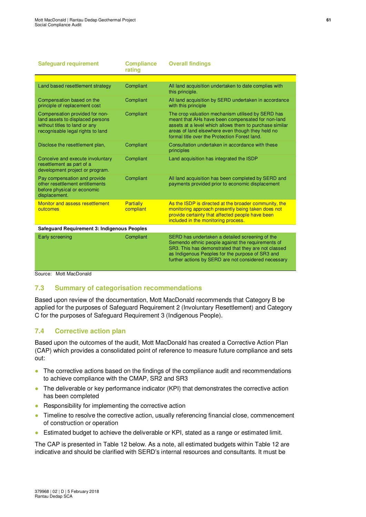| <b>Safeguard requirement</b>                                                                                                             | <b>Compliance</b><br>rating | <b>Overall findings</b>                                                                                                                                                                                                                                                  |  |
|------------------------------------------------------------------------------------------------------------------------------------------|-----------------------------|--------------------------------------------------------------------------------------------------------------------------------------------------------------------------------------------------------------------------------------------------------------------------|--|
|                                                                                                                                          |                             |                                                                                                                                                                                                                                                                          |  |
| Land based resettlement strategy                                                                                                         | Compliant                   | All land acquisition undertaken to date complies with<br>this principle.                                                                                                                                                                                                 |  |
| Compensation based on the<br>principle of replacement cost                                                                               | Compliant                   | All land acquisition by SERD undertaken in accordance<br>with this principle                                                                                                                                                                                             |  |
| Compensation provided for non-<br>land assets to displaced persons<br>without titles to land or any<br>recognisable legal rights to land | Compliant                   | The crop valuation mechanism utilised by SERD has<br>meant that AHs have been compensated for non-land<br>assets at a level which allows them to purchase similar<br>areas of land elsewhere even though they held no<br>formal title over the Protection Forest land.   |  |
| Disclose the resettlement plan,                                                                                                          | Compliant                   | Consultation undertaken in accordance with these<br>principles                                                                                                                                                                                                           |  |
| Conceive and execute involuntary<br>resettlement as part of a<br>development project or program.                                         | Compliant                   | Land acquisition has integrated the ISDP                                                                                                                                                                                                                                 |  |
| Pay compensation and provide<br>other resettlement entitlements<br>before physical or economic<br>displacement.                          | Compliant                   | All land acquisition has been completed by SERD and<br>payments provided prior to economic displacement                                                                                                                                                                  |  |
| Monitor and assess resettlement<br>outcomes                                                                                              | Partially<br>compliant      | As the ISDP is directed at the broader community, the<br>monitoring approach presently being taken does not<br>provide certainty that affected people have been<br>included in the monitoring process.                                                                   |  |
| Safeguard Requirement 3: Indigenous Peoples                                                                                              |                             |                                                                                                                                                                                                                                                                          |  |
| <b>Early screening</b>                                                                                                                   | Compliant                   | SERD has undertaken a detailed screening of the<br>Semendo ethnic people against the requirements of<br>SR3. This has demonstrated that they are not classed<br>as Indigenous Peoples for the purpose of SR3 and<br>further actions by SERD are not considered necessary |  |

# Source: Mott MacDonald

#### **7.3 Summary of categorisation recommendations**

Based upon review of the documentation, Mott MacDonald recommends that Category B be applied for the purposes of Safeguard Requirement 2 (Involuntary Resettlement) and Category C for the purposes of Safeguard Requirement 3 (Indigenous People).

#### **7.4 Corrective action plan**

Based upon the outcomes of the audit, Mott MacDonald has created a Corrective Action Plan (CAP) which provides a consolidated point of reference to measure future compliance and sets out:

- The corrective actions based on the findings of the compliance audit and recommendations to achieve compliance with the CMAP, SR2 and SR3
- The deliverable or key performance indicator (KPI) that demonstrates the corrective action has been completed
- Responsibility for implementing the corrective action
- Timeline to resolve the corrective action, usually referencing financial close, commencement of construction or operation
- Estimated budget to achieve the deliverable or KPI, stated as a range or estimated limit.

The CAP is presented in [Table 12](#page-71-0) below. As a note, all estimated budgets within [Table 12](#page-71-0) are indicative and should be clarified with SERD's internal resources and consultants. It must be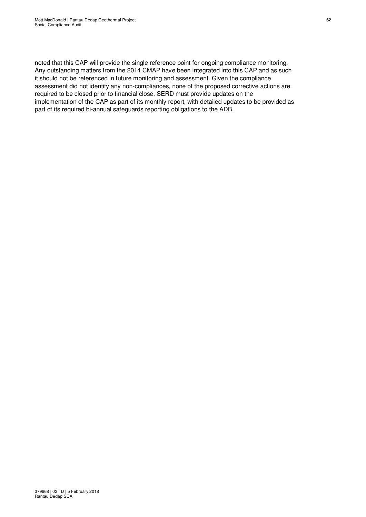noted that this CAP will provide the single reference point for ongoing compliance monitoring. Any outstanding matters from the 2014 CMAP have been integrated into this CAP and as such it should not be referenced in future monitoring and assessment. Given the compliance assessment did not identify any non-compliances, none of the proposed corrective actions are required to be closed prior to financial close. SERD must provide updates on the implementation of the CAP as part of its monthly report, with detailed updates to be provided as part of its required bi-annual safeguards reporting obligations to the ADB.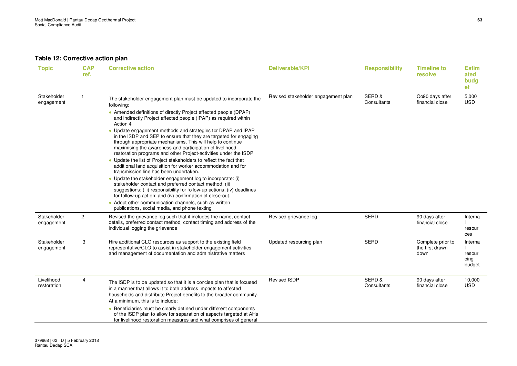#### <span id="page-71-0"></span>**Table 12: Corrective action plan**

| <b>Topic</b>              | <b>CAP</b><br>ref. | <b>Corrective action</b>                                                                                                                                                                                                                                                                                                        | <b>Deliverable/KPI</b>              | <b>Responsibility</b> | <b>Timeline to</b><br>resolve                | <b>Estim</b><br>ated<br>budg<br><b>et</b> |
|---------------------------|--------------------|---------------------------------------------------------------------------------------------------------------------------------------------------------------------------------------------------------------------------------------------------------------------------------------------------------------------------------|-------------------------------------|-----------------------|----------------------------------------------|-------------------------------------------|
| Stakeholder<br>engagement | $\mathbf{1}$       | The stakeholder engagement plan must be updated to incorporate the<br>following:                                                                                                                                                                                                                                                | Revised stakeholder engagement plan | SERD &<br>Consultants | Co90 days after<br>financial close           | 5,000<br><b>USD</b>                       |
|                           |                    | • Amended definitions of directly Project affected people (DPAP)<br>and indirectly Project affected people (IPAP) as required within<br>Action 4                                                                                                                                                                                |                                     |                       |                                              |                                           |
|                           |                    | • Update engagement methods and strategies for DPAP and IPAP<br>in the ISDP and SEP to ensure that they are targeted for engaging<br>through appropriate mechanisms. This will help to continue<br>maximising the awareness and participation of livelihood<br>restoration programs and other Project-activities under the ISDP |                                     |                       |                                              |                                           |
|                           |                    | • Update the list of Project stakeholders to reflect the fact that<br>additional land acquisition for worker accommodation and for<br>transmission line has been undertaken.                                                                                                                                                    |                                     |                       |                                              |                                           |
|                           |                    | • Update the stakeholder engagement log to incorporate: (i)<br>stakeholder contact and preferred contact method; (ii)<br>suggestions; (iii) responsibility for follow-up actions; (iv) deadlines<br>for follow-up action; and (iv) confirmation of close-out.                                                                   |                                     |                       |                                              |                                           |
|                           |                    | • Adopt other communication channels, such as written<br>publications, social media, and phone texting                                                                                                                                                                                                                          |                                     |                       |                                              |                                           |
| Stakeholder<br>engagement | $\overline{2}$     | Revised the grievance log such that it includes the name, contact<br>details, preferred contact method, contact timing and address of the<br>individual logging the grievance                                                                                                                                                   | Revised grievance log               | <b>SERD</b>           | 90 days after<br>financial close             | Interna<br>resour<br>ces                  |
| Stakeholder<br>engagement | 3                  | Hire additional CLO resources as support to the existing field<br>representative/CLO to assist in stakeholder engagement activities<br>and management of documentation and administrative matters                                                                                                                               | Updated resourcing plan             | <b>SERD</b>           | Complete prior to<br>the first drawn<br>down | Interna<br>resour<br>cing<br>budget       |
| Livelihood<br>restoration | 4                  | The ISDP is to be updated so that it is a concise plan that is focused<br>in a manner that allows it to both address impacts to affected<br>households and distribute Project benefits to the broader community.<br>At a minimum, this is to include:                                                                           | <b>Revised ISDP</b>                 | SERD &<br>Consultants | 90 days after<br>financial close             | 10,000<br><b>USD</b>                      |
|                           |                    | • Beneficiaries must be clearly defined under different components<br>of the ISDP plan to allow for separation of aspects targeted at AHs<br>for livelihood restoration measures and what comprises of general                                                                                                                  |                                     |                       |                                              |                                           |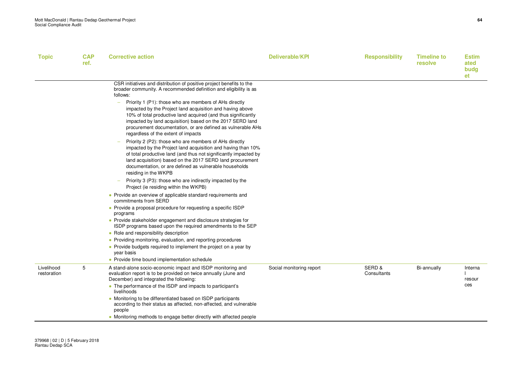| <b>Topic</b>              | <b>CAP</b><br>ref. | <b>Corrective action</b>                                                                                                                                                                                                                                                                                                                                | <b>Deliverable/KPI</b>   | <b>Responsibility</b> | <b>Timeline to</b><br>resolve | Estim<br>ated<br>budg<br><b>et</b> |
|---------------------------|--------------------|---------------------------------------------------------------------------------------------------------------------------------------------------------------------------------------------------------------------------------------------------------------------------------------------------------------------------------------------------------|--------------------------|-----------------------|-------------------------------|------------------------------------|
|                           |                    | CSR initiatives and distribution of positive project benefits to the<br>broader community. A recommended definition and eligibility is as<br>follows:                                                                                                                                                                                                   |                          |                       |                               |                                    |
|                           |                    | Priority 1 (P1): those who are members of AHs directly<br>impacted by the Project land acquisition and having above<br>10% of total productive land acquired (and thus significantly<br>impacted by land acquisition) based on the 2017 SERD land<br>procurement documentation, or are defined as vulnerable AHs<br>regardless of the extent of impacts |                          |                       |                               |                                    |
|                           |                    | Priority 2 (P2): those who are members of AHs directly<br>impacted by the Project land acquisition and having than 10%<br>of total productive land (and thus not significantly impacted by<br>land acquisition) based on the 2017 SERD land procurement<br>documentation, or are defined as vulnerable households<br>residing in the WKPB               |                          |                       |                               |                                    |
|                           |                    | Priority 3 (P3): those who are indirectly impacted by the<br>Project (ie residing within the WKPB)                                                                                                                                                                                                                                                      |                          |                       |                               |                                    |
|                           |                    | • Provide an overview of applicable standard requirements and<br>commitments from SERD                                                                                                                                                                                                                                                                  |                          |                       |                               |                                    |
|                           |                    | • Provide a proposal procedure for requesting a specific ISDP<br>programs                                                                                                                                                                                                                                                                               |                          |                       |                               |                                    |
|                           |                    | • Provide stakeholder engagement and disclosure strategies for<br>ISDP programs based upon the required amendments to the SEP                                                                                                                                                                                                                           |                          |                       |                               |                                    |
|                           |                    | • Role and responsibility description                                                                                                                                                                                                                                                                                                                   |                          |                       |                               |                                    |
|                           |                    | • Providing monitoring, evaluation, and reporting procedures                                                                                                                                                                                                                                                                                            |                          |                       |                               |                                    |
|                           |                    | • Provide budgets required to implement the project on a year by<br>year basis                                                                                                                                                                                                                                                                          |                          |                       |                               |                                    |
|                           |                    | • Provide time bound implementation schedule                                                                                                                                                                                                                                                                                                            |                          |                       |                               |                                    |
| Livelihood<br>restoration | 5                  | A stand-alone socio-economic impact and ISDP monitoring and<br>evaluation report is to be provided on twice annually (June and<br>December) and integrated the following:                                                                                                                                                                               | Social monitoring report | SERD &<br>Consultants | Bi-annually                   | Interna<br>resour                  |
|                           |                    | • The performance of the ISDP and impacts to participant's<br>livelihoods                                                                                                                                                                                                                                                                               |                          |                       |                               | ces                                |
|                           |                    | • Monitoring to be differentiated based on ISDP participants<br>according to their status as affected, non-affected, and vulnerable<br>people                                                                                                                                                                                                           |                          |                       |                               |                                    |
|                           |                    | • Monitoring methods to engage better directly with affected people                                                                                                                                                                                                                                                                                     |                          |                       |                               |                                    |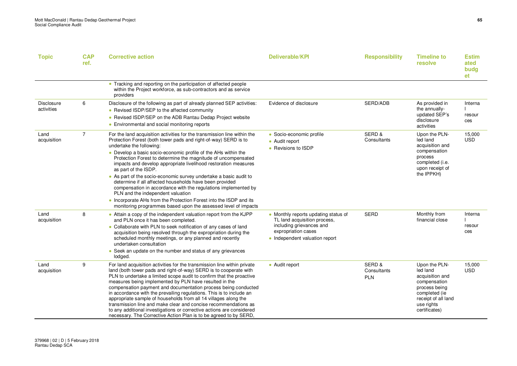| <b>Topic</b>                    | <b>CAP</b><br>ref. | <b>Corrective action</b>                                                                                                                                                                                                                                                                                                                                                                                                                                                                                                                                                                                                                                                                                                                                                             | <b>Deliverable/KPI</b>                                                                                                                                    | <b>Responsibility</b>               | <b>Timeline to</b><br>resolve                                                                                                                        | <b>Estim</b><br>ated<br>budg<br><b>et</b> |
|---------------------------------|--------------------|--------------------------------------------------------------------------------------------------------------------------------------------------------------------------------------------------------------------------------------------------------------------------------------------------------------------------------------------------------------------------------------------------------------------------------------------------------------------------------------------------------------------------------------------------------------------------------------------------------------------------------------------------------------------------------------------------------------------------------------------------------------------------------------|-----------------------------------------------------------------------------------------------------------------------------------------------------------|-------------------------------------|------------------------------------------------------------------------------------------------------------------------------------------------------|-------------------------------------------|
|                                 |                    | • Tracking and reporting on the participation of affected people<br>within the Project workforce, as sub-contractors and as service<br>providers                                                                                                                                                                                                                                                                                                                                                                                                                                                                                                                                                                                                                                     |                                                                                                                                                           |                                     |                                                                                                                                                      |                                           |
| <b>Disclosure</b><br>activities | 6                  | Disclosure of the following as part of already planned SEP activities:<br>• Revised ISDP/SEP to the affected community<br>• Revised ISDP/SEP on the ADB Rantau Dedap Project website<br>• Environmental and social monitoring reports                                                                                                                                                                                                                                                                                                                                                                                                                                                                                                                                                | Evidence of disclosure                                                                                                                                    | SERD/ADB                            | As provided in<br>the annually-<br>updated SEP's<br>disclosure<br>activities                                                                         | Interna<br>resour<br>ces                  |
| Land<br>acquisition             | $\overline{7}$     | For the land acquisition activities for the transmission line within the<br>Protection Forest (both tower pads and right-of-way) SERD is to<br>undertake the following:<br>• Develop a basic socio-economic profile of the AHs within the<br>Protection Forest to determine the magnitude of uncompensated<br>impacts and develop appropriate livelihood restoration measures<br>as part of the ISDP.<br>• As part of the socio-economic survey undertake a basic audit to<br>determine if all affected households have been provided<br>compensation in accordance with the regulations implemented by<br>PLN and the independent valuation<br>• Incorporate AHs from the Protection Forest into the ISDP and its<br>monitoring programmes based upon the assessed level of impacts | • Socio-economic profile<br>• Audit report<br>• Revisions to ISDP                                                                                         | SERD &<br>Consultants               | Upon the PLN-<br>led land<br>acquisition and<br>compensation<br>process<br>completed (i.e.<br>upon receipt of<br>the IPPKH)                          | 15,000<br><b>USD</b>                      |
| Land<br>acquisition             | 8                  | • Attain a copy of the independent valuation report from the KJPP<br>and PLN once it has been completed.<br>• Collaborate with PLN to seek notification of any cases of land<br>acquisition being resolved through the expropriation during the<br>scheduled monthly meetings, or any planned and recently<br>undertaken consultation<br>• Seek an update on the number and status of any grievances<br>lodged.                                                                                                                                                                                                                                                                                                                                                                      | • Monthly reports updating status of<br>TL land acquisition process,<br>including grievances and<br>expropriation cases<br>• Independent valuation report | <b>SERD</b>                         | Monthly from<br>financial close                                                                                                                      | Interna<br>resour<br>ces                  |
| Land<br>acquisition             | 9                  | For land acquisition activities for the transmission line within private<br>land (both tower pads and right-of-way) SERD is to cooperate with<br>PLN to undertake a limited scope audit to confirm that the proactive<br>measures being implemented by PLN have resulted in the<br>compensation payment and documentation process being conducted<br>in accordance with the prevailing regulations. This is to include an<br>appropriate sample of households from all 14 villages along the<br>transmission line and make clear and concise recommendations as<br>to any additional investigations or corrective actions are considered<br>necessary. The Corrective Action Plan is to be agreed to by SERD,                                                                        | • Audit report                                                                                                                                            | SERD &<br>Consultants<br><b>PLN</b> | Upon the PLN-<br>led land<br>acquisition and<br>compensation<br>process being<br>completed (ie<br>receipt of all land<br>use rights<br>certificates) | 15,000<br><b>USD</b>                      |